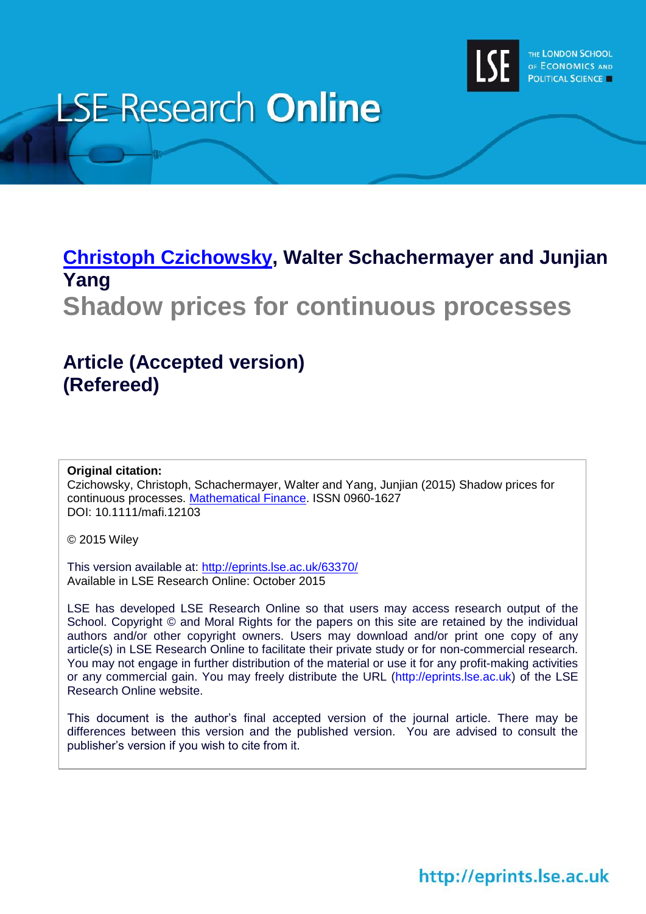

# **LSE Research Online**

# **Christoph [Czichowsky,](http://www.lse.ac.uk/researchAndExpertise/Experts/profile.aspx?KeyValue=c.czichowsky@lse.ac.uk) Walter Schachermayer and Junjian Yang**

**Shadow prices for continuous processes**

# **Article (Accepted version) (Refereed)**

#### **Original citation:**

Czichowsky, Christoph, Schachermayer, Walter and Yang, Junjian (2015) Shadow prices for continuous processes. [Mathematical Finance.](http://onlinelibrary.wiley.com/journal/10.1111/%28ISSN%291467-9965) ISSN 0960-1627 DOI: 10.1111/mafi.12103

© 2015 Wiley

This version available at:<http://eprints.lse.ac.uk/63370/> Available in LSE Research Online: October 2015

LSE has developed LSE Research Online so that users may access research output of the School. Copyright © and Moral Rights for the papers on this site are retained by the individual authors and/or other copyright owners. Users may download and/or print one copy of any article(s) in LSE Research Online to facilitate their private study or for non-commercial research. You may not engage in further distribution of the material or use it for any profit-making activities or any commercial gain. You may freely distribute the URL (http://eprints.lse.ac.uk) of the LSE Research Online website.

This document is the author's final accepted version of the journal article. There may be differences between this version and the published version. You are advised to consult the publisher's version if you wish to cite from it.

http://eprints.lse.ac.uk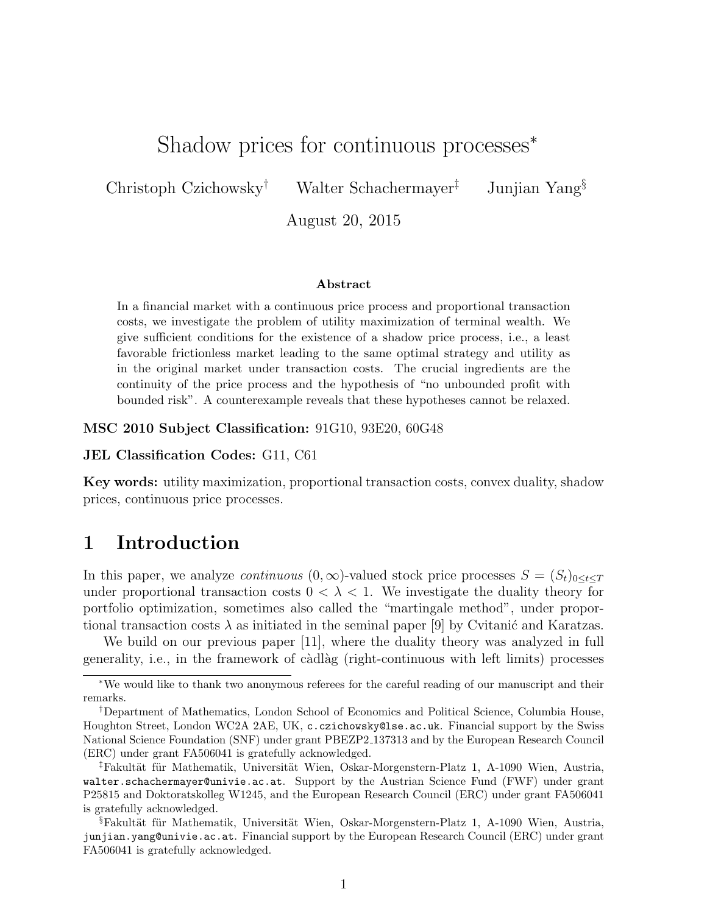## Shadow prices for continuous processes*<sup>∗</sup>*

Christoph Czichowsky*†* Walter Schachermayer*‡* Junjian Yang*§*

August 20, 2015

#### **Abstract**

In a financial market with a continuous price process and proportional transaction costs, we investigate the problem of utility maximization of terminal wealth. We give sufficient conditions for the existence of a shadow price process, i.e., a least favorable frictionless market leading to the same optimal strategy and utility as in the original market under transaction costs. The crucial ingredients are the continuity of the price process and the hypothesis of "no unbounded profit with bounded risk". A counterexample reveals that these hypotheses cannot be relaxed.

**MSC 2010 Subject Classification:** 91G10, 93E20, 60G48

**JEL Classification Codes:** G11, C61

**Key words:** utility maximization, proportional transaction costs, convex duality, shadow prices, continuous price processes.

## **1 Introduction**

In this paper, we analyze *continuous*  $(0, \infty)$ -valued stock price processes  $S = (S_t)_{0 \le t \le T}$ under proportional transaction costs  $0 < \lambda < 1$ . We investigate the duality theory for portfolio optimization, sometimes also called the "martingale method", under proportional transaction costs  $\lambda$  as initiated in the seminal paper [9] by Cvitanic and Karatzas.

We build on our previous paper [11], where the duality theory was analyzed in full generality, i.e., in the framework of càdlàg (right-continuous with left limits) processes

*<sup>∗</sup>*We would like to thank two anonymous referees for the careful reading of our manuscript and their remarks.

*<sup>†</sup>*Department of Mathematics, London School of Economics and Political Science, Columbia House, Houghton Street, London WC2A 2AE, UK, c.czichowsky@lse.ac.uk. Financial support by the Swiss National Science Foundation (SNF) under grant PBEZP2 137313 and by the European Research Council (ERC) under grant FA506041 is gratefully acknowledged.

<sup>&</sup>lt;sup>‡</sup>Fakultät für Mathematik, Universität Wien, Oskar-Morgenstern-Platz 1, A-1090 Wien, Austria, walter.schachermayer@univie.ac.at. Support by the Austrian Science Fund (FWF) under grant P25815 and Doktoratskolleg W1245, and the European Research Council (ERC) under grant FA506041 is gratefully acknowledged.

<sup>&</sup>lt;sup>§</sup>Fakultät für Mathematik, Universität Wien, Oskar-Morgenstern-Platz 1, A-1090 Wien, Austria, junjian.yang@univie.ac.at. Financial support by the European Research Council (ERC) under grant FA506041 is gratefully acknowledged.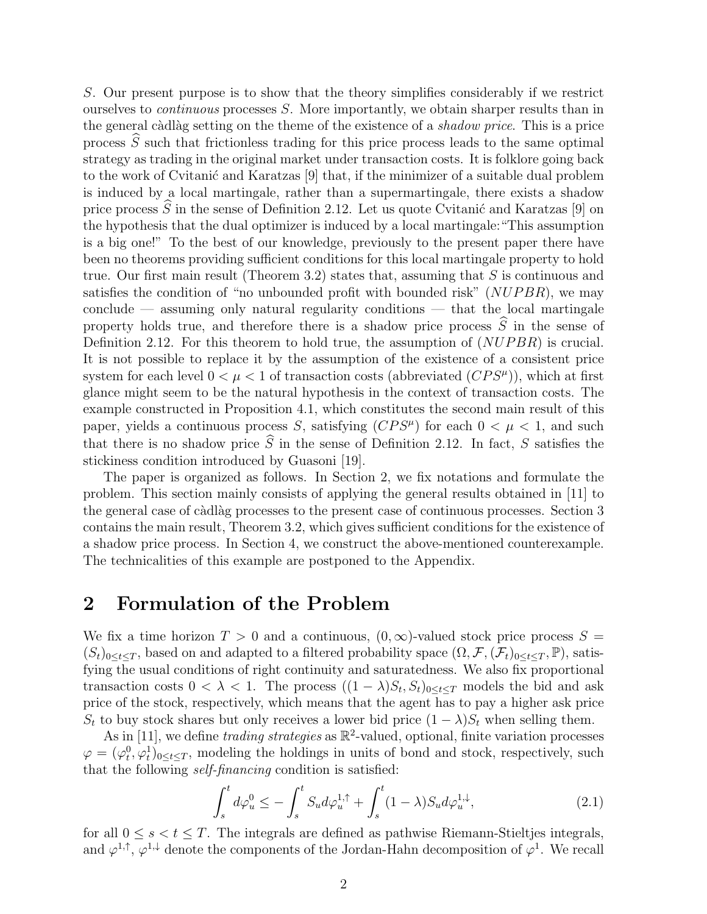*S*. Our present purpose is to show that the theory simplifies considerably if we restrict ourselves to *continuous* processes *S*. More importantly, we obtain sharper results than in the general c`adl`ag setting on the theme of the existence of a *shadow price*. This is a price process  $\hat{S}$  such that frictionless trading for this price process leads to the same optimal strategy as trading in the original market under transaction costs. It is folklore going back to the work of Cvitanić and Karatzas [9] that, if the minimizer of a suitable dual problem is induced by a local martingale, rather than a supermartingale, there exists a shadow price process  $\tilde{S}$  in the sense of Definition 2.12. Let us quote Cvitanic and Karatzas [9] on the hypothesis that the dual optimizer is induced by a local martingale:"This assumption is a big one!" To the best of our knowledge, previously to the present paper there have been no theorems providing sufficient conditions for this local martingale property to hold true. Our first main result (Theorem 3.2) states that, assuming that *S* is continuous and satisfies the condition of "no unbounded profit with bounded risk" (*NUP BR*), we may  $\alpha$  conclude — assuming only natural regularity conditions — that the local martingale property holds true, and therefore there is a shadow price process  $\widehat{S}$  in the sense of Definition 2.12. For this theorem to hold true, the assumption of (*NUP BR*) is crucial. It is not possible to replace it by the assumption of the existence of a consistent price system for each level  $0 < \mu < 1$  of transaction costs (abbreviated  $(CPS^{\mu})$ ), which at first glance might seem to be the natural hypothesis in the context of transaction costs. The example constructed in Proposition 4.1, which constitutes the second main result of this paper, yields a continuous process *S*, satisfying  $(CPS^{\mu})$  for each  $0 < \mu < 1$ , and such that there is no shadow price  $\hat{S}$  in the sense of Definition 2.12. In fact, *S* satisfies the stickiness condition introduced by Guasoni [19].

The paper is organized as follows. In Section 2, we fix notations and formulate the problem. This section mainly consists of applying the general results obtained in [11] to the general case of càdlàg processes to the present case of continuous processes. Section 3 contains the main result, Theorem 3.2, which gives sufficient conditions for the existence of a shadow price process. In Section 4, we construct the above-mentioned counterexample. The technicalities of this example are postponed to the Appendix.

## **2 Formulation of the Problem**

We fix a time horizon  $T > 0$  and a continuous,  $(0, \infty)$ -valued stock price process  $S =$  $(S_t)_{0 \le t \le T}$ , based on and adapted to a filtered probability space  $(\Omega, \mathcal{F}, (\mathcal{F}_t)_{0 \le t \le T}, \mathbb{P})$ , satisfying the usual conditions of right continuity and saturatedness. We also fix proportional transaction costs  $0 < \lambda < 1$ . The process  $((1 - \lambda)S_t, S_t)_{0 \le t \le T}$  models the bid and ask price of the stock, respectively, which means that the agent has to pay a higher ask price *S*<sup>*t*</sup> to buy stock shares but only receives a lower bid price  $(1 - \lambda)S$ <sup>*t*</sup> when selling them.

As in [11], we define *trading strategies* as  $\mathbb{R}^2$ -valued, optional, finite variation processes  $\varphi = (\varphi_t^0, \varphi_t^1)_{0 \le t \le T}$ , modeling the holdings in units of bond and stock, respectively, such that the following *self-financing* condition is satisfied:

$$
\int_{s}^{t} d\varphi_{u}^{0} \le -\int_{s}^{t} S_{u} d\varphi_{u}^{1,\uparrow} + \int_{s}^{t} (1-\lambda) S_{u} d\varphi_{u}^{1,\downarrow}, \tag{2.1}
$$

for all  $0 \leq s \leq t \leq T$ . The integrals are defined as pathwise Riemann-Stieltjes integrals, and  $\varphi^{1,\uparrow}, \varphi^{1,\downarrow}$  denote the components of the Jordan-Hahn decomposition of  $\varphi^1$ . We recall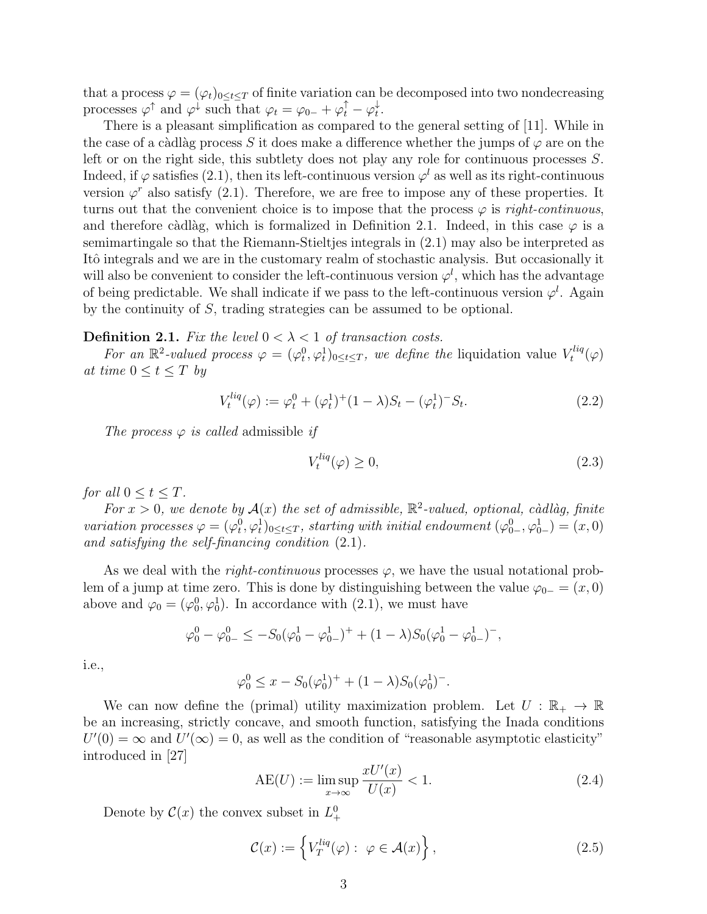that a process  $\varphi = (\varphi_t)_{0 \le t \le T}$  of finite variation can be decomposed into two nondecreasing processes  $\varphi^{\uparrow}$  and  $\varphi^{\downarrow}$  such that  $\varphi_t = \varphi_{0-} + \varphi_t^{\uparrow} - \varphi_t^{\downarrow}$ *t .*

There is a pleasant simplification as compared to the general setting of [11]. While in the case of a càdlàg process *S* it does make a difference whether the jumps of  $\varphi$  are on the left or on the right side, this subtlety does not play any role for continuous processes *S*. Indeed, if  $\varphi$  satisfies (2.1), then its left-continuous version  $\varphi^l$  as well as its right-continuous version  $\varphi^r$  also satisfy (2.1). Therefore, we are free to impose any of these properties. It turns out that the convenient choice is to impose that the process  $\varphi$  is *right-continuous*, and therefore càdlàg, which is formalized in Definition 2.1. Indeed, in this case  $\varphi$  is a semimartingale so that the Riemann-Stieltjes integrals in (2.1) may also be interpreted as Itô integrals and we are in the customary realm of stochastic analysis. But occasionally it will also be convenient to consider the left-continuous version  $\varphi^l$ , which has the advantage of being predictable. We shall indicate if we pass to the left-continuous version  $\varphi^l$ . Again by the continuity of *S*, trading strategies can be assumed to be optional.

#### **Definition 2.1.** *Fix the level*  $0 < \lambda < 1$  *of transaction costs.*

*For an*  $\mathbb{R}^2$ -valued process  $\varphi = (\varphi_t^0, \varphi_t^1)_{0 \le t \le T}$ , we define the liquidation value  $V_t^{liq}$ *t* (*φ*) *at time*  $0 \le t \le T$  *by* 

$$
V_t^{liq}(\varphi) := \varphi_t^0 + (\varphi_t^1)^+ (1 - \lambda) S_t - (\varphi_t^1)^- S_t.
$$
\n(2.2)

*The process*  $\varphi$  *is called* admissible *if* 

$$
V_t^{liq}(\varphi) \ge 0,\tag{2.3}
$$

*for all*  $0 \le t \le T$ *.* 

For  $x > 0$ , we denote by  $\mathcal{A}(x)$  the set of admissible,  $\mathbb{R}^2$ -valued, optional, càdlàg, finite *variation processes*  $\varphi = (\varphi_t^0, \varphi_t^1)_{0 \le t \le T}$ , starting with initial endowment  $(\varphi_{0-}^0, \varphi_{0-}^1) = (x, 0)$ *and satisfying the self-financing condition* (2.1)*.*

As we deal with the *right-continuous* processes  $\varphi$ , we have the usual notational problem of a jump at time zero. This is done by distinguishing between the value  $\varphi_{0-} = (x, 0)$ above and  $\varphi_0 = (\varphi_0^0, \varphi_0^1)$ . In accordance with (2.1), we must have

$$
\varphi_0^0 - \varphi_{0-}^0 \le -S_0(\varphi_0^1 - \varphi_{0-}^1)^+ + (1 - \lambda)S_0(\varphi_0^1 - \varphi_{0-}^1)^-,
$$

i.e.,

$$
\varphi_0^0 \le x - S_0(\varphi_0^1)^+ + (1 - \lambda)S_0(\varphi_0^1)^-.
$$

We can now define the (primal) utility maximization problem. Let  $U : \mathbb{R}_+ \to \mathbb{R}$ be an increasing, strictly concave, and smooth function, satisfying the Inada conditions  $U'(0) = \infty$  and  $U'(\infty) = 0$ , as well as the condition of "reasonable asymptotic elasticity" introduced in [27]

$$
AE(U) := \limsup_{x \to \infty} \frac{xU'(x)}{U(x)} < 1. \tag{2.4}
$$

Denote by  $\mathcal{C}(x)$  the convex subset in  $L^0_+$ 

$$
\mathcal{C}(x) := \left\{ V_T^{liq}(\varphi) : \ \varphi \in \mathcal{A}(x) \right\},\tag{2.5}
$$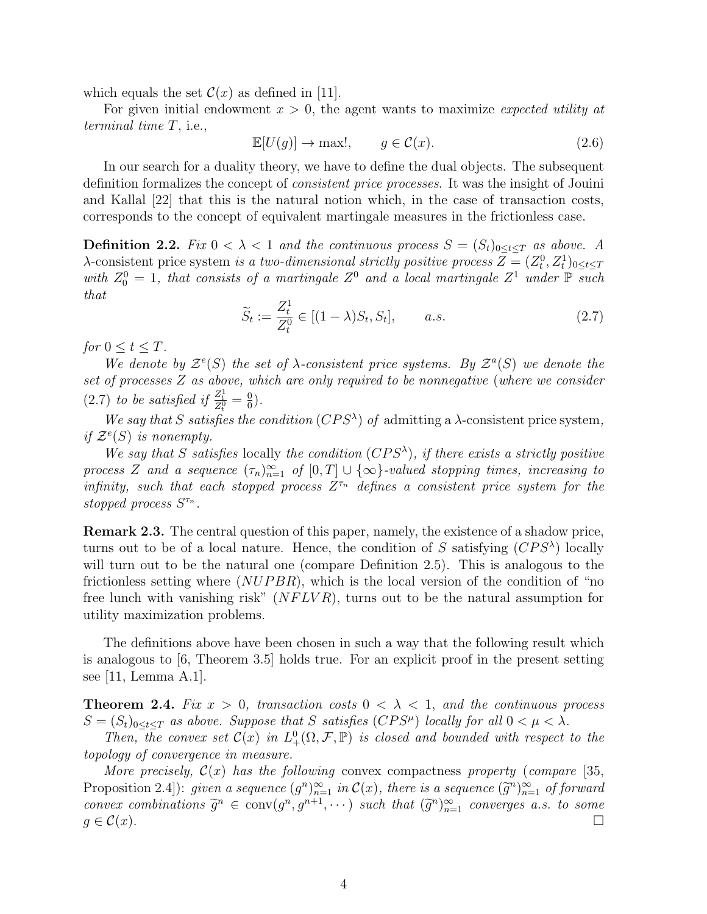which equals the set  $\mathcal{C}(x)$  as defined in [11].

For given initial endowment *x >* 0, the agent wants to maximize *expected utility at terminal time T*, i.e.,

$$
\mathbb{E}[U(g)] \to \max!, \qquad g \in \mathcal{C}(x). \tag{2.6}
$$

In our search for a duality theory, we have to define the dual objects. The subsequent definition formalizes the concept of *consistent price processes*. It was the insight of Jouini and Kallal [22] that this is the natural notion which, in the case of transaction costs, corresponds to the concept of equivalent martingale measures in the frictionless case.

**Definition 2.2.** *Fix*  $0 < \lambda < 1$  *and the continuous process*  $S = (S_t)_{0 \le t \le T}$  *as above.* A *λ*-consistent price system *is a two-dimensional strictly positive process*  $Z = (Z_t^0, Z_t^1)_{0 \le t \le T}$ with  $Z_0^0 = 1$ , that consists of a martingale  $Z^0$  and a local martingale  $Z^1$  under  $\mathbb P$  such *that*

$$
\widetilde{S}_t := \frac{Z_t^1}{Z_t^0} \in [(1 - \lambda)S_t, S_t], \qquad a.s.
$$
\n
$$
(2.7)
$$

*for*  $0 \le t \le T$ *.* 

*We denote by*  $\mathcal{Z}^e(S)$  *the set of*  $\lambda$ *-consistent price systems. By*  $\mathcal{Z}^a(S)$  *we denote the set of processes Z as above, which are only required to be nonnegative* (*where we consider* (2.7) *to be satisfied if*  $\frac{Z_t^1}{Z_t^0} = \frac{0}{0}$  $\frac{0}{0}$ .

*We say that S satisfies the condition* ( $CPS^{\lambda}$ ) *of* admitting a  $\lambda$ -consistent price system, *if*  $\mathcal{Z}^e(S)$  *is nonempty.* 

*We say that S satisfies* locally *the condition* ( $CPS^{\lambda}$ ), *if there exists a strictly positive process Z and a sequence*  $(\tau_n)_{n=1}^{\infty}$  *of*  $[0, T] \cup {\infty}$ *-valued stopping times, increasing to infinity, such that each stopped process*  $Z^{\tau_n}$  *defines a consistent price system for the stopped process S τn .*

**Remark 2.3.** The central question of this paper, namely, the existence of a shadow price, turns out to be of a local nature. Hence, the condition of *S* satisfying  $(CPS^{\lambda})$  locally will turn out to be the natural one (compare Definition 2.5). This is analogous to the frictionless setting where (*NUP BR*), which is the local version of the condition of "no free lunch with vanishing risk" (*NF LV R*), turns out to be the natural assumption for utility maximization problems.

The definitions above have been chosen in such a way that the following result which is analogous to [6, Theorem 3.5] holds true. For an explicit proof in the present setting see [11, Lemma A.1].

**Theorem 2.4.** *Fix*  $x > 0$ *, transaction costs*  $0 < \lambda < 1$ *, and the continuous process*  $S = (S_t)_{0 \le t \le T}$  *as above. Suppose that S satisfies* (*CPS<sup>* $\mu$ *</sup>*) *locally for all*  $0 < \mu < \lambda$ *.* 

*Then, the convex set*  $C(x)$  *in*  $L^0_+(\Omega, \mathcal{F}, \mathbb{P})$  *is closed and bounded with respect to the topology of convergence in measure.*

*More precisely,*  $\mathcal{C}(x)$  *has the following* convex compactness *property* (*compare* [35, Proposition 2.4): *given a sequence*  $(g^n)_{n=1}^{\infty}$  *in*  $\mathcal{C}(x)$ *, there is a sequence*  $(\tilde{g}^n)_{n=1}^{\infty}$  *of forward convex combinations*  $\widetilde{g}^n \in \text{conv}(g^n, g^{n+1}, \dots)$  *such that*  $(\widetilde{g}^n)_{n=1}^{\infty}$  *converges a.s. to some*  $g \in \mathcal{C}(x)$ .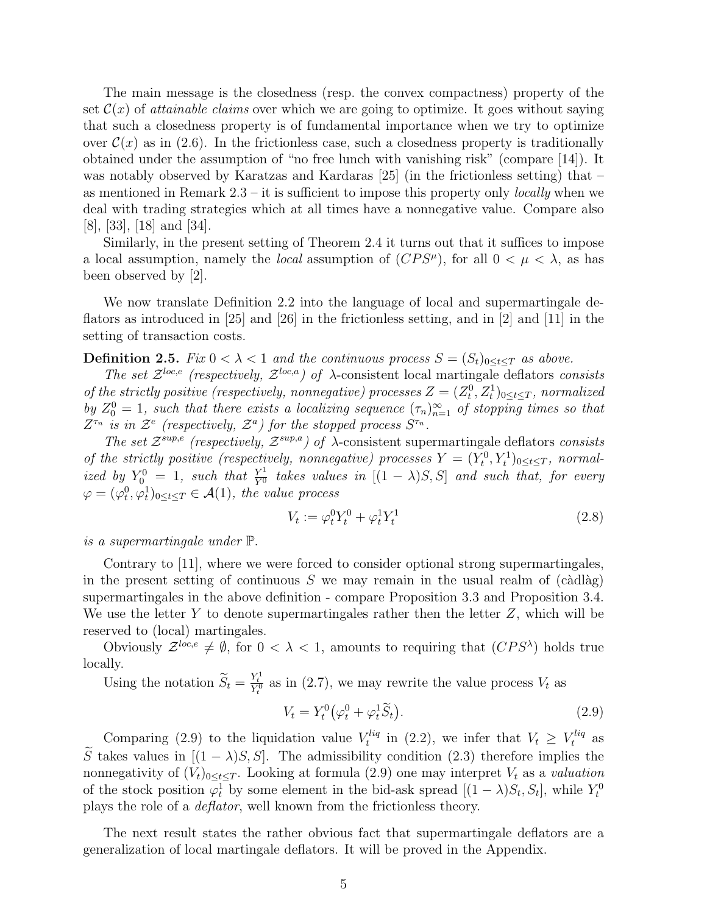The main message is the closedness (resp. the convex compactness) property of the set  $\mathcal{C}(x)$  of *attainable claims* over which we are going to optimize. It goes without saying that such a closedness property is of fundamental importance when we try to optimize over  $\mathcal{C}(x)$  as in (2.6). In the frictionless case, such a closedness property is traditionally obtained under the assumption of "no free lunch with vanishing risk" (compare [14]). It was notably observed by Karatzas and Kardaras [25] (in the frictionless setting) that – as mentioned in Remark 2.3 – it is sufficient to impose this property only *locally* when we deal with trading strategies which at all times have a nonnegative value. Compare also [8], [33], [18] and [34].

Similarly, in the present setting of Theorem 2.4 it turns out that it suffices to impose a local assumption, namely the *local* assumption of  $(CPS^{\mu})$ , for all  $0 < \mu < \lambda$ , as has been observed by [2].

We now translate Definition 2.2 into the language of local and supermartingale deflators as introduced in [25] and [26] in the frictionless setting, and in [2] and [11] in the setting of transaction costs.

**Definition 2.5.** *Fix*  $0 < \lambda < 1$  *and the continuous process*  $S = (S_t)_{0 \le t \le T}$  *as above.* 

*The set*  $\mathcal{Z}^{loc,e}$  (respectively,  $\mathcal{Z}^{loc,a}$ ) of  $\lambda$ -consistent local martingale deflators *consists of the strictly positive (respectively, nonnegative) processes*  $Z = (Z_t^0, Z_t^1)_{0 \le t \le T}$ , normalized *by*  $Z_0^0 = 1$ , such that there exists a localizing sequence  $(\tau_n)_{n=1}^{\infty}$  of stopping times so that *Z*<sup>*τn*</sup> *is in*  $\mathcal{Z}^e$  (respectively,  $\mathcal{Z}^a$ ) for the stopped process  $S^{\tau_n}$ .

*The set*  $\mathcal{Z}^{sup,e}$  (respectively,  $\mathcal{Z}^{sup,a}$ ) of  $\lambda$ -consistent supermartingale deflators *consists of the strictly positive (respectively, nonnegative) processes*  $Y = (Y_t^0, Y_t^1)_{0 \le t \le T}$ , normal*ized by*  $Y_0^0 = 1$ , such that  $\frac{Y^1}{Y^0}$  takes values in  $[(1 - \lambda)S, S]$  and such that, for every  $\varphi = (\varphi_t^0, \varphi_t^1)_{0 \le t \le T} \in \mathcal{A}(1)$ , the value process

$$
V_t := \varphi_t^0 Y_t^0 + \varphi_t^1 Y_t^1 \tag{2.8}
$$

*is a supermartingale under* P*.*

Contrary to [11], where we were forced to consider optional strong supermartingales, in the present setting of continuous  $S$  we may remain in the usual realm of (càdlàg) supermartingales in the above definition - compare Proposition 3.3 and Proposition 3.4. We use the letter *Y* to denote supermartingales rather then the letter *Z*, which will be reserved to (local) martingales.

Obviously  $\mathcal{Z}^{loc,e} \neq \emptyset$ , for  $0 < \lambda < 1$ , amounts to requiring that  $(CPS^{\lambda})$  holds true locally.

Using the notation  $\widetilde{S}_t = \frac{Y_t^1}{Y_t^0}$  as in (2.7), we may rewrite the value process  $V_t$  as

$$
V_t = Y_t^0 \left( \varphi_t^0 + \varphi_t^1 \widetilde{S}_t \right). \tag{2.9}
$$

Comparing (2.9) to the liquidation value  $V_t^{liq}$  $t_t^{liq}$  in (2.2), we infer that  $V_t \geq V_t^{liq}$  as  $\widetilde{S}$  takes values in  $[(1 - \lambda)S, S]$ . The admissibility condition (2.3) therefore implies the nonnegativity of  $(V_t)_{0 \leq t \leq T}$ . Looking at formula (2.9) one may interpret  $V_t$  as a *valuation* of the stock position  $\varphi_t^1$  by some element in the bid-ask spread  $[(1 - \lambda)S_t, S_t]$ , while  $Y_t^0$ plays the role of a *deflator*, well known from the frictionless theory.

The next result states the rather obvious fact that supermartingale deflators are a generalization of local martingale deflators. It will be proved in the Appendix.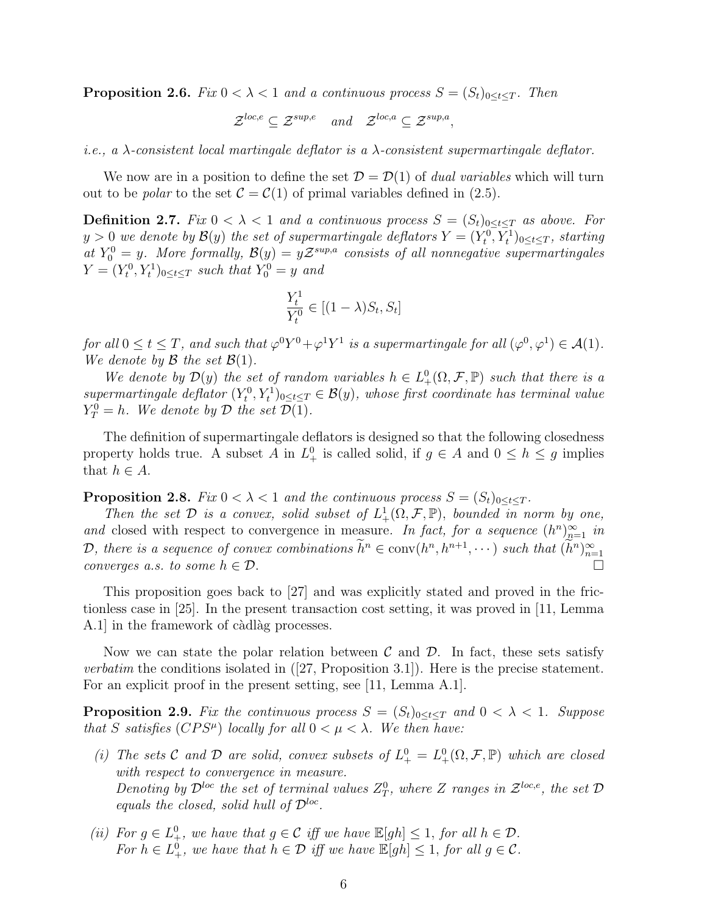**Proposition 2.6.** *Fix*  $0 < \lambda < 1$  *and a continuous process*  $S = (S_t)_{0 \le t \le T}$ *. Then* 

$$
\mathcal{Z}^{loc,e} \subseteq \mathcal{Z}^{sup,e}
$$
 and  $\mathcal{Z}^{loc,a} \subseteq \mathcal{Z}^{sup,a}$ ,

*i.e., a λ-consistent local martingale deflator is a λ-consistent supermartingale deflator.*

We now are in a position to define the set  $\mathcal{D} = \mathcal{D}(1)$  of *dual variables* which will turn out to be *polar* to the set  $C = C(1)$  of primal variables defined in (2.5).

**Definition 2.7.** *Fix*  $0 < \lambda < 1$  *and a continuous process*  $S = (S_t)_{0 \le t \le T}$  *as above. For*  $y > 0$  *we denote by*  $\mathcal{B}(y)$  *the set of supermartingale deflators*  $Y = (Y_t^0, Y_t^1)_{0 \le t \le T}$ *, starting at*  $Y_0^0 = y$ *. More formally,*  $\mathcal{B}(y) = y\mathcal{Z}^{sup,a}$  consists of all nonnegative supermartingales  $Y = (Y_t^0, Y_t^1)_{0 \le t \le T}$  *such that*  $Y_0^0 = y$  *and* 

$$
\frac{Y_t^1}{Y_t^0} \in [(1 - \lambda)S_t, S_t]
$$

*for all*  $0 \le t \le T$ , and such that  $\varphi^0 Y^0 + \varphi^1 Y^1$  is a supermartingale for all  $(\varphi^0, \varphi^1) \in \mathcal{A}(1)$ . *We denote by*  $\mathcal{B}$  *the set*  $\mathcal{B}(1)$ *.* 

*We denote by*  $\mathcal{D}(y)$  *the set of random variables*  $h \in L^0_+(\Omega, \mathcal{F}, \mathbb{P})$  *such that there is a*  $supermartingale deflator (Y_t^0, Y_t^1)_{0 \leq t \leq T} \in \mathcal{B}(y)$ , whose first coordinate has terminal value  $Y_T^0 = h$ *. We denote by*  $D$  *the set*  $D(1)$ *.* 

The definition of supermartingale deflators is designed so that the following closedness property holds true. A subset *A* in  $L^0_+$  is called solid, if  $g \in A$  and  $0 \le h \le g$  implies that  $h \in A$ .

**Proposition 2.8.** *Fix*  $0 < \lambda < 1$  *and the continuous process*  $S = (S_t)_{0 \le t \le T}$ *.* 

*Then the set*  $D$  *is a convex, solid subset of*  $L^1_+(\Omega, \mathcal{F}, \mathbb{P})$ *, bounded in norm by one, and* closed with respect to convergence in measure. In fact, for a sequence  $(h^n)_{n=1}^{\infty}$  in *D*, there is a sequence of convex combinations  $\tilde{h}^n \in \text{conv}(h^n, h^{n+1}, \dots)$  such that  $(\tilde{h}^n)_{n=1}^{\infty}$ *converges a.s. to some*  $h \in \mathcal{D}$ *.* □

This proposition goes back to [27] and was explicitly stated and proved in the frictionless case in [25]. In the present transaction cost setting, it was proved in [11, Lemma A.1 in the framework of càdlàg processes.

Now we can state the polar relation between *C* and *D*. In fact, these sets satisfy *verbatim* the conditions isolated in ([27, Proposition 3.1]). Here is the precise statement. For an explicit proof in the present setting, see [11, Lemma A.1].

**Proposition 2.9.** Fix the continuous process  $S = (S_t)_{0 \le t \le T}$  and  $0 \le \lambda \le 1$ . Suppose *that S satisfies* (*CPS<sup>* $\mu$ *</sup>*) *locally for all*  $0 < \mu < \lambda$ *. We then have:* 

- (*i*) The sets C and D are solid, convex subsets of  $L^0_+ = L^0_+(\Omega, \mathcal{F}, \mathbb{P})$  which are closed *with respect to convergence in measure. Denoting by*  $\mathcal{D}^{\text{loc}}$  *the set of terminal values*  $Z_T^0$ *, where Z ranges in*  $\mathcal{Z}^{\text{loc},e}$ *, the set*  $\mathcal{D}$ *equals the closed, solid hull of Dloc .*
- *(ii) For*  $g \in L^0_+$ *, we have that*  $g \in C$  *iff we have*  $\mathbb{E}[gh] \leq 1$ *, for all*  $h \in \mathcal{D}$ *. For*  $h \in L^0_+$ *, we have that*  $h \in \mathcal{D}$  *iff we have*  $\mathbb{E}[gh] \leq 1$ *, for all*  $g \in \mathcal{C}$ *.*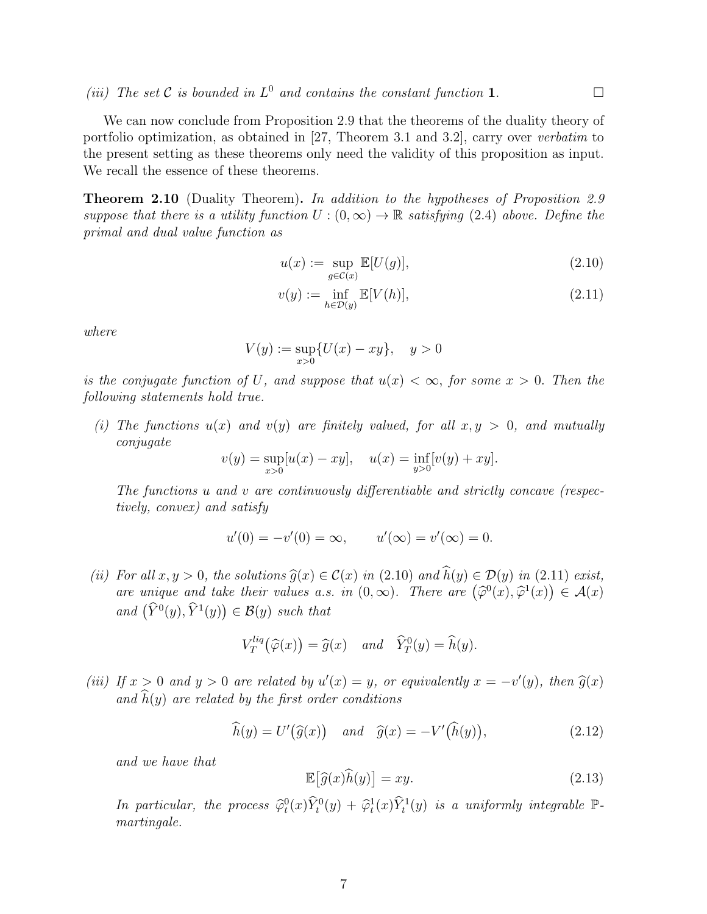We can now conclude from Proposition 2.9 that the theorems of the duality theory of portfolio optimization, as obtained in [27, Theorem 3.1 and 3.2], carry over *verbatim* to the present setting as these theorems only need the validity of this proposition as input. We recall the essence of these theorems.

**Theorem 2.10** (Duality Theorem)**.** *In addition to the hypotheses of Proposition 2.9 suppose that there is a utility function*  $U:(0,\infty) \to \mathbb{R}$  *satisfying* (2.4) *above.* Define the *primal and dual value function as*

$$
u(x) := \sup_{g \in \mathcal{C}(x)} \mathbb{E}[U(g)],\tag{2.10}
$$

$$
v(y) := \inf_{h \in \mathcal{D}(y)} \mathbb{E}[V(h)],\tag{2.11}
$$

*where*

 $V(y) := \sup$ *x>*0 *{U*(*x*) *− xy}, y >* 0

*is the conjugate function of*  $U$ *, and suppose that*  $u(x) < \infty$ *, for some*  $x > 0$ *. Then the following statements hold true.*

*(i)* The functions  $u(x)$  and  $v(y)$  are finitely valued, for all  $x, y > 0$ , and mutually *conjugate*

$$
v(y) = \sup_{x>0} [u(x) - xy], \quad u(x) = \inf_{y>0} [v(y) + xy].
$$

*The functions u and v are continuously differentiable and strictly concave (respectively, convex) and satisfy*

$$
u'(0) = -v'(0) = \infty,
$$
  $u'(\infty) = v'(\infty) = 0.$ 

*(ii)* For all  $x, y > 0$ , the solutions  $\widehat{g}(x) \in \mathcal{C}(x)$  in (2.10) and  $\widehat{h}(y) \in \mathcal{D}(y)$  in (2.11) exist, *are unique and take their values a.s. in*  $(0, \infty)$ *. There are*  $(\hat{\varphi}^0(x), \hat{\varphi}^1(x)) \in \mathcal{A}(x)$  $and \left(\widehat{Y}^0(y), \widehat{Y}^1(y)\right) \in \mathcal{B}(y) \text{ such that }$ 

$$
V_T^{liq}(\widehat{\varphi}(x)) = \widehat{g}(x) \quad and \quad \widehat{Y}_T^0(y) = \widehat{h}(y).
$$

(iii) If  $x > 0$  and  $y > 0$  are related by  $u'(x) = y$ , or equivalently  $x = -v'(y)$ , then  $\widehat{g}(x)$ and  $\widehat{h}(y)$  are related by the first order conditions

$$
\widehat{h}(y) = U'(\widehat{g}(x)) \quad and \quad \widehat{g}(x) = -V'(\widehat{h}(y)), \tag{2.12}
$$

*and we have that*

$$
\mathbb{E}\big[\widehat{g}(x)\widehat{h}(y)\big] = xy.\tag{2.13}
$$

*In particular, the process*  $\widehat{\varphi}_t^0(x) \widehat{Y}_t^0(y) + \widehat{\varphi}_t^1(x) \widehat{Y}_t^1(y)$  *is a uniformly integrable*  $\mathbb{P}$ *martingale.*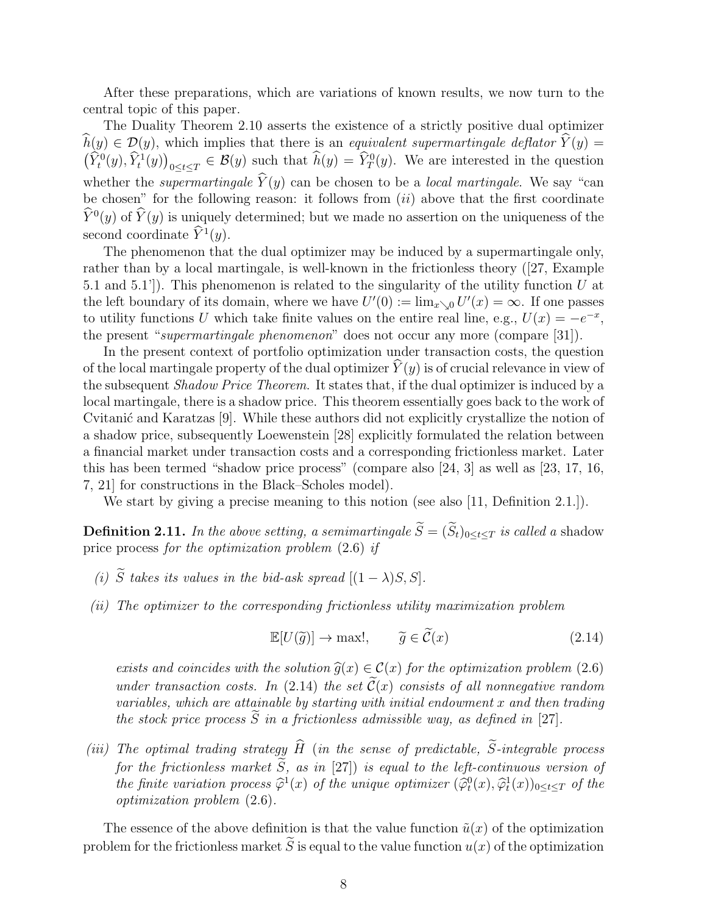After these preparations, which are variations of known results, we now turn to the central topic of this paper.

The Duality Theorem 2.10 asserts the existence of a strictly positive dual optimizer  $\widehat{h}(y) \in \mathcal{D}(y)$ , which implies that there is an *equivalent supermartingale deflator*  $\widehat{Y}(y) =$  $(\widehat{Y}_t^0(y), \widehat{Y}_t^1(y))_{0 \le t \le T} \in \mathcal{B}(y)$  such that  $\widehat{h}(y) = \widehat{Y}_T^0(y)$ . We are interested in the question whether the *supermartingale*  $\dot{Y}(y)$  can be chosen to be a *local martingale*. We say "can be chosen" for the following reason: it follows from (*ii*) above that the first coordinate  $\hat{Y}^0(y)$  of  $\hat{Y}(y)$  is uniquely determined; but we made no assertion on the uniqueness of the second coordinate  $\hat{Y}^1(y)$ .

The phenomenon that the dual optimizer may be induced by a supermartingale only, rather than by a local martingale, is well-known in the frictionless theory ([27, Example 5.1 and 5.1']). This phenomenon is related to the singularity of the utility function *U* at the left boundary of its domain, where we have  $U'(0) := \lim_{x \searrow 0} U'(x) = \infty$ . If one passes to utility functions *U* which take finite values on the entire real line, e.g.,  $U(x) = -e^{-x}$ , the present "*supermartingale phenomenon*" does not occur any more (compare [31]).

In the present context of portfolio optimization under transaction costs, the question of the local martingale property of the dual optimizer  $Y(y)$  is of crucial relevance in view of the subsequent *Shadow Price Theorem*. It states that, if the dual optimizer is induced by a local martingale, there is a shadow price. This theorem essentially goes back to the work of Cvitanić and Karatzas [9]. While these authors did not explicitly crystallize the notion of a shadow price, subsequently Loewenstein [28] explicitly formulated the relation between a financial market under transaction costs and a corresponding frictionless market. Later this has been termed "shadow price process" (compare also [24, 3] as well as [23, 17, 16, 7, 21] for constructions in the Black–Scholes model).

We start by giving a precise meaning to this notion (see also [11, Definition 2.1.]).

**Definition 2.11.** *In the above setting, a semimartingale*  $\widetilde{S} = (\widetilde{S}_t)_{0 \le t \le T}$  *is called a* shadow price process *for the optimization problem* (2.6) *if*

- *(i)*  $\widetilde{S}$  *takes its values in the bid-ask spread*  $[(1 \lambda)S, S]$ *.*
- *(ii) The optimizer to the corresponding frictionless utility maximization problem*

$$
\mathbb{E}[U(\tilde{g})] \to \max!, \qquad \tilde{g} \in \tilde{\mathcal{C}}(x) \tag{2.14}
$$

*exists and coincides with the solution*  $\hat{g}(x) \in C(x)$  *for the optimization problem* (2.6) *under transaction costs.* In (2.14) *the set*  $\tilde{C}(x)$  *consists of all nonnegative random variables, which are attainable by starting with initial endowment x and then trading the stock price process*  $\widetilde{S}$  *in a frictionless admissible way, as defined in* [27]*.* 

*(iii)* The optimal trading strategy  $\widehat{H}$  (in the sense of predictable,  $\widetilde{S}$ -integrable process *for the frictionless market*  $\widetilde{S}$ *, as in* [27]) *is equal to the left-continuous version of the finite variation process*  $\hat{\varphi}^1(x)$  *of the unique optimizer*  $(\hat{\varphi}^0_t(x), \hat{\varphi}^1_t(x))_{0 \le t \le T}$  *of the optimization problem* (2.6)*.*

The essence of the above definition is that the value function  $\tilde{u}(x)$  of the optimization problem for the frictionless market  $\tilde{S}$  is equal to the value function  $u(x)$  of the optimization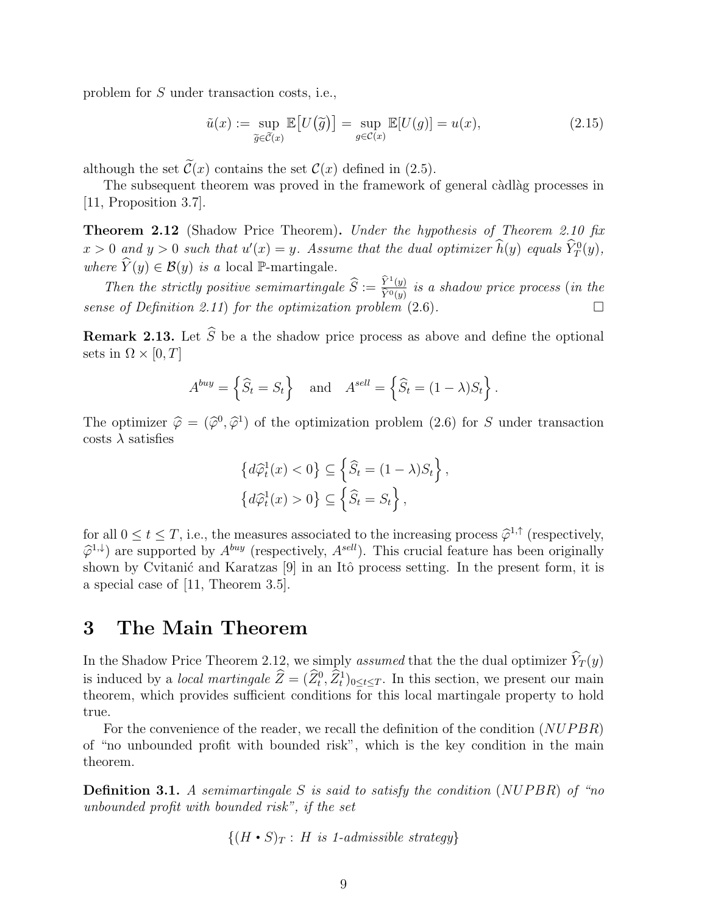problem for *S* under transaction costs, i.e.,

$$
\tilde{u}(x) := \sup_{\tilde{g} \in \tilde{C}(x)} \mathbb{E}\left[U(\tilde{g})\right] = \sup_{g \in C(x)} \mathbb{E}[U(g)] = u(x),\tag{2.15}
$$

although the set  $\tilde{\mathcal{C}}(x)$  contains the set  $\mathcal{C}(x)$  defined in (2.5).

The subsequent theorem was proved in the framework of general càdlàg processes in [11, Proposition 3.7].

**Theorem 2.12** (Shadow Price Theorem)**.** *Under the hypothesis of Theorem 2.10 fix*  $x > 0$  and  $y > 0$  such that  $u'(x) = y$ *. Assume that the dual optimizer*  $\hat{h}(y)$  *equals*  $\hat{Y}_T^0(y)$ *, where*  $\hat{Y}(y) \in \mathcal{B}(y)$  *is a* local P-martingale.

*Then the strictly positive semimartingale*  $\widehat{S} := \frac{\widehat{Y}^1(y)}{\widehat{Y}^0(y)}$  $\overline{\hat{Y}^0(y)}$  *is a shadow price process* (*in the sense of Definition 2.11*) *for the optimization problem*  $(2.6)$ *.* 

**Remark 2.13.** Let  $\widehat{S}$  be a the shadow price process as above and define the optional sets in  $\Omega \times [0, T]$ 

$$
A^{buy} = \left\{ \widehat{S}_t = S_t \right\} \quad \text{and} \quad A^{sell} = \left\{ \widehat{S}_t = (1 - \lambda)S_t \right\}.
$$

The optimizer  $\hat{\varphi} = (\hat{\varphi}^0, \hat{\varphi}^1)$  of the optimization problem (2.6) for *S* under transaction costs  $\lambda$  satisfies

$$
\begin{aligned} \left\{ d\widehat{\varphi}_t^1(x) < 0 \right\} &\subseteq \left\{ \widehat{S}_t = (1 - \lambda)S_t \right\}, \\ \left\{ d\widehat{\varphi}_t^1(x) > 0 \right\} &\subseteq \left\{ \widehat{S}_t = S_t \right\}, \end{aligned}
$$

for all  $0 \le t \le T$ , i.e., the measures associated to the increasing process  $\hat{\varphi}^{1,\uparrow}$  (respectively,  $\hat{\varphi}^{1,\uparrow}$ ) are summarized by *Abutt (non-ortinals, Asell*). This sumpled feature has have within like  $\hat{\varphi}^{1,\downarrow}$  are supported by  $A^{buy}$  (respectively,  $A^{sell}$ ). This crucial feature has been originally shown by Cvitanić and Karatzas  $[9]$  in an Itô process setting. In the present form, it is a special case of [11, Theorem 3.5].

#### **3 The Main Theorem**

In the Shadow Price Theorem 2.12, we simply *assumed* that the the dual optimizer  $\hat{Y}_T(y)$ is induced by a *local martingale*  $\hat{Z} = (\hat{Z}_t^0, \hat{Z}_t^1)_{0 \le t \le T}$ . In this section, we present our main theorem, which provides sufficient conditions for this local martingale property to hold true.

For the convenience of the reader, we recall the definition of the condition (*NUP BR*) of "no unbounded profit with bounded risk", which is the key condition in the main theorem.

**Definition 3.1.** *A semimartingale S is said to satisfy the condition* (*NUP BR*) *of "no unbounded profit with bounded risk", if the set*

$$
\{(H\bullet S)_T:\ H\ \text{is}\ 1\text{-admissible strategy}\}
$$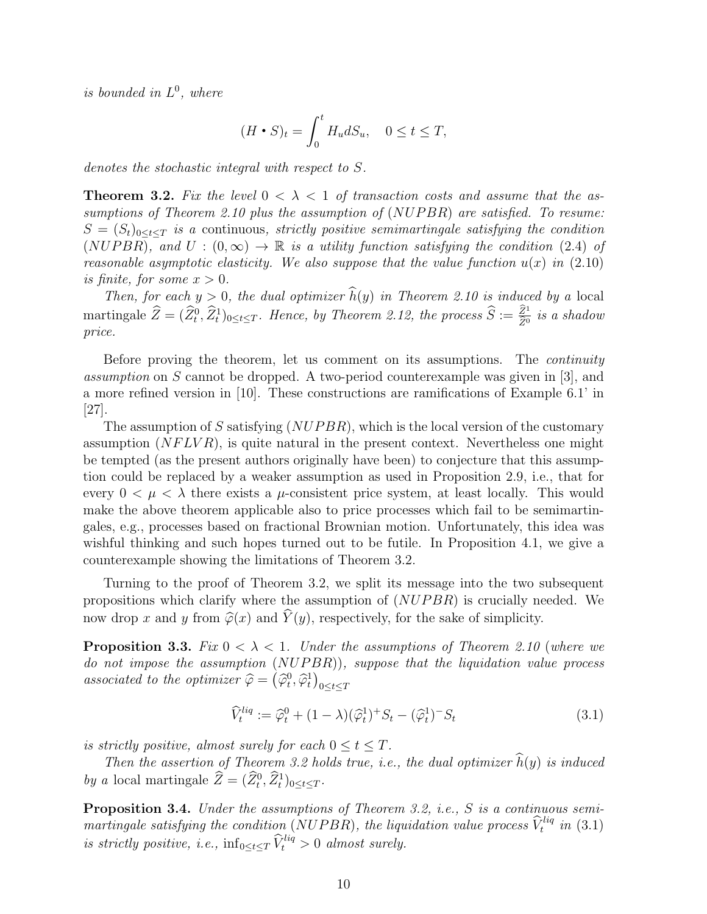*is bounded in L* 0 *, where*

$$
(H \bullet S)_t = \int_0^t H_u dS_u, \quad 0 \le t \le T,
$$

*denotes the stochastic integral with respect to S.*

**Theorem 3.2.** Fix the level  $0 < \lambda < 1$  of transaction costs and assume that the as*sumptions of Theorem 2.10 plus the assumption of* (*NUP BR*) *are satisfied. To resume:*  $S = (S_t)_{0 \le t \le T}$  *is a* continuous, *strictly positive semimartingale satisfying the condition*  $(NUPBR)$ , and  $U: (0, \infty) \to \mathbb{R}$  is a utility function satisfying the condition (2.4) of *reasonable asymptotic elasticity. We also suppose that the value function*  $u(x)$  in  $(2.10)$ *is finite, for some*  $x > 0$ *.* 

*Then, for each*  $y > 0$ *, the dual optimizer*  $\widehat{h}(y)$  *in Theorem 2.10 is induced by a* local  $\hat{Z} = (\hat{Z}_t^0, \hat{Z}_t^1)_{0 \le t \le T}$ *. Hence, by Theorem 2.12, the process*  $\hat{S} := \frac{\hat{Z}^1}{\hat{Z}^0}$  *is a shadow price.*

Before proving the theorem, let us comment on its assumptions. The *continuity assumption* on *S* cannot be dropped. A two-period counterexample was given in [3], and a more refined version in [10]. These constructions are ramifications of Example 6.1' in  $|27|$ .

The assumption of *S* satisfying (*NUP BR*), which is the local version of the customary assumption (*NF LV R*), is quite natural in the present context. Nevertheless one might be tempted (as the present authors originally have been) to conjecture that this assumption could be replaced by a weaker assumption as used in Proposition 2.9, i.e., that for every  $0 < \mu < \lambda$  there exists a  $\mu$ -consistent price system, at least locally. This would make the above theorem applicable also to price processes which fail to be semimartingales, e.g., processes based on fractional Brownian motion. Unfortunately, this idea was wishful thinking and such hopes turned out to be futile. In Proposition 4.1, we give a counterexample showing the limitations of Theorem 3.2.

Turning to the proof of Theorem 3.2, we split its message into the two subsequent propositions which clarify where the assumption of (*NUP BR*) is crucially needed. We now drop *x* and *y* from  $\hat{\varphi}(x)$  and  $\hat{Y}(y)$ , respectively, for the sake of simplicity.

**Proposition 3.3.** *Fix*  $0 < \lambda < 1$ *. Under the assumptions of Theorem 2.10 (where we do not impose the assumption* (*NUP BR*))*, suppose that the liquidation value process associated to the optimizer*  $\hat{\varphi} = (\hat{\varphi}_t^0, \hat{\varphi}_t^1)_{0 \le t \le T}$ 

$$
\widehat{V}_t^{liq} := \widehat{\varphi}_t^0 + (1 - \lambda)(\widehat{\varphi}_t^1)^+ S_t - (\widehat{\varphi}_t^1)^- S_t \tag{3.1}
$$

*is strictly positive, almost surely for each*  $0 \le t \le T$ .

*Then the assertion of Theorem 3.2 holds true, i.e., the dual optimizer*  $\widehat{h}(y)$  *is induced by a* local martingale  $\hat{Z} = (\hat{Z}_t^0, \hat{Z}_t^1)_{0 \le t \le T}$ .

**Proposition 3.4.** *Under the assumptions of Theorem 3.2, i.e., S is a continuous semimartingale satisfying the condition* (*NUPBR*), the liquidation value process  $\widehat{V}_t^{liq}$  in (3.1) *is strictly positive, i.e.,*  $\inf_{0 \le t \le T} \widehat{V}_t^{liq} > 0$  *almost surely.*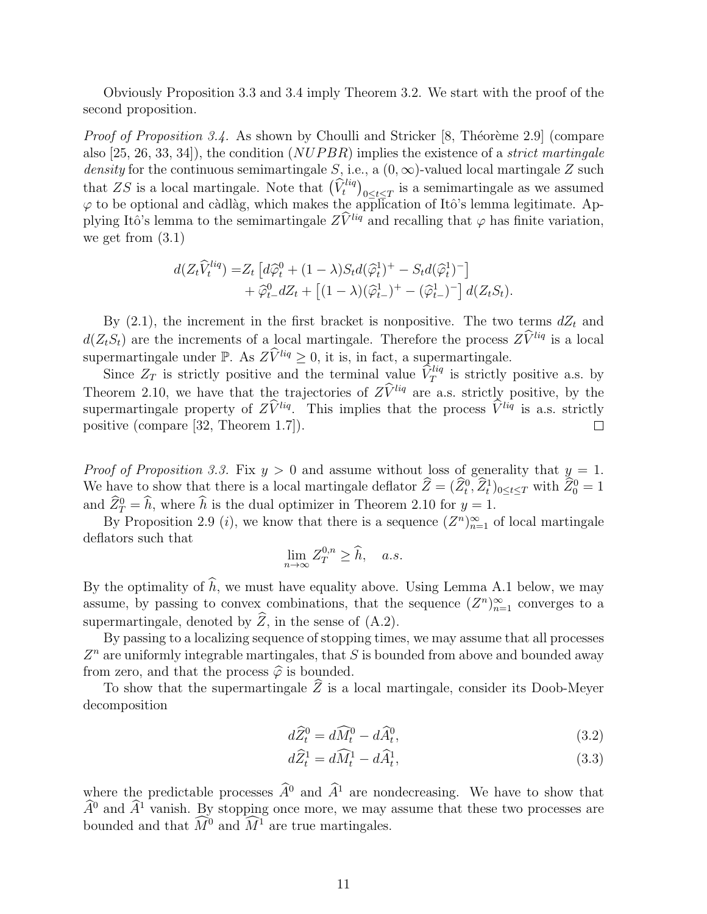Obviously Proposition 3.3 and 3.4 imply Theorem 3.2. We start with the proof of the second proposition.

*Proof of Proposition 3.4.* As shown by Choulli and Stricker [8, Théorème 2.9] (compare also [25, 26, 33, 34]), the condition (*NUP BR*) implies the existence of a *strict martingale density* for the continuous semimartingale *S*, i.e., a  $(0, \infty)$ -valued local martingale *Z* such that *ZS* is a local martingale. Note that  $(\hat{V}^{liq}_t)_{0 \le t \le T}$  is a semimartingale as we assumed  $\varphi$  to be optional and càdlàg, which makes the application of Itô's lemma legitimate. Applying Itô's lemma to the semimartingale  $Z\hat{V}^{liq}$  and recalling that  $\varphi$  has finite variation, we get from (3.1)

$$
d(Z_t\widehat{V}_t^{liq}) = Z_t \left[ d\widehat{\varphi}_t^0 + (1-\lambda)S_t d(\widehat{\varphi}_t^1)^+ - S_t d(\widehat{\varphi}_t^1)^- \right] + \widehat{\varphi}_t^0 dZ_t + \left[ (1-\lambda)(\widehat{\varphi}_{t-}^1)^+ - (\widehat{\varphi}_{t-}^1)^- \right] d(Z_tS_t).
$$

By  $(2.1)$ , the increment in the first bracket is nonpositive. The two terms  $dZ_t$  and  $d(Z_tS_t)$  are the increments of a local martingale. Therefore the process  $Z\hat{V}^{liq}$  is a local supermartingale under P. As  $Z\hat{V}^{liq} \geq 0$ , it is, in fact, a supermartingale.

Since  $Z_T$  is strictly positive and the terminal value  $\hat{V}_T^{liq}$  is strictly positive a.s. by Theorem 2.10, we have that the trajectories of  $Z\hat{V}^{liq}$  are a.s. strictly positive, by the supermartingale property of  $Z\hat{V}^{liq}$ . This implies that the process  $\hat{V}^{liq}$  is a.s. strictly positive (compare [32 Theorem 1.7]) positive (compare [32, Theorem 1.7]).

*Proof of Proposition 3.3.* Fix  $y > 0$  and assume without loss of generality that  $y = 1$ . We have to show that there is a local martingale deflator  $\hat{Z} = (\hat{Z}_t^0, \hat{Z}_t^1)_{0 \le t \le T}$  with  $\hat{Z}_0^0 = 1$ and  $\hat{Z}_T^0 = \hat{h}$ , where  $\hat{h}$  is the dual optimizer in Theorem 2.10 for  $y = 1$ .

By Proposition 2.9 (*i*), we know that there is a sequence  $(Z^n)_{n=1}^{\infty}$  of local martingale deflators such that

$$
\lim_{n \to \infty} Z_T^{0,n} \ge \widehat{h}, \quad a.s.
$$

By the optimality of  $\hat{h}$ , we must have equality above. Using Lemma A.1 below, we may assume, by passing to convex combinations, that the sequence  $(Z^n)_{n=1}^{\infty}$  converges to a supermartingale, denoted by  $\widehat{Z}$ , in the sense of (A.2).

By passing to a localizing sequence of stopping times, we may assume that all processes Z<sup>n</sup> are uniformly integrable martingales, that *S* is bounded from above and bounded away from zero, and that the process  $\hat{\varphi}$  is bounded.

To show that the supermartingale  $\widehat{Z}$  is a local martingale, consider its Doob-Meyer decomposition

$$
d\widehat{Z}_t^0 = d\widehat{M}_t^0 - d\widehat{A}_t^0,\tag{3.2}
$$

$$
d\widehat{Z}_t^1 = d\widehat{M}_t^1 - d\widehat{A}_t^1,\tag{3.3}
$$

where the predictable processes  $\hat{A}^0$  and  $\hat{A}^1$  are nondecreasing. We have to show that  $\hat{A}^0$  and  $\hat{A}^1$  vanish. By stopping once more, we may assume that these two processes are bounded and that  $\widehat{M}^0$  and  $\widehat{M}^1$  are true martingales.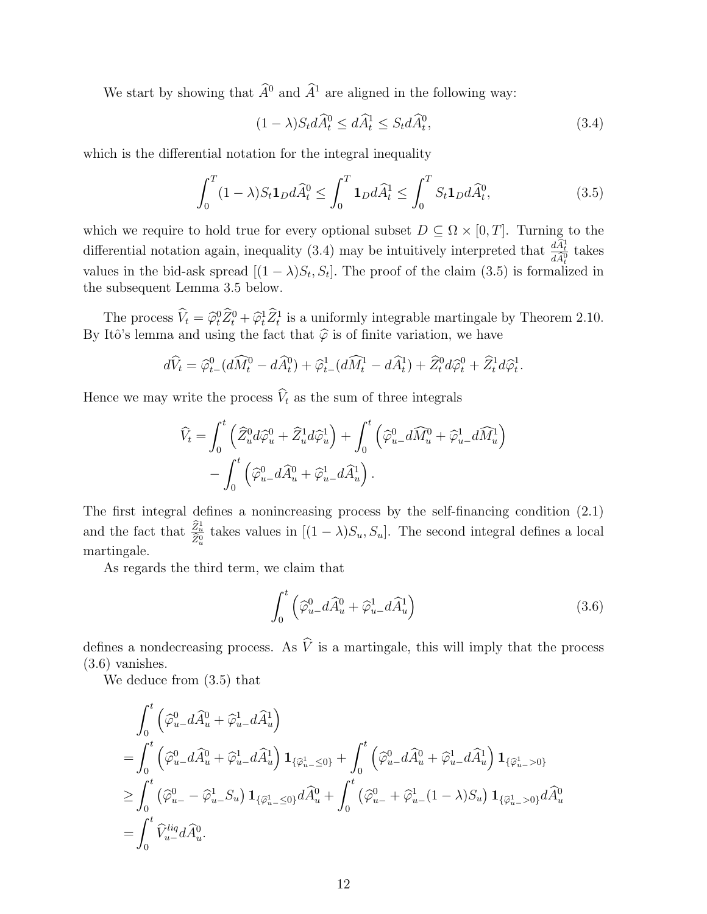We start by showing that  $\widehat{A}^0$  and  $\widehat{A}^1$  are aligned in the following way:

$$
(1 - \lambda)S_t d\widehat{A}_t^0 \le d\widehat{A}_t^1 \le S_t d\widehat{A}_t^0,\tag{3.4}
$$

which is the differential notation for the integral inequality

$$
\int_0^T (1 - \lambda) S_t \mathbf{1}_D d\widehat{A}_t^0 \le \int_0^T \mathbf{1}_D d\widehat{A}_t^1 \le \int_0^T S_t \mathbf{1}_D d\widehat{A}_t^0,\tag{3.5}
$$

which we require to hold true for every optional subset  $D \subseteq \Omega \times [0, T]$ . Turning to the differential notation again, inequality (3.4) may be intuitively interpreted that  $\frac{d\hat{A}_t^1}{d\hat{A}_t^0}$  takes values in the bid-ask spread  $[(1 - \lambda)S_t, S_t]$ . The proof of the claim (3.5) is formalized in the subsequent Lemma 3.5 below.

The process  $\hat{V}_t = \hat{\varphi}_t^0 \hat{Z}_t^0 + \hat{\varphi}_t^1 \hat{Z}_t^1$  is a uniformly integrable martingale by Theorem 2.10. By Itô's lemma and using the fact that  $\hat{\varphi}$  is of finite variation, we have

$$
d\widehat{V}_t = \widehat{\varphi}^0_{t-} (d\widehat{M}_t^0 - d\widehat{A}_t^0) + \widehat{\varphi}^1_{t-} (d\widehat{M}_t^1 - d\widehat{A}_t^1) + \widehat{Z}_t^0 d\widehat{\varphi}^0_t + \widehat{Z}_t^1 d\widehat{\varphi}^1_t.
$$

Hence we may write the process  $\widehat{V}_t$  as the sum of three integrals

$$
\widehat{V}_t = \int_0^t \left( \widehat{Z}_u^0 d\widehat{\varphi}_u^0 + \widehat{Z}_u^1 d\widehat{\varphi}_u^1 \right) + \int_0^t \left( \widehat{\varphi}_u^0 - d\widehat{M}_u^0 + \widehat{\varphi}_u^1 - d\widehat{M}_u^1 \right) - \int_0^t \left( \widehat{\varphi}_u^0 - d\widehat{A}_u^0 + \widehat{\varphi}_u^1 - d\widehat{A}_u^1 \right).
$$

The first integral defines a nonincreasing process by the self-financing condition (2.1) and the fact that  $\frac{\hat{Z}_{u}^{1}}{\hat{Z}_{u}^{0}}$  takes values in  $[(1 - \lambda)S_{u}, S_{u}]$ . The second integral defines a local martingale.

As regards the third term, we claim that

$$
\int_0^t \left( \widehat{\varphi}^0_{u-} d\widehat{A}^0_u + \widehat{\varphi}^1_{u-} d\widehat{A}^1_u \right) \tag{3.6}
$$

defines a nondecreasing process. As  $\hat{V}$  is a martingale, this will imply that the process (3.6) vanishes.

We deduce from (3.5) that

$$
\int_0^t \left(\widehat{\varphi}_u^0 - d\widehat{A}_u^0 + \widehat{\varphi}_{u-}^1 d\widehat{A}_u^1\right)
$$
\n
$$
= \int_0^t \left(\widehat{\varphi}_u^0 - d\widehat{A}_u^0 + \widehat{\varphi}_{u-}^1 d\widehat{A}_u^1\right) \mathbf{1}_{\{\widehat{\varphi}_u^1 \le 0\}} + \int_0^t \left(\widehat{\varphi}_u^0 - d\widehat{A}_u^0 + \widehat{\varphi}_{u-}^1 d\widehat{A}_u^1\right) \mathbf{1}_{\{\widehat{\varphi}_u^1 > 0\}}
$$
\n
$$
\ge \int_0^t \left(\widehat{\varphi}_u^0 - \widehat{\varphi}_u^1 - S_u\right) \mathbf{1}_{\{\widehat{\varphi}_u^1 \le 0\}} d\widehat{A}_u^0 + \int_0^t \left(\widehat{\varphi}_u^0 - \widehat{\varphi}_{u-}^1 (1 - \lambda) S_u\right) \mathbf{1}_{\{\widehat{\varphi}_u^1 > 0\}} d\widehat{A}_u^0
$$
\n
$$
= \int_0^t \widehat{V}_{u-}^{liq} d\widehat{A}_u^0.
$$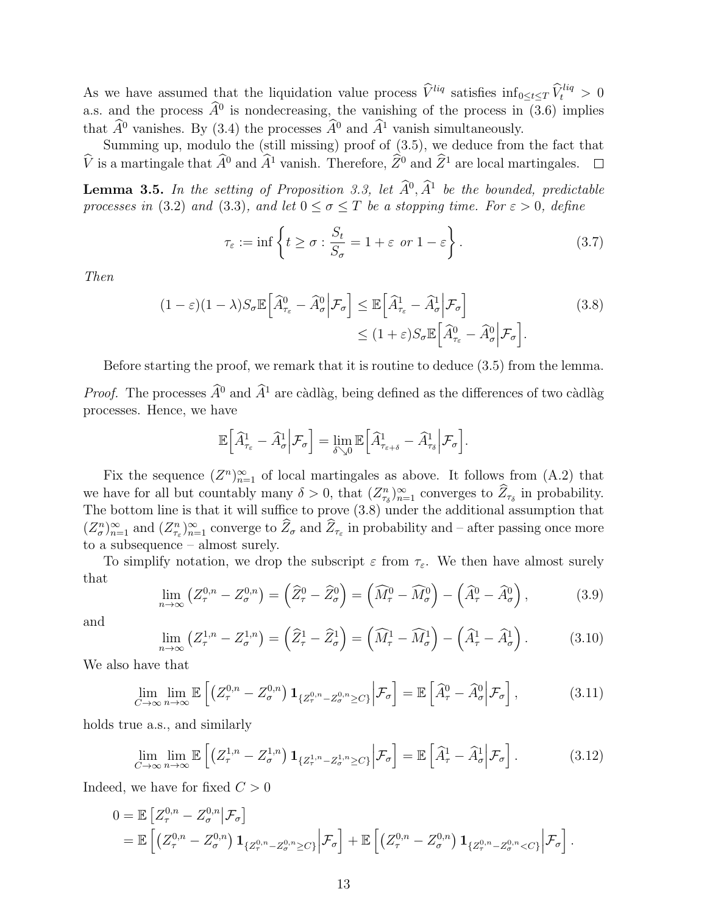As we have assumed that the liquidation value process  $\hat{V}^{liq}$  satisfies  $\inf_{0 \leq t \leq T} \hat{V}^{liq}_t > 0$ a.s. and the process  $\hat{A}^0$  is nondecreasing, the vanishing of the process in (3.6) implies that  $\widehat{A}^0$  vanishes. By (3.4) the processes  $\widehat{A}^0$  and  $\widehat{A}^1$  vanish simultaneously.

Summing up, modulo the (still missing) proof of (3.5), we deduce from the fact that  $\hat{V}$  is a martingale that  $\hat{A}^0$  and  $\hat{A}^1$  vanish. Therefore,  $\hat{Z}^0$  and  $\hat{Z}^1$  are local martingales.  $\Box$ 

**Lemma 3.5.** In the setting of Proposition 3.3, let  $\hat{A}^0$ ,  $\hat{A}^1$  be the bounded, predictable *processes in* (3.2) *and* (3.3)*, and let*  $0 \le \sigma \le T$  *be a stopping time. For*  $\varepsilon > 0$ *, define* 

$$
\tau_{\varepsilon} := \inf \left\{ t \ge \sigma : \frac{S_t}{S_{\sigma}} = 1 + \varepsilon \text{ or } 1 - \varepsilon \right\}. \tag{3.7}
$$

*Then*

$$
(1 - \varepsilon)(1 - \lambda)S_{\sigma} \mathbb{E}\left[\widehat{A}^{0}_{\tau_{\varepsilon}} - \widehat{A}^{0}_{\sigma} \Big| \mathcal{F}_{\sigma}\right] \leq \mathbb{E}\left[\widehat{A}^{1}_{\tau_{\varepsilon}} - \widehat{A}^{1}_{\sigma} \Big| \mathcal{F}_{\sigma}\right]
$$
  

$$
\leq (1 + \varepsilon)S_{\sigma} \mathbb{E}\left[\widehat{A}^{0}_{\tau_{\varepsilon}} - \widehat{A}^{0}_{\sigma} \Big| \mathcal{F}_{\sigma}\right].
$$
 (3.8)

Before starting the proof, we remark that it is routine to deduce (3.5) from the lemma.

*Proof.* The processes  $\widehat{A}^0$  and  $\widehat{A}^1$  are càdlàg, being defined as the differences of two càdlàg processes. Hence, we have

$$
\mathbb{E}\Big[\widehat{A}^1_{\tau_\varepsilon}-\widehat{A}^1_\sigma\Big|\mathcal{F}_\sigma\Big]=\lim_{\delta\searrow 0}\mathbb{E}\Big[\widehat{A}^1_{\tau_{\varepsilon+\delta}}-\widehat{A}^1_{\tau_\delta}\Big|\mathcal{F}_\sigma\Big].
$$

Fix the sequence  $(Z^n)_{n=1}^{\infty}$  of local martingales as above. It follows from (A.2) that we have for all but countably many  $\delta > 0$ , that  $(Z_{\tau_{\delta}}^n)_{n=1}^{\infty}$  converges to  $Z_{\tau_{\delta}}$  in probability. The bottom line is that it will suffice to prove (3.8) under the additional assumption that  $(Z_{\sigma}^n)_{n=1}^{\infty}$  and  $(Z_{\tau_{\varepsilon}}^n)_{n=1}^{\infty}$  converge to  $\overline{Z}_{\sigma}$  and  $\overline{Z}_{\tau_{\varepsilon}}$  in probability and – after passing once more to a subsequence – almost surely.

To simplify notation, we drop the subscript  $\varepsilon$  from  $\tau_{\varepsilon}$ . We then have almost surely that

$$
\lim_{n \to \infty} \left( Z_{\tau}^{0,n} - Z_{\sigma}^{0,n} \right) = \left( \widehat{Z}_{\tau}^{0} - \widehat{Z}_{\sigma}^{0} \right) = \left( \widehat{M}_{\tau}^{0} - \widehat{M}_{\sigma}^{0} \right) - \left( \widehat{A}_{\tau}^{0} - \widehat{A}_{\sigma}^{0} \right), \tag{3.9}
$$

and

$$
\lim_{n \to \infty} \left( Z_{\tau}^{1,n} - Z_{\sigma}^{1,n} \right) = \left( \widehat{Z}_{\tau}^1 - \widehat{Z}_{\sigma}^1 \right) = \left( \widehat{M}_{\tau}^1 - \widehat{M}_{\sigma}^1 \right) - \left( \widehat{A}_{\tau}^1 - \widehat{A}_{\sigma}^1 \right). \tag{3.10}
$$

We also have that

$$
\lim_{C \to \infty} \lim_{n \to \infty} \mathbb{E}\left[ \left( Z_{\tau}^{0,n} - Z_{\sigma}^{0,n} \right) \mathbf{1}_{\{Z_{\tau}^{0,n} - Z_{\sigma}^{0,n} \ge C\}} \Big| \mathcal{F}_{\sigma} \right] = \mathbb{E}\left[ \widehat{A}_{\tau}^{0} - \widehat{A}_{\sigma}^{0} \Big| \mathcal{F}_{\sigma} \right],\tag{3.11}
$$

holds true a.s., and similarly

$$
\lim_{C \to \infty} \lim_{n \to \infty} \mathbb{E}\left[ \left( Z_{\tau}^{1,n} - Z_{\sigma}^{1,n} \right) \mathbf{1}_{\{Z_{\tau}^{1,n} - Z_{\sigma}^{1,n} \ge C\}} \Big| \mathcal{F}_{\sigma} \right] = \mathbb{E}\left[ \widehat{A}_{\tau}^{1} - \widehat{A}_{\sigma}^{1} \Big| \mathcal{F}_{\sigma} \right]. \tag{3.12}
$$

Indeed, we have for fixed  $C > 0$ 

$$
0 = \mathbb{E}\left[Z_{\tau}^{0,n} - Z_{\sigma}^{0,n} | \mathcal{F}_{\sigma}\right]
$$
  
= 
$$
\mathbb{E}\left[\left(Z_{\tau}^{0,n} - Z_{\sigma}^{0,n}\right) \mathbf{1}_{\{Z_{\tau}^{0,n} - Z_{\sigma}^{0,n} \ge C\}} | \mathcal{F}_{\sigma}\right] + \mathbb{E}\left[\left(Z_{\tau}^{0,n} - Z_{\sigma}^{0,n}\right) \mathbf{1}_{\{Z_{\tau}^{0,n} - Z_{\sigma}^{0,n} < C\}} | \mathcal{F}_{\sigma}\right].
$$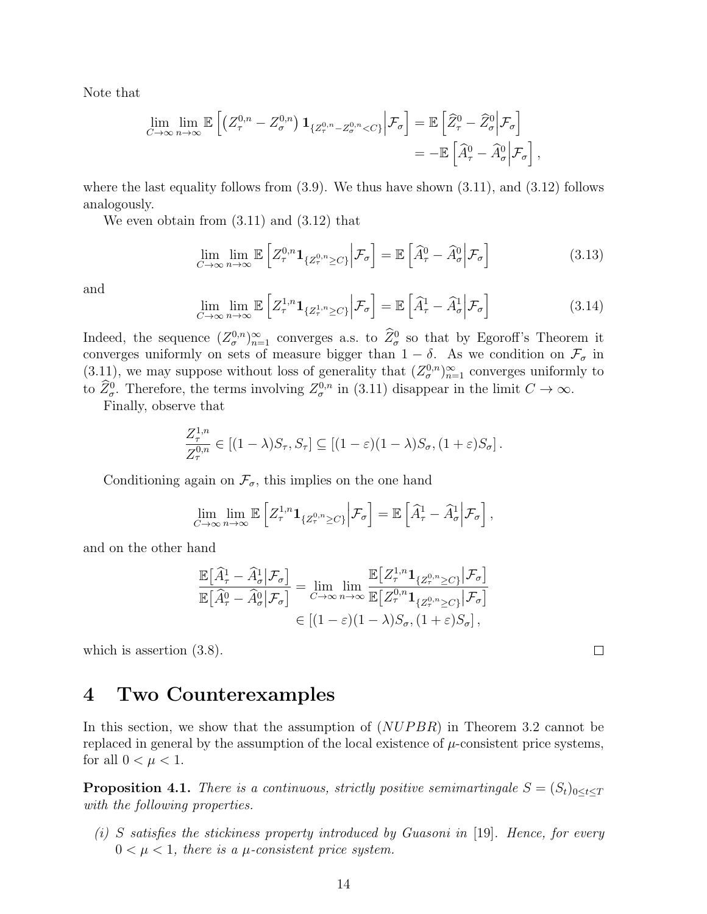Note that

$$
\lim_{C \to \infty} \lim_{n \to \infty} \mathbb{E} \left[ \left( Z_{\tau}^{0,n} - Z_{\sigma}^{0,n} \right) \mathbf{1}_{\{Z_{\tau}^{0,n} - Z_{\sigma}^{0,n} < C\}} \Big| \mathcal{F}_{\sigma} \right] = \mathbb{E} \left[ \widehat{Z}_{\tau}^{0} - \widehat{Z}_{\sigma}^{0} \Big| \mathcal{F}_{\sigma} \right] \n= - \mathbb{E} \left[ \widehat{A}_{\tau}^{0} - \widehat{A}_{\sigma}^{0} \Big| \mathcal{F}_{\sigma} \right],
$$

where the last equality follows from  $(3.9)$ . We thus have shown  $(3.11)$ , and  $(3.12)$  follows analogously.

We even obtain from (3.11) and (3.12) that

$$
\lim_{C \to \infty} \lim_{n \to \infty} \mathbb{E} \left[ Z_{\tau}^{0,n} \mathbf{1}_{\{Z_{\tau}^{0,n} \ge C\}} \Big| \mathcal{F}_{\sigma} \right] = \mathbb{E} \left[ \widehat{A}_{\tau}^{0} - \widehat{A}_{\sigma}^{0} \Big| \mathcal{F}_{\sigma} \right]
$$
(3.13)

and

$$
\lim_{C \to \infty} \lim_{n \to \infty} \mathbb{E} \left[ Z_{\tau}^{1,n} \mathbf{1}_{\{Z_{\tau}^{1,n} \ge C\}} \Big| \mathcal{F}_{\sigma} \right] = \mathbb{E} \left[ \widehat{A}_{\tau}^{1} - \widehat{A}_{\sigma}^{1} \Big| \mathcal{F}_{\sigma} \right]
$$
\n(3.14)

Indeed, the sequence  $(Z_{\sigma}^{0,n})_{n=1}^{\infty}$  converges a.s. to  $\hat{Z}_{\sigma}^{0}$  so that by Egoroff's Theorem it converges uniformly on sets of measure bigger than  $1 - \delta$ . As we condition on  $\mathcal{F}_{\sigma}$  in (3.11), we may suppose without loss of generality that  $(Z_{\sigma}^{0,n})_{n=1}^{\infty}$  converges uniformly to to  $\tilde{Z}_{\sigma}^{0}$ . Therefore, the terms involving  $Z_{\sigma}^{0,n}$  in (3.11) disappear in the limit  $C \to \infty$ .

Finally, observe that

$$
\frac{Z_{\tau}^{1,n}}{Z_{\tau}^{0,n}} \in [(1-\lambda)S_{\tau}, S_{\tau}] \subseteq [(1-\varepsilon)(1-\lambda)S_{\sigma}, (1+\varepsilon)S_{\sigma}].
$$

Conditioning again on  $\mathcal{F}_{\sigma}$ , this implies on the one hand

$$
\lim_{C \to \infty} \lim_{n \to \infty} \mathbb{E} \left[ Z_{\tau}^{1,n} \mathbf{1}_{\{Z_{\tau}^{0,n} \ge C\}} \Big| \mathcal{F}_{\sigma} \right] = \mathbb{E} \left[ \widehat{A}_{\tau}^1 - \widehat{A}_{\sigma}^1 \Big| \mathcal{F}_{\sigma} \right],
$$

and on the other hand

$$
\frac{\mathbb{E}\left[\widehat{A}^1_{\tau} - \widehat{A}^1_{\sigma} \middle| \mathcal{F}_{\sigma}\right]}{\mathbb{E}\left[\widehat{A}^0_{\tau} - \widehat{A}^0_{\sigma} \middle| \mathcal{F}_{\sigma}\right]} = \lim_{C \to \infty} \lim_{n \to \infty} \frac{\mathbb{E}\left[Z^{1,n}_{\tau} \mathbf{1}_{\{Z^{0,n}_{\tau} \ge C\}} \middle| \mathcal{F}_{\sigma}\right]}{\mathbb{E}\left[Z^{0,n}_{\tau} \mathbf{1}_{\{Z^{0,n}_{\tau} \ge C\}} \middle| \mathcal{F}_{\sigma}\right]} \in \left[(1-\varepsilon)(1-\lambda)S_{\sigma}, (1+\varepsilon)S_{\sigma}\right],
$$

which is assertion  $(3.8)$ .

### **4 Two Counterexamples**

In this section, we show that the assumption of (*NUP BR*) in Theorem 3.2 cannot be replaced in general by the assumption of the local existence of  $\mu$ -consistent price systems, for all  $0 < \mu < 1$ .

**Proposition 4.1.** *There is a continuous, strictly positive semimartingale*  $S = (S_t)_{0 \le t \le T}$ *with the following properties.*

*(i) S satisfies the stickiness property introduced by Guasoni in* [19]*. Hence, for every*  $0 < \mu < 1$ , there is a  $\mu$ -consistent price system.

 $\Box$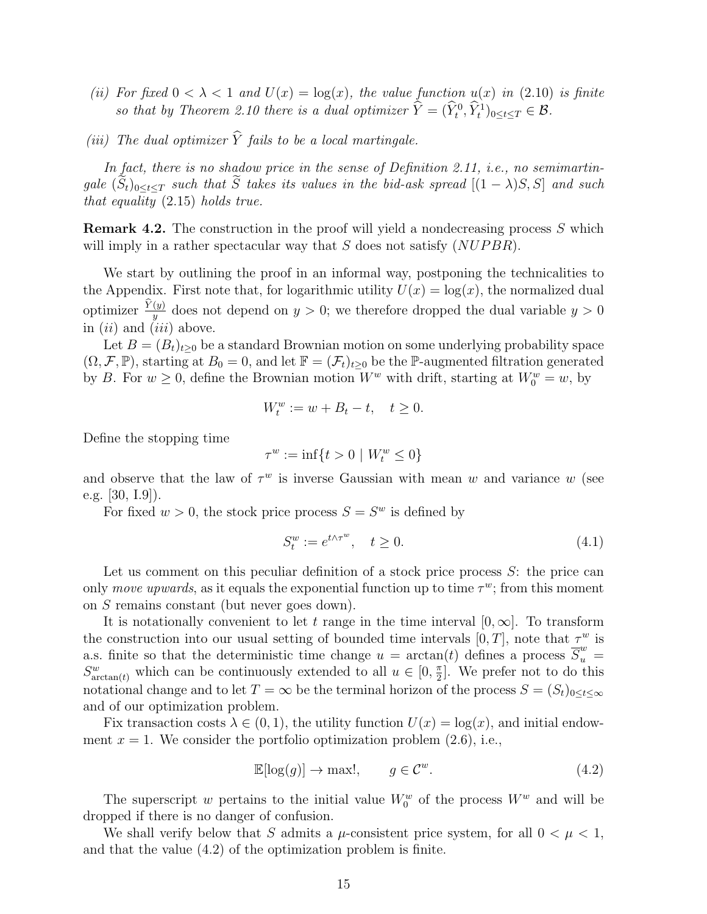- *(ii)* For fixed  $0 < \lambda < 1$  and  $U(x) = \log(x)$ , the value function  $u(x)$  in (2.10) is finite *so that by Theorem 2.10 there is a dual optimizer*  $\hat{Y} = (\hat{Y}_t^0, \hat{Y}_t^1)_{0 \le t \le T} \in \mathcal{B}$ *.*
- *(iii)* The dual optimizer  $\widehat{Y}$  fails to be a local martingale.

*In fact, there is no shadow price in the sense of Definition 2.11, i.e., no semimartingale*  $(\tilde{S}_t)_{0 \le t \le T}$  *such that*  $\tilde{S}$  *takes its values in the bid-ask spread*  $[(1 - \lambda)S, S]$  *and such that equality* (2.15) *holds true.*

**Remark 4.2.** The construction in the proof will yield a nondecreasing process *S* which will imply in a rather spectacular way that *S* does not satisfy (*NUP BR*).

We start by outlining the proof in an informal way, postponing the technicalities to the Appendix. First note that, for logarithmic utility  $U(x) = \log(x)$ , the normalized dual optimizer  $\frac{Y(y)}{y}$  does not depend on  $y > 0$ ; we therefore dropped the dual variable  $y > 0$ *y* in (*ii*) and (*iii*) above.

Let  $B = (B_t)_{t>0}$  be a standard Brownian motion on some underlying probability space  $(\Omega, \mathcal{F}, \mathbb{P})$ , starting at  $B_0 = 0$ , and let  $\mathbb{F} = (\mathcal{F}_t)_{t \geq 0}$  be the P-augmented filtration generated by *B*. For  $w \ge 0$ , define the Brownian motion  $W^w$  with drift, starting at  $W_0^w = w$ , by

$$
W_t^w := w + B_t - t, \quad t \ge 0.
$$

Define the stopping time

$$
\tau^w := \inf\{t > 0 \mid W_t^w \le 0\}
$$

and observe that the law of  $\tau^w$  is inverse Gaussian with mean *w* and variance *w* (see e.g. [30, I.9]).

For fixed  $w > 0$ , the stock price process  $S = S^w$  is defined by

$$
S_t^w := e^{t \wedge \tau^w}, \quad t \ge 0. \tag{4.1}
$$

Let us comment on this peculiar definition of a stock price process *S*: the price can only *move upwards*, as it equals the exponential function up to time  $\tau^w$ ; from this moment on *S* remains constant (but never goes down).

It is notationally convenient to let *t* range in the time interval  $[0, \infty]$ . To transform the construction into our usual setting of bounded time intervals  $[0, T]$ , note that  $\tau^w$  is a.s. finite so that the deterministic time change  $u = \arctan(t)$  defines a process  $\overline{S}_u^w$  $S_{\arctan(t)}^w$  which can be continuously extended to all  $u \in [0, \frac{\pi}{2}]$  $\frac{\pi}{2}$ . We prefer not to do this notational change and to let  $T = \infty$  be the terminal horizon of the process  $S = (S_t)_{0 \le t \le \infty}$ and of our optimization problem.

Fix transaction costs  $\lambda \in (0,1)$ , the utility function  $U(x) = \log(x)$ , and initial endowment  $x = 1$ . We consider the portfolio optimization problem  $(2.6)$ , i.e.,

$$
\mathbb{E}[\log(g)] \to \max!, \qquad g \in \mathcal{C}^w. \tag{4.2}
$$

The superscript *w* pertains to the initial value  $W_0^w$  of the process  $W^w$  and will be dropped if there is no danger of confusion.

We shall verify below that *S* admits a  $\mu$ -consistent price system, for all  $0 < \mu < 1$ , and that the value (4.2) of the optimization problem is finite.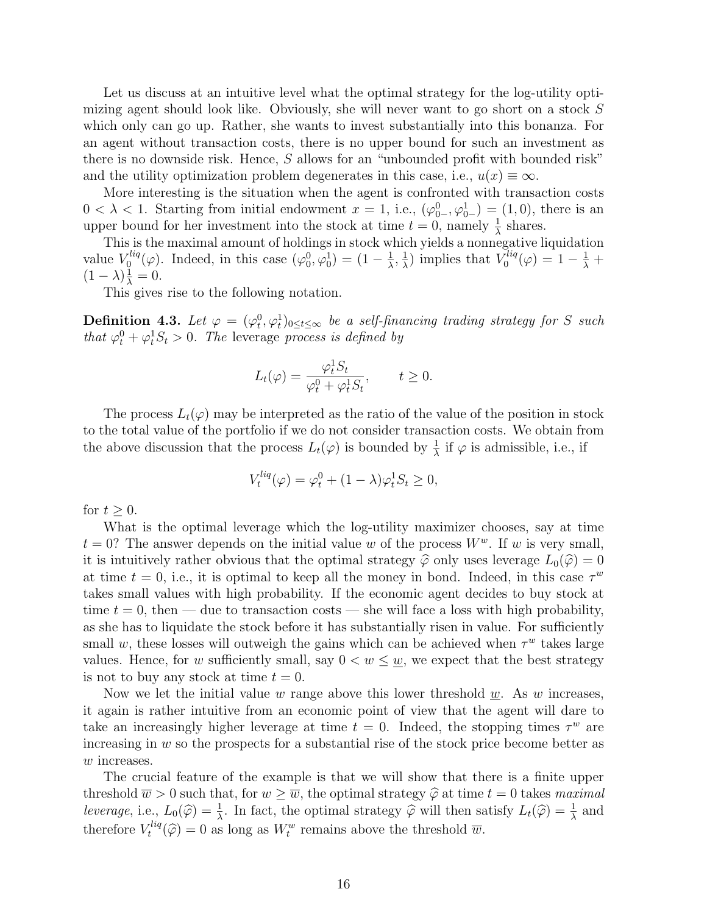Let us discuss at an intuitive level what the optimal strategy for the log-utility optimizing agent should look like. Obviously, she will never want to go short on a stock *S* which only can go up. Rather, she wants to invest substantially into this bonanza. For an agent without transaction costs, there is no upper bound for such an investment as there is no downside risk. Hence, *S* allows for an "unbounded profit with bounded risk" and the utility optimization problem degenerates in this case, i.e.,  $u(x) \equiv \infty$ .

More interesting is the situation when the agent is confronted with transaction costs  $0 < \lambda < 1$ . Starting from initial endowment  $x = 1$ , i.e.,  $(\varphi_{0-}^0, \varphi_{0-}^1) = (1, 0)$ , there is an upper bound for her investment into the stock at time  $t = 0$ , namely  $\frac{1}{\lambda}$  shares.

This is the maximal amount of holdings in stock which yields a nonnegative liquidation value *V liq*  $\chi_{0}^{liq}(\varphi)$ . Indeed, in this case  $(\varphi_{0}^{0}, \varphi_{0}^{1}) = (1 - \frac{1}{\lambda})$  $\frac{1}{\lambda}$ ,  $\frac{1}{\lambda}$  $\frac{1}{\lambda}$ ) implies that  $V_0^{liq}$  $\sigma_0^{liq}(\varphi) = 1 - \frac{1}{\lambda} +$  $(1 - \lambda) \frac{1}{\lambda} = 0.$ 

This gives rise to the following notation.

**Definition 4.3.** Let  $\varphi = (\varphi_t^0, \varphi_t^1)_{0 \le t \le \infty}$  be a self-financing trading strategy for *S* such *that*  $\varphi_t^0 + \varphi_t^1 S_t > 0$ . The leverage *process is defined by* 

$$
L_t(\varphi) = \frac{\varphi_t^1 S_t}{\varphi_t^0 + \varphi_t^1 S_t}, \qquad t \ge 0.
$$

The process  $L_t(\varphi)$  may be interpreted as the ratio of the value of the position in stock to the total value of the portfolio if we do not consider transaction costs. We obtain from the above discussion that the process  $L_t(\varphi)$  is bounded by  $\frac{1}{\lambda}$  if  $\varphi$  is admissible, i.e., if

$$
V_t^{liq}(\varphi) = \varphi_t^0 + (1 - \lambda)\varphi_t^1 S_t \ge 0,
$$

for  $t \geq 0$ .

What is the optimal leverage which the log-utility maximizer chooses, say at time  $t = 0$ ? The answer depends on the initial value *w* of the process  $W<sup>w</sup>$ . If *w* is very small, it is intuitively rather obvious that the optimal strategy  $\hat{\varphi}$  only uses leverage  $L_0(\hat{\varphi}) = 0$ at time  $t = 0$ , i.e., it is optimal to keep all the money in bond. Indeed, in this case  $\tau^w$ takes small values with high probability. If the economic agent decides to buy stock at time  $t = 0$ , then — due to transaction costs — she will face a loss with high probability, as she has to liquidate the stock before it has substantially risen in value. For sufficiently small *w*, these losses will outweigh the gains which can be achieved when  $\tau^w$  takes large values. Hence, for *w* sufficiently small, say  $0 < w \leq w$ , we expect that the best strategy is not to buy any stock at time  $t = 0$ .

Now we let the initial value *w* range above this lower threshold *w*. As *w* increases, it again is rather intuitive from an economic point of view that the agent will dare to take an increasingly higher leverage at time  $t = 0$ . Indeed, the stopping times  $\tau^w$  are increasing in *w* so the prospects for a substantial rise of the stock price become better as *w* increases.

The crucial feature of the example is that we will show that there is a finite upper threshold  $\overline{w} > 0$  such that, for  $w \geq \overline{w}$ , the optimal strategy  $\widehat{\varphi}$  at time  $t = 0$  takes *maximal leverage*, i.e.,  $L_0(\hat{\varphi}) = \frac{1}{\lambda}$ . In fact, the optimal strategy  $\hat{\varphi}$  will then satisfy  $L_t(\hat{\varphi}) = \frac{1}{\lambda}$  and therefore  $V_t^{liq}$  $t^{liq}(\hat{\varphi}) = 0$  as long as  $W_t^w$  remains above the threshold  $\overline{w}$ .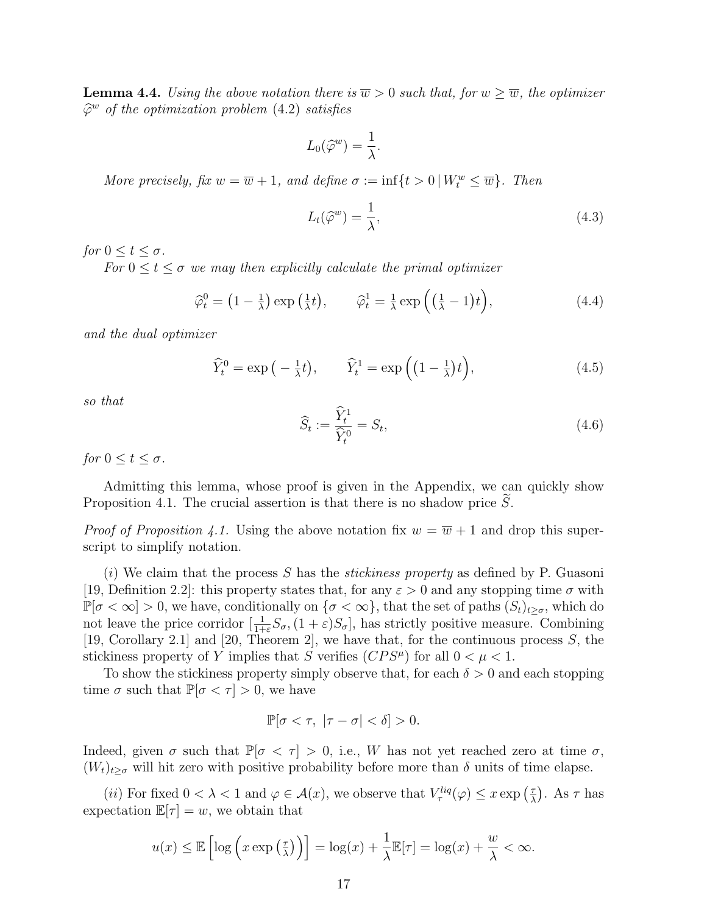**Lemma 4.4.** *Using the above notation there is*  $\overline{w} > 0$  *such that, for*  $w \geq \overline{w}$ *, the optimizer φ*b *<sup>w</sup> of the optimization problem* (4.2) *satisfies*

$$
L_0(\widehat{\varphi}^w) = \frac{1}{\lambda}.
$$

*More precisely, fix*  $w = \overline{w} + 1$ *, and define*  $\sigma := \inf\{t > 0 \mid W_t^w \leq \overline{w}\}$ *. Then* 

$$
L_t(\hat{\varphi}^w) = \frac{1}{\lambda},\tag{4.3}
$$

*for*  $0 \le t \le \sigma$ *.* 

*For*  $0 \le t \le \sigma$  *we may then explicitly calculate the primal optimizer* 

$$
\widehat{\varphi}_t^0 = \left(1 - \frac{1}{\lambda}\right) \exp\left(\frac{1}{\lambda}t\right), \qquad \widehat{\varphi}_t^1 = \frac{1}{\lambda} \exp\left(\left(\frac{1}{\lambda} - 1\right)t\right), \tag{4.4}
$$

*and the dual optimizer*

$$
\widehat{Y}_t^0 = \exp\left(-\frac{1}{\lambda}t\right), \qquad \widehat{Y}_t^1 = \exp\left(\left(1 - \frac{1}{\lambda}\right)t\right), \tag{4.5}
$$

*so that*

$$
\widehat{S}_t := \frac{\widehat{Y}_t^1}{\widehat{Y}_t^0} = S_t,\tag{4.6}
$$

*for*  $0 \le t \le \sigma$ *.* 

Admitting this lemma, whose proof is given in the Appendix, we can quickly show Proposition 4.1. The crucial assertion is that there is no shadow price *S*.

*Proof of Proposition 4.1.* Using the above notation fix  $w = \overline{w} + 1$  and drop this superscript to simplify notation.

(*i*) We claim that the process *S* has the *stickiness property* as defined by P. Guasoni [19, Definition 2.2]: this property states that, for any  $\varepsilon > 0$  and any stopping time  $\sigma$  with  $\mathbb{P}[\sigma < \infty] > 0$ , we have, conditionally on  $\{\sigma < \infty\}$ , that the set of paths  $(S_t)_{t \geq \sigma}$ , which do not leave the price corridor  $[\frac{1}{1+\varepsilon}S_{\sigma},(1+\varepsilon)S_{\sigma}]$ , has strictly positive measure. Combining [19, Corollary 2.1] and [20, Theorem 2], we have that, for the continuous process *S*, the stickiness property of *Y* implies that *S* verifies  $(CPS^{\mu})$  for all  $0 < \mu < 1$ .

To show the stickiness property simply observe that, for each *δ >* 0 and each stopping time  $\sigma$  such that  $\mathbb{P}[\sigma < \tau] > 0$ , we have

$$
\mathbb{P}[\sigma < \tau, |\tau - \sigma| < \delta] > 0.
$$

Indeed, given  $\sigma$  such that  $\mathbb{P}[\sigma < \tau] > 0$ , i.e., W has not yet reached zero at time  $\sigma$ ,  $(W_t)_{t\geq\sigma}$  will hit zero with positive probability before more than  $\delta$  units of time elapse.

(*ii*) For fixed  $0 < \lambda < 1$  and  $\varphi \in \mathcal{A}(x)$ , we observe that  $V^{liq}_{\tau}(\varphi) \leq x \exp\left(\frac{\tau}{\lambda}\right)$  $(\frac{\tau}{\lambda})$ . As  $\tau$  has expectation  $\mathbb{E}[\tau] = w$ , we obtain that

$$
u(x) \le \mathbb{E}\left[\log\left(x \exp\left(\frac{\tau}{\lambda}\right)\right)\right] = \log(x) + \frac{1}{\lambda}\mathbb{E}[\tau] = \log(x) + \frac{w}{\lambda} < \infty.
$$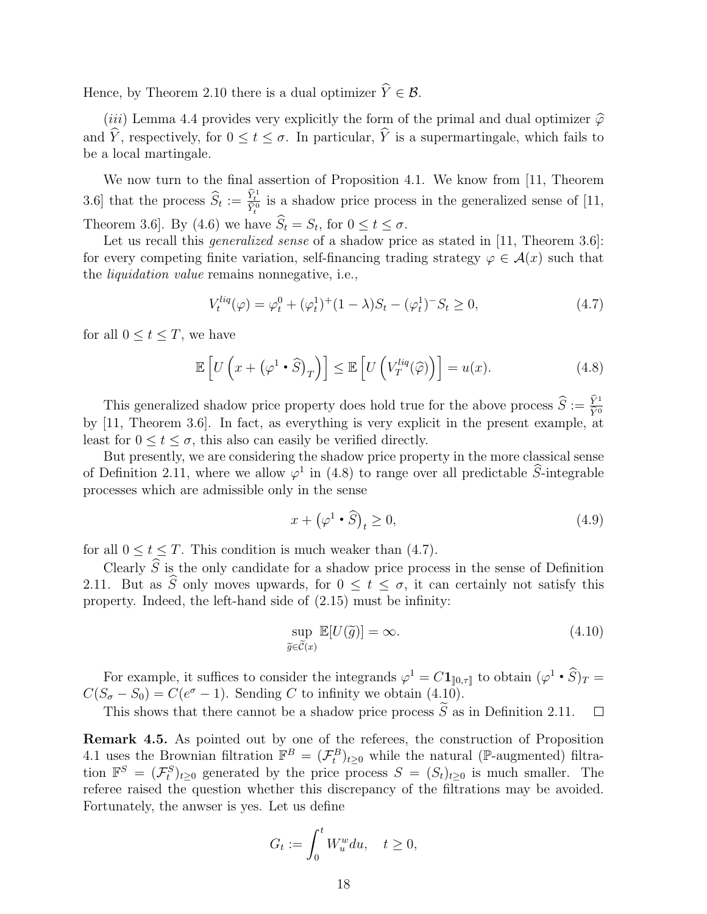Hence, by Theorem 2.10 there is a dual optimizer  $\hat{Y} \in \mathcal{B}$ .

(*iii*) Lemma 4.4 provides very explicitly the form of the primal and dual optimizer  $\hat{\varphi}$ and  $\hat{Y}$ , respectively, for  $0 \le t \le \sigma$ . In particular,  $\hat{Y}$  is a supermartingale, which fails to be a local martingale.

We now turn to the final assertion of Proposition 4.1. We know from [11, Theorem 3.6] that the process  $\hat{S}_t := \frac{\hat{Y}_t^1}{\hat{Y}_t^0}$  is a shadow price process in the generalized sense of [11, Theorem 3.6]. By (4.6) we have  $\widehat{S}_t = S_t$ , for  $0 \le t \le \sigma$ .

Let us recall this *generalized sense* of a shadow price as stated in [11, Theorem 3.6]: for every competing finite variation, self-financing trading strategy  $\varphi \in \mathcal{A}(x)$  such that the *liquidation value* remains nonnegative, i.e.,

$$
V_t^{liq}(\varphi) = \varphi_t^0 + (\varphi_t^1)^+(1-\lambda)S_t - (\varphi_t^1)^-S_t \ge 0,
$$
\n(4.7)

for all  $0 \le t \le T$ , we have

$$
\mathbb{E}\left[U\left(x+\left(\varphi^{1}\bullet\widehat{S}\right)_{T}\right)\right]\leq\mathbb{E}\left[U\left(V_{T}^{liq}(\widehat{\varphi})\right)\right]=u(x). \tag{4.8}
$$

This generalized shadow price property does hold true for the above process  $\hat{S} := \frac{\hat{Y}^1}{\hat{Y}^0}$ by [11, Theorem 3.6]. In fact, as everything is very explicit in the present example, at least for  $0 \le t \le \sigma$ , this also can easily be verified directly.

But presently, we are considering the shadow price property in the more classical sense of Definition 2.11, where we allow  $\varphi^1$  in (4.8) to range over all predictable  $\hat{S}$ -integrable processes which are admissible only in the sense

$$
x + \left(\varphi^1 \bullet \widehat{S}\right)_t \ge 0,\tag{4.9}
$$

for all  $0 \le t \le T$ . This condition is much weaker than (4.7).

Clearly *S* is the only candidate for a shadow price process in the sense of Definition 2.11. But as  $\widehat{S}$  only moves upwards, for  $0 \leq t \leq \sigma$ , it can certainly not satisfy this property. Indeed, the left-hand side of (2.15) must be infinity:

$$
\sup_{\widetilde{g}\in\widetilde{\mathcal{C}}(x)} \mathbb{E}[U(\widetilde{g})] = \infty.
$$
\n(4.10)

For example, it suffices to consider the integrands  $\varphi^1 = C \mathbf{1}_{[0,\tau]}$  to obtain  $(\varphi^1 \cdot \hat{S})_T =$  $C(S_{\sigma} - S_0) = C(e^{\sigma} - 1)$ . Sending *C* to infinity we obtain (4.10).

This shows that there cannot be a shadow price process  $\tilde{S}$  as in Definition 2.11.  $\Box$ 

**Remark 4.5.** As pointed out by one of the referees, the construction of Proposition 4.1 uses the Brownian filtration  $\mathbb{F}^B = (\mathcal{F}^B_t)_{t \geq 0}$  while the natural (P-augmented) filtration  $\mathbb{F}^S = (\mathcal{F}^S_t)_{t \geq 0}$  generated by the price process  $S = (S_t)_{t \geq 0}$  is much smaller. The referee raised the question whether this discrepancy of the filtrations may be avoided. Fortunately, the anwser is yes. Let us define

$$
G_t := \int_0^t W_u^w du, \quad t \ge 0,
$$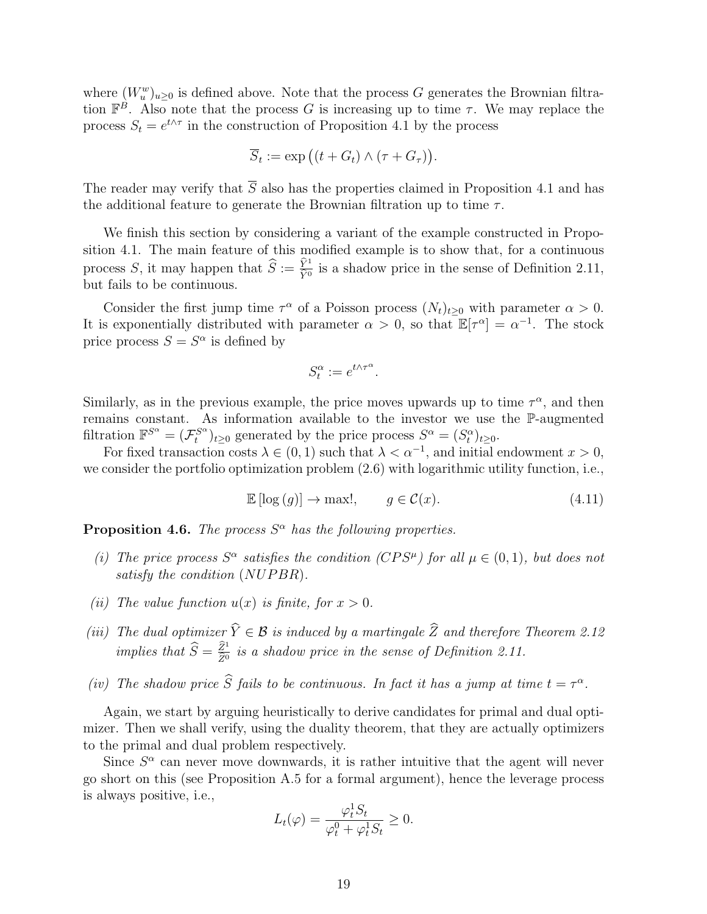where  $(W_u^w)_{u\geq 0}$  is defined above. Note that the process *G* generates the Brownian filtration  $\mathbb{F}^B$ . Also note that the process *G* is increasing up to time *τ*. We may replace the process  $S_t = e^{t \wedge \tau}$  in the construction of Proposition 4.1 by the process

$$
\overline{S}_t := \exp\big((t + G_t) \wedge (\tau + G_\tau)\big).
$$

The reader may verify that  $\overline{S}$  also has the properties claimed in Proposition 4.1 and has the additional feature to generate the Brownian filtration up to time *τ* .

We finish this section by considering a variant of the example constructed in Proposition 4.1. The main feature of this modified example is to show that, for a continuous process *S*, it may happen that  $\widehat{S} := \frac{\widehat{Y}^1}{\widehat{Y}^0}$  is a shadow price in the sense of Definition 2.11, but fails to be continuous.

Consider the first jump time  $\tau^{\alpha}$  of a Poisson process  $(N_t)_{t\geq 0}$  with parameter  $\alpha > 0$ . It is exponentially distributed with parameter  $\alpha > 0$ , so that  $\mathbb{E}[\tau^{\alpha}] = \alpha^{-1}$ . The stock price process  $S = S^{\alpha}$  is defined by

$$
S_t^{\alpha} := e^{t \wedge \tau^{\alpha}}.
$$

Similarly, as in the previous example, the price moves upwards up to time  $\tau^{\alpha}$ , and then remains constant. As information available to the investor we use the P-augmented filtration  $\mathbb{F}^{S^{\alpha}} = (\mathcal{F}^{S^{\alpha}}_t)$  $f_t^{S^{\alpha}}$ )<sub>*t*</sub><sub>≥0</sub> generated by the price process  $S^{\alpha} = (S_t^{\alpha})_{t \geq 0}$ .

For fixed transaction costs  $\lambda \in (0,1)$  such that  $\lambda < \alpha^{-1}$ , and initial endowment  $x > 0$ , we consider the portfolio optimization problem  $(2.6)$  with logarithmic utility function, i.e.,

$$
\mathbb{E}\left[\log\left(g\right)\right] \to \max!, \qquad g \in \mathcal{C}(x). \tag{4.11}
$$

**Proposition 4.6.** *The process*  $S^{\alpha}$  *has the following properties.* 

- *(i)* The price process  $S^{\alpha}$  satisfies the condition ( $CPS^{\mu}$ ) for all  $\mu \in (0,1)$ *, but does not satisfy the condition* (*NUP BR*)*.*
- *(ii) The value function*  $u(x)$  *is finite, for*  $x > 0$ *.*
- *(iii) The dual optimizer*  $\hat{Y} \in \mathcal{B}$  *is induced by a martingale*  $\hat{Z}$  *and therefore Theorem 2.12 implies that*  $\widehat{S} = \frac{\widehat{Z}^1}{\widehat{Z}^0}$  $\frac{Z^4}{\hat{Z}^0}$  is a shadow price in the sense of Definition 2.11.
- *(iv) The shadow price S fails to be continuous. In fact it has a jump at time*  $t = \tau^{\alpha}$ *.*

Again, we start by arguing heuristically to derive candidates for primal and dual optimizer. Then we shall verify, using the duality theorem, that they are actually optimizers to the primal and dual problem respectively.

Since  $S^{\alpha}$  can never move downwards, it is rather intuitive that the agent will never go short on this (see Proposition A.5 for a formal argument), hence the leverage process is always positive, i.e.,

$$
L_t(\varphi) = \frac{\varphi_t^1 S_t}{\varphi_t^0 + \varphi_t^1 S_t} \ge 0.
$$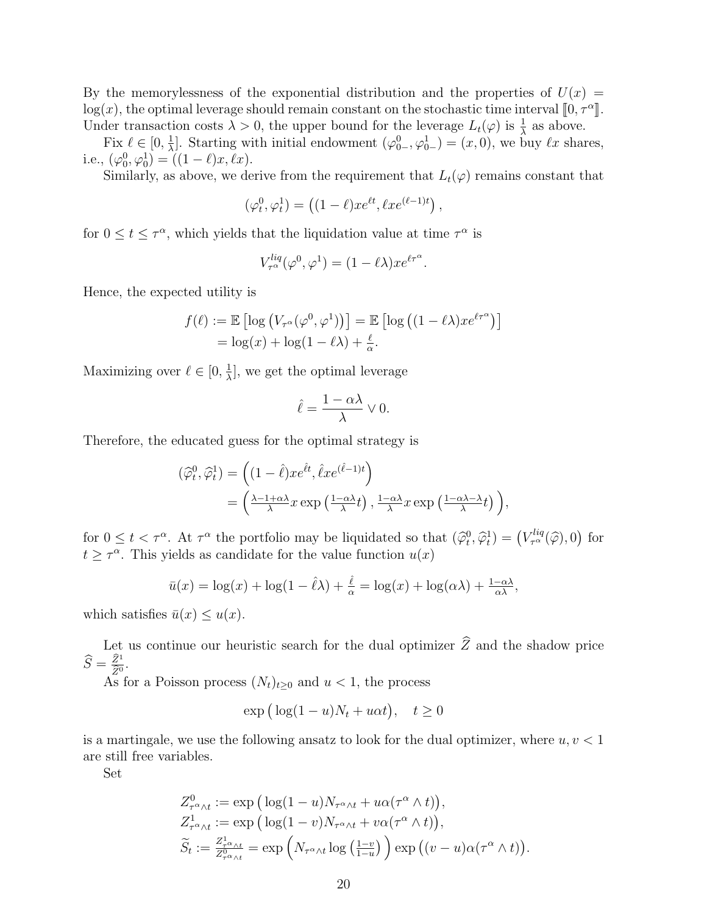By the memorylessness of the exponential distribution and the properties of  $U(x)$  $\log(x)$ , the optimal leverage should remain constant on the stochastic time interval  $[0, \tau^{\alpha}]$ . Under transaction costs  $\lambda > 0$ , the upper bound for the leverage  $L_t(\varphi)$  is  $\frac{1}{\lambda}$  as above.

Fix  $\ell \in [0, \frac{1}{\lambda}]$ *λ*<sup>1</sup>. Starting with initial endowment  $(φ_{0-}^0, φ_{0-}^1) = (x, 0)$ , we buy *ℓx* shares, i.e.,  $(\varphi_0^0, \varphi_0^1) = ((1 - \ell)x, \ell x)$ .

Similarly, as above, we derive from the requirement that  $L_t(\varphi)$  remains constant that

$$
(\varphi_t^0, \varphi_t^1) = \left( (1 - \ell) x e^{\ell t}, \ell x e^{(\ell - 1)t} \right),
$$

for  $0 \le t \le \tau^{\alpha}$ , which yields that the liquidation value at time  $\tau^{\alpha}$  is

$$
V_{\tau^{\alpha}}^{liq}(\varphi^0, \varphi^1) = (1 - \ell \lambda) x e^{\ell \tau^{\alpha}}.
$$

Hence, the expected utility is

$$
f(\ell) := \mathbb{E} \left[ \log \left( V_{\tau^{\alpha}}(\varphi^{0}, \varphi^{1}) \right) \right] = \mathbb{E} \left[ \log \left( (1 - \ell \lambda) x e^{\ell \tau^{\alpha}} \right) \right]
$$

$$
= \log(x) + \log(1 - \ell \lambda) + \frac{\ell}{\alpha}.
$$

Maximizing over  $\ell \in [0, \frac{1}{\lambda}]$  $\frac{1}{\lambda}$ , we get the optimal leverage

$$
\hat{\ell} = \frac{1 - \alpha \lambda}{\lambda} \vee 0.
$$

Therefore, the educated guess for the optimal strategy is

$$
\begin{split} (\widehat{\varphi}_t^0, \widehat{\varphi}_t^1) &= \left( (1 - \widehat{\ell}) x e^{\widehat{\ell} t}, \widehat{\ell} x e^{(\widehat{\ell} - 1)t} \right) \\ &= \left( \frac{\lambda - 1 + \alpha \lambda}{\lambda} x \exp\left(\frac{1 - \alpha \lambda}{\lambda} t\right), \frac{1 - \alpha \lambda}{\lambda} x \exp\left(\frac{1 - \alpha \lambda - \lambda}{\lambda} t\right) \right), \end{split}
$$

for  $0 \le t < \tau^{\alpha}$ . At  $\tau^{\alpha}$  the portfolio may be liquidated so that  $(\hat{\varphi}_t^0, \hat{\varphi}_t^1) = (V_{\tau^{\alpha}}^{liq}(\hat{\varphi}), 0)$  for  $t \geq \tau^{\alpha}$ . This yields as candidate for the value function  $u(x)$ 

$$
\bar{u}(x) = \log(x) + \log(1 - \hat{\ell}\lambda) + \frac{\hat{\ell}}{\alpha} = \log(x) + \log(\alpha\lambda) + \frac{1 - \alpha\lambda}{\alpha\lambda},
$$

which satisfies  $\bar{u}(x) \leq u(x)$ .

Let us continue our heuristic search for the dual optimizer  $\widehat{Z}$  and the shadow price  $\widehat{S} = \frac{\widehat{Z}^1}{\widehat{Z}^0}$  $\frac{Z^1}{\widehat{Z}^0}$ .

As for a Poisson process  $(N_t)_{t\geq0}$  and  $u < 1$ , the process

$$
\exp\big(\log(1-u)N_t + u\alpha t\big), \quad t \ge 0
$$

is a martingale, we use the following ansatz to look for the dual optimizer, where *u, v <* 1 are still free variables.

Set

$$
Z_{\tau^{\alpha}\wedge t}^{0} := \exp\left(\log(1-u)N_{\tau^{\alpha}\wedge t} + u\alpha(\tau^{\alpha}\wedge t)\right),
$$
  
\n
$$
Z_{\tau^{\alpha}\wedge t}^{1} := \exp\left(\log(1-v)N_{\tau^{\alpha}\wedge t} + v\alpha(\tau^{\alpha}\wedge t)\right),
$$
  
\n
$$
\widetilde{S}_{t} := \frac{Z_{\tau^{\alpha}\wedge t}^{1}}{Z_{\tau^{\alpha}\wedge t}^{0}} = \exp\left(N_{\tau^{\alpha}\wedge t}\log\left(\frac{1-v}{1-u}\right)\right) \exp\left((v-u)\alpha(\tau^{\alpha}\wedge t)\right).
$$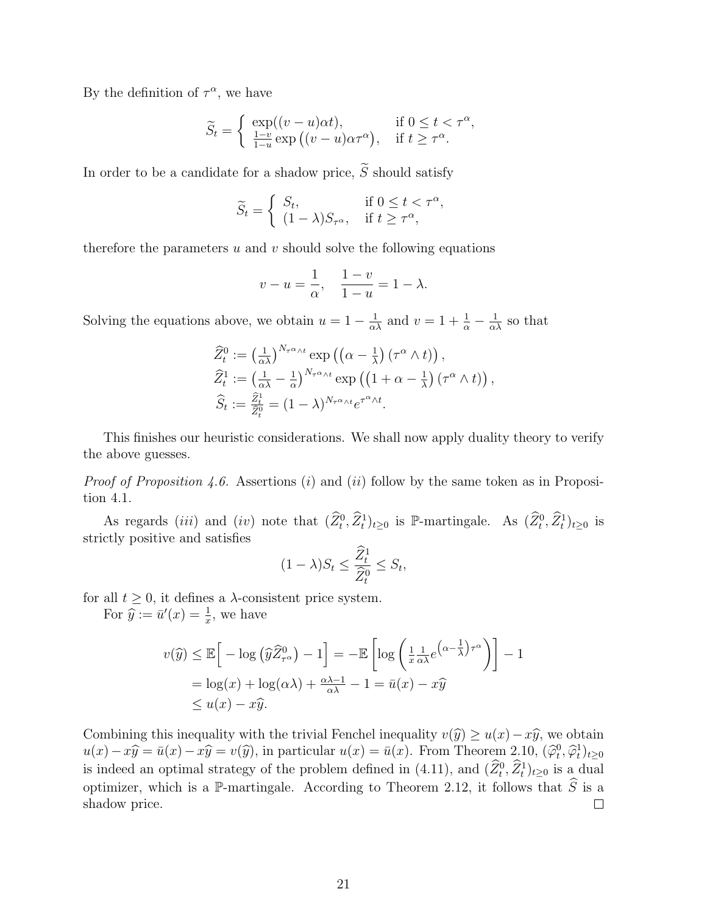By the definition of  $\tau^{\alpha}$ , we have

$$
\widetilde{S}_t = \begin{cases} \exp((v-u)\alpha t), & \text{if } 0 \le t < \tau^{\alpha}, \\ \frac{1-v}{1-u} \exp((v-u)\alpha \tau^{\alpha}), & \text{if } t \ge \tau^{\alpha}. \end{cases}
$$

In order to be a candidate for a shadow price,  $\widetilde{S}$  should satisfy

$$
\widetilde{S}_t = \begin{cases} S_t, & \text{if } 0 \le t < \tau^\alpha, \\ (1 - \lambda) S_{\tau^\alpha}, & \text{if } t \ge \tau^\alpha, \end{cases}
$$

therefore the parameters *u* and *v* should solve the following equations

$$
v - u = \frac{1}{\alpha}, \quad \frac{1 - v}{1 - u} = 1 - \lambda.
$$

Solving the equations above, we obtain  $u = 1 - \frac{1}{\alpha \lambda}$  and  $v = 1 + \frac{1}{\alpha} - \frac{1}{\alpha \lambda}$  so that

$$
\widehat{Z}_{t}^{0} := \left(\frac{1}{\alpha\lambda}\right)^{N_{\tau^{\alpha}\wedge t}} \exp\left(\left(\alpha - \frac{1}{\lambda}\right)\left(\tau^{\alpha}\wedge t\right)\right),
$$
  
\n
$$
\widehat{Z}_{t}^{1} := \left(\frac{1}{\alpha\lambda} - \frac{1}{\alpha}\right)^{N_{\tau^{\alpha}\wedge t}} \exp\left(\left(1 + \alpha - \frac{1}{\lambda}\right)\left(\tau^{\alpha}\wedge t\right)\right),
$$
  
\n
$$
\widehat{S}_{t} := \frac{\widehat{Z}_{t}^{1}}{\widehat{Z}_{t}^{0}} = (1 - \lambda)^{N_{\tau^{\alpha}\wedge t}} e^{\tau^{\alpha}\wedge t}.
$$

This finishes our heuristic considerations. We shall now apply duality theory to verify the above guesses.

*Proof of Proposition 4.6.* Assertions (*i*) and (*ii*) follow by the same token as in Proposition 4.1.

As regards (*iii*) and (*iv*) note that  $(\hat{Z}_t^0, \hat{Z}_t^1)_{t\geq 0}$  is P-martingale. As  $(\hat{Z}_t^0, \hat{Z}_t^1)_{t\geq 0}$  is strictly positive and satisfies

$$
(1 - \lambda)S_t \le \frac{\widehat{Z}_t^1}{\widehat{Z}_t^0} \le S_t,
$$

for all  $t \geq 0$ , it defines a  $\lambda$ -consistent price system.

For  $\hat{y} := \bar{u}'(x) = \frac{1}{x}$ , we have

$$
v(\widehat{y}) \le \mathbb{E}\Big[-\log\left(\widehat{y}\widehat{Z}_{\tau^{\alpha}}^{0}\right) - 1\Big] = -\mathbb{E}\left[\log\left(\frac{1}{x}\frac{1}{\alpha\lambda}e^{\left(\alpha - \frac{1}{\lambda}\right)\tau^{\alpha}}\right)\right] - 1
$$
  
=  $\log(x) + \log(\alpha\lambda) + \frac{\alpha\lambda - 1}{\alpha\lambda} - 1 = \bar{u}(x) - x\widehat{y}$   
 $\le u(x) - x\widehat{y}.$ 

Combining this inequality with the trivial Fenchel inequality  $v(\hat{y}) \geq u(x) - x\hat{y}$ , we obtain  $u(x) - x\widehat{y} = \bar{u}(x) - x\widehat{y} = v(\widehat{y})$ , in particular  $u(x) = \bar{u}(x)$ . From Theorem 2.10,  $(\widehat{\varphi}_t^0, \widehat{\varphi}_t^1)_{t \geq 0}$ is indeed an optimal strategy of the problem defined in (4.11), and  $(\widehat{Z}_t^0, \widehat{Z}_t^1)_{t \geq 0}$  is a dual optimizer, which is a P-martingale. According to Theorem 2.12, it follows that  $\widehat{S}$  is a shadow price. shadow price.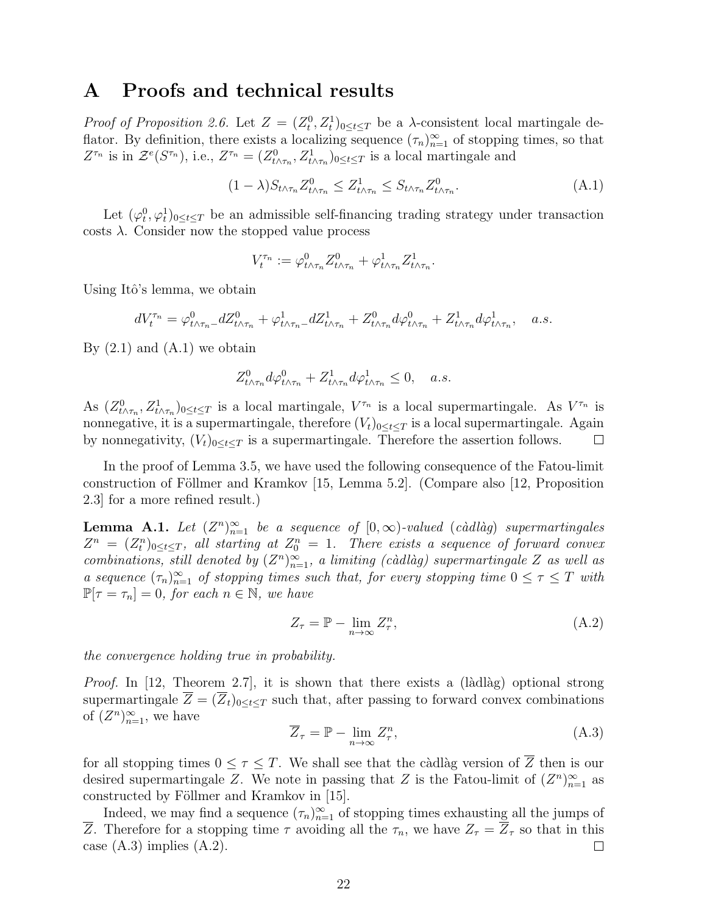#### **A Proofs and technical results**

*Proof of Proposition 2.6.* Let  $Z = (Z_t^0, Z_t^1)_{0 \le t \le T}$  be a *λ*-consistent local martingale deflator. By definition, there exists a localizing sequence  $(\tau_n)_{n=1}^{\infty}$  of stopping times, so that  $Z^{\tau_n}$  is in  $\mathcal{Z}^e(S^{\tau_n})$ , i.e.,  $Z^{\tau_n} = (Z^0_{t \wedge \tau_n}, Z^1_{t \wedge \tau_n})_{0 \le t \le T}$  is a local martingale and

$$
(1 - \lambda) S_{t \wedge \tau_n} Z_{t \wedge \tau_n}^0 \le Z_{t \wedge \tau_n}^1 \le S_{t \wedge \tau_n} Z_{t \wedge \tau_n}^0.
$$
\n(A.1)

Let  $(\varphi_t^0, \varphi_t^1)_{0 \le t \le T}$  be an admissible self-financing trading strategy under transaction  $\cos t$ . Consider now the stopped value process

$$
V_t^{\tau_n}:=\varphi^0_{t\wedge\tau_n}Z^0_{t\wedge\tau_n}+\varphi^1_{t\wedge\tau_n}Z^1_{t\wedge\tau_n}.
$$

Using Itô's lemma, we obtain

$$
dV_t^{\tau_n} = \varphi_{t \wedge \tau_n}^0 - dZ_{t \wedge \tau_n}^0 + \varphi_{t \wedge \tau_n}^1 - dZ_{t \wedge \tau_n}^1 + Z_{t \wedge \tau_n}^0 d\varphi_{t \wedge \tau_n}^0 + Z_{t \wedge \tau_n}^1 d\varphi_{t \wedge \tau_n}^1, \quad a.s.
$$

By  $(2.1)$  and  $(A.1)$  we obtain

$$
Z^0_{t \wedge \tau_n} d\varphi^0_{t \wedge \tau_n} + Z^1_{t \wedge \tau_n} d\varphi^1_{t \wedge \tau_n} \le 0, \quad a.s.
$$

As  $(Z_{t \wedge \tau_n}^0, Z_{t \wedge \tau_n}^1)_{0 \le t \le T}$  is a local martingale,  $V^{\tau_n}$  is a local supermartingale. As  $V^{\tau_n}$  is nonnegative, it is a supermartingale, therefore  $(V_t)_{0 \le t \le T}$  is a local supermartingale. Again by nonnegativity,  $(V_t)_{0 \leq t \leq T}$  is a supermartingale. Therefore the assertion follows.  $\Box$ 

In the proof of Lemma 3.5, we have used the following consequence of the Fatou-limit construction of Föllmer and Kramkov  $[15, \text{ Lemma } 5.2]$ . (Compare also  $[12, \text{Proposition}$ 2.3] for a more refined result.)

**Lemma A.1.** Let  $(Z^n)_{n=1}^{\infty}$  be a sequence of  $[0, \infty)$ -valued (càdlàg) supermartingales  $Z^n = (Z_t^n)_{0 \le t \le T}$ , all starting at  $Z_0^n = 1$ . There exists a sequence of forward convex *combinations, still denoted by*  $(Z^n)_{n=1}^{\infty}$ , a limiting (càdlàg) supermartingale Z as well as *a* sequence  $(\tau_n)_{n=1}^{\infty}$  *of stopping times such that, for every stopping time*  $0 \leq \tau \leq T$  *with*  $\mathbb{P}[\tau = \tau_n] = 0$ , for each  $n \in \mathbb{N}$ , we have

$$
Z_{\tau} = \mathbb{P} - \lim_{n \to \infty} Z_{\tau}^n, \tag{A.2}
$$

*the convergence holding true in probability.*

*Proof.* In [12, Theorem 2.7], it is shown that there exists a (làdlàg) optional strong supermartingale  $\overline{Z} = (\overline{Z}_t)_{0 \le t \le T}$  such that, after passing to forward convex combinations of  $(Z^n)_{n=1}^{\infty}$ , we have

$$
\overline{Z}_{\tau} = \mathbb{P} - \lim_{n \to \infty} Z_{\tau}^n,
$$
\n(A.3)

for all stopping times  $0 \leq \tau \leq T$ . We shall see that the càdlàg version of  $\overline{Z}$  then is our desired supermartingale *Z*. We note in passing that *Z* is the Fatou-limit of  $(Z^n)_{n=1}^{\infty}$  as constructed by Föllmer and Kramkov in [15].

Indeed, we may find a sequence  $(\tau_n)_{n=1}^{\infty}$  of stopping times exhausting all the jumps of *Z*. Therefore for a stopping time  $\tau$  avoiding all the  $\tau_n$ , we have  $Z_{\tau} = \overline{Z}_{\tau}$  so that in this case  $(A.3)$  implies  $(A.2)$ .  $\Box$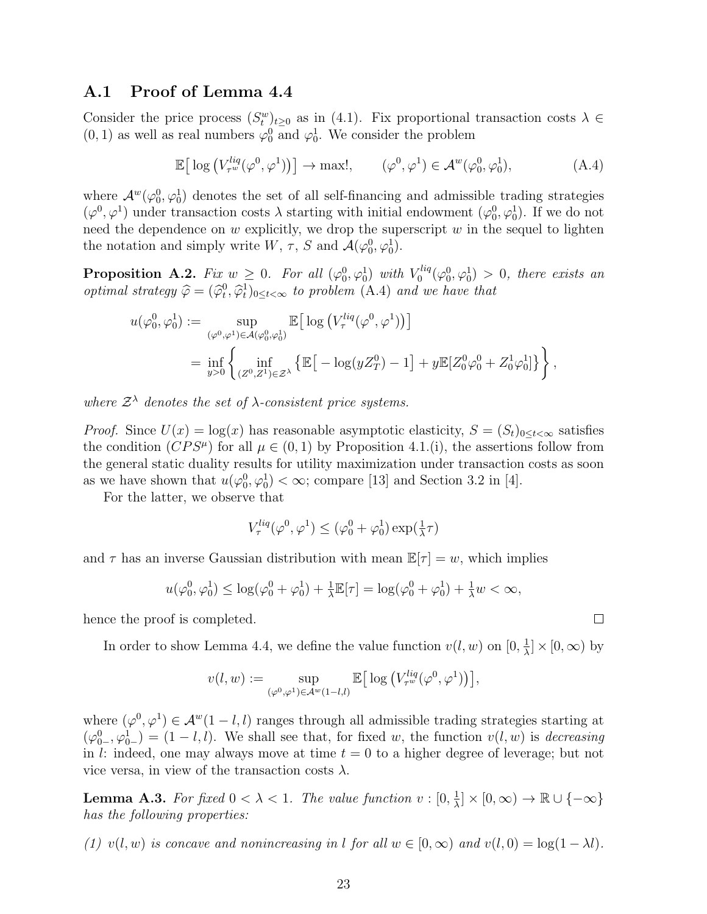#### **A.1 Proof of Lemma 4.4**

Consider the price process  $(S_t^w)_{t\geq 0}$  as in (4.1). Fix proportional transaction costs  $\lambda \in$  $(0, 1)$  as well as real numbers  $\varphi_0^0$  and  $\varphi_0^1$ . We consider the problem

$$
\mathbb{E}\big[\log\big(V_{\tau^w}^{liq}(\varphi^0,\varphi^1)\big)\big] \to \max!, \qquad (\varphi^0,\varphi^1) \in \mathcal{A}^w(\varphi_0^0,\varphi_0^1), \tag{A.4}
$$

where  $\mathcal{A}^w(\varphi_0^0, \varphi_0^1)$  denotes the set of all self-financing and admissible trading strategies  $(\varphi^0, \varphi^1)$  under transaction costs  $\lambda$  starting with initial endowment  $(\varphi^0_0, \varphi^1_0)$ . If we do not need the dependence on *w* explicitly, we drop the superscript *w* in the sequel to lighten the notation and simply write  $W$ ,  $\tau$ ,  $S$  and  $\mathcal{A}(\varphi_0^0, \varphi_0^1)$ .

**Proposition A.2.** *Fix*  $w \geq 0$ *. For all*  $(\varphi_0^0, \varphi_0^1)$  *with*  $V_0^{liq}$  $\sigma_0^{tiq}(\varphi_0^0, \varphi_0^1) > 0$ , there exists an *optimal strategy*  $\hat{\varphi} = (\hat{\varphi}_t^0, \hat{\varphi}_t^1)_{0 \le t < \infty}$  *to problem* (A.4) *and we have that* 

$$
\begin{split} u(\varphi^0_0,\varphi^1_0):=\sup_{(\varphi^0,\varphi^1)\in\mathcal{A}(\varphi^0_0,\varphi^1_0)}\mathbb{E}\big[\log\big(V^{liq}_\tau(\varphi^0,\varphi^1)\big)\big]\\ =\inf_{y>0}\left\{\inf_{(Z^0,Z^1)\in\mathcal{Z}^\lambda}\left\{\mathbb{E}\big[-\log(yZ^0_T)-1\big]+y\mathbb{E}[Z^0_0\varphi^0_0+Z^1_0\varphi^1_0]\right\}\right\}, \end{split}
$$

*where*  $\mathcal{Z}^{\lambda}$  *denotes the set of*  $\lambda$ *-consistent price systems.* 

*Proof.* Since  $U(x) = \log(x)$  has reasonable asymptotic elasticity,  $S = (S_t)_{0 \le t < \infty}$  satisfies the condition  $(CPS^{\mu})$  for all  $\mu \in (0,1)$  by Proposition 4.1.(i), the assertions follow from the general static duality results for utility maximization under transaction costs as soon as we have shown that  $u(\varphi_0^0, \varphi_0^1) < \infty$ ; compare [13] and Section 3.2 in [4].

For the latter, we observe that

$$
V_{\tau}^{liq}(\varphi^0, \varphi^1) \leq (\varphi_0^0 + \varphi_0^1) \exp(\tfrac{1}{\lambda}\tau)
$$

and  $\tau$  has an inverse Gaussian distribution with mean  $\mathbb{E}[\tau] = w$ , which implies

$$
u(\varphi_0^0, \varphi_0^1) \le \log(\varphi_0^0 + \varphi_0^1) + \frac{1}{\lambda} \mathbb{E}[\tau] = \log(\varphi_0^0 + \varphi_0^1) + \frac{1}{\lambda} w < \infty,
$$

hence the proof is completed.

In order to show Lemma 4.4, we define the value function  $v(l, w)$  on  $[0, \frac{1}{\lambda}]$  $\frac{1}{\lambda}$   $\times$  [0,  $\infty$ ) by

$$
v(l, w) := \sup_{(\varphi^0, \varphi^1) \in \mathcal{A}^w(1-l,l)} \mathbb{E}\big[\log \big(V_{\tau^w}^{liq}(\varphi^0, \varphi^1)\big)\big],
$$

where  $(\varphi^0, \varphi^1) \in \mathcal{A}^w(1-l, l)$  ranges through all admissible trading strategies starting at  $(\varphi_{0-}^0, \varphi_{0-}^1) = (1 - l, l)$ . We shall see that, for fixed *w*, the function  $v(l, w)$  is *decreasing* in *l*: indeed, one may always move at time *t* = 0 to a higher degree of leverage; but not vice versa, in view of the transaction costs  $\lambda$ .

**Lemma A.3.** For fixed  $0 < \lambda < 1$ . The value function  $v : [0, \frac{1}{\lambda}]$  $\frac{1}{\lambda}$   $\vert \times$   $[0, \infty)$   $\rightarrow$  R  $\cup$   $\{-\infty\}$ *has the following properties:*

*(1)*  $v(l, w)$  *is concave and nonincreasing in l for all*  $w \in [0, \infty)$  *and*  $v(l, 0) = \log(1 - \lambda l)$ .

 $\Box$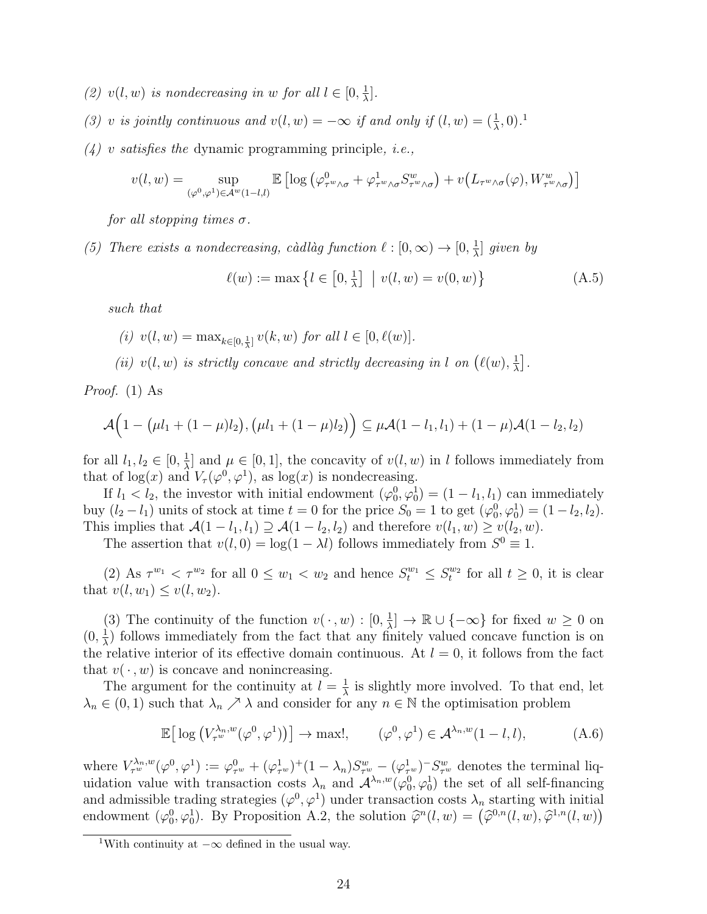- (2)  $v(l, w)$  *is nondecreasing in w for all*  $l \in [0, \frac{1}{\lambda}]$ *λ* ]*.*
- *(3) v is jointly continuous and*  $v(l, w) = -\infty$  *if and only if*  $(l, w) = (\frac{1}{\lambda}, 0)$ .<sup>1</sup>
- *(4) v satisfies the* dynamic programming principle*, i.e.,*

$$
v(l, w) = \sup_{(\varphi^0, \varphi^1) \in \mathcal{A}^w(1-l,l)} \mathbb{E} \left[ \log \left( \varphi^0_{\tau^w \wedge \sigma} + \varphi^1_{\tau^w \wedge \sigma} S_{\tau^w \wedge \sigma}^w \right) + v \left( L_{\tau^w \wedge \sigma}(\varphi), W_{\tau^w \wedge \sigma}^w \right) \right]
$$

*for all stopping times σ.*

*(5) There exists a nondecreasing, càdlàg function*  $\ell : [0, \infty) \to [0, \frac{1}{\lambda}]$ *λ* ] *given by*

$$
\ell(w) := \max \left\{ l \in [0, \frac{1}{\lambda}] \mid v(l, w) = v(0, w) \right\}
$$
 (A.5)

*such that*

- $(i)$   $v(l, w) = \max_{k \in [0, \frac{1}{\lambda}]} v(k, w)$  *for all*  $l \in [0, \ell(w)]$ *.*
- *(ii)*  $v(l, w)$  *is strictly concave and strictly decreasing in l on*  $(\ell(w), \frac{1}{2})$  $\frac{1}{\lambda}$ ].

*Proof.* (1) As

$$
\mathcal{A}(1-(\mu l_1+(1-\mu)l_2),(\mu l_1+(1-\mu)l_2)\big) \subseteq \mu\mathcal{A}(1-l_1,l_1)+(1-\mu)\mathcal{A}(1-l_2,l_2)
$$

for all  $l_1, l_2 \in [0, \frac{1}{\lambda}]$  $\frac{1}{\lambda}$  and  $\mu \in [0, 1]$ , the concavity of  $v(l, w)$  in *l* follows immediately from that of  $log(x)$  and  $V_\tau(\varphi^0, \varphi^1)$ , as  $log(x)$  is nondecreasing.

If  $l_1 < l_2$ , the investor with initial endowment  $(\varphi_0^0, \varphi_0^1) = (1 - l_1, l_1)$  can immediately buy  $(l_2 - l_1)$  units of stock at time  $t = 0$  for the price  $S_0 = 1$  to get  $(\varphi_0^0, \varphi_0^1) = (1 - l_2, l_2)$ . This implies that  $\mathcal{A}(1 - l_1, l_1) \supseteq \mathcal{A}(1 - l_2, l_2)$  and therefore  $v(l_1, w) \geq v(l_2, w)$ .

The assertion that  $v(l, 0) = \log(1 - \lambda l)$  follows immediately from  $S^0 \equiv 1$ .

(2) As  $\tau^{w_1} < \tau^{w_2}$  for all  $0 \leq w_1 < w_2$  and hence  $S_t^{w_1} \leq S_t^{w_2}$  for all  $t \geq 0$ , it is clear that  $v(l, w_1) \leq v(l, w_2)$ .

(3) The continuity of the function  $v(\cdot, w) : [0, \frac{1}{\lambda}]$  $\frac{1}{\lambda}$   $\rightarrow \mathbb{R} \cup \{-\infty\}$  for fixed  $w \geq 0$  on  $(0, \frac{1}{\lambda})$  $\frac{1}{\lambda}$ ) follows immediately from the fact that any finitely valued concave function is on the relative interior of its effective domain continuous. At  $l = 0$ , it follows from the fact that  $v(\cdot, w)$  is concave and nonincreasing.

The argument for the continuity at  $l = \frac{1}{\lambda}$  $\frac{1}{\lambda}$  is slightly more involved. To that end, let  $\lambda_n \in (0,1)$  such that  $\lambda_n \nearrow \lambda$  and consider for any  $n \in \mathbb{N}$  the optimisation problem

$$
\mathbb{E}\big[\log\big(V_{\tau^w}^{\lambda_n,w}(\varphi^0,\varphi^1)\big)\big] \to \max!, \qquad (\varphi^0,\varphi^1) \in \mathcal{A}^{\lambda_n,w}(1-l,l), \tag{A.6}
$$

where  $V_{\tau^w}^{\lambda_n,w}(\varphi^0,\varphi^1):=\varphi^0_{\tau^w}+(\varphi^1_{\tau^w})^+(1-\lambda_n)S^w_{\tau^w}-(\varphi^1_{\tau^w})^S_{\tau^w}$  denotes the terminal liquidation value with transaction costs  $\lambda_n$  and  $\mathcal{A}^{\lambda_n,w}(\varphi_0^0,\varphi_0^1)$  the set of all self-financing and admissible trading strategies  $(\varphi^0, \varphi^1)$  under transaction costs  $\lambda_n$  starting with initial endowment  $(\varphi_0^0, \varphi_0^1)$ . By Proposition A.2, the solution  $\hat{\varphi}^n(l, w) = (\hat{\varphi}^{0,n}(l, w), \hat{\varphi}^{1,n}(l, w))$ 

<sup>1</sup>With continuity at *−∞* defined in the usual way.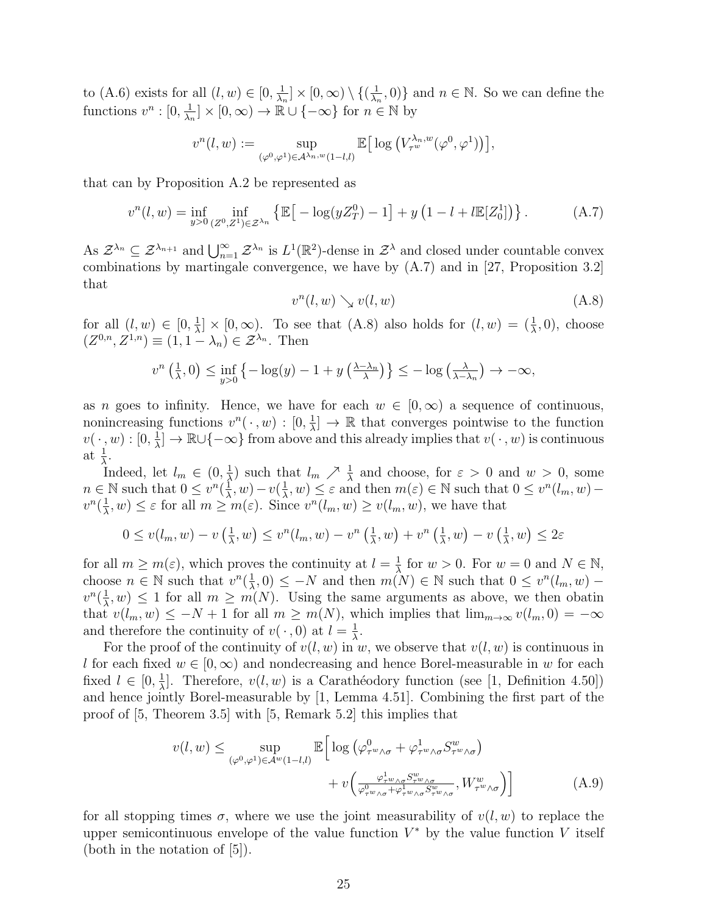to (A.6) exists for all  $(l, w) \in [0, \frac{1}{\lambda}]$  $\frac{1}{\lambda_n}]\times [0,\infty)\setminus \{(\frac{1}{\lambda_n})\}$  $\left\{\frac{1}{\lambda_n}, 0\right\}$  and  $n \in \mathbb{N}$ . So we can define the functions  $v^n : [0, \frac{1}{\lambda}]$  $\frac{1}{\lambda_n}$   $\times$   $[0, \infty)$   $\rightarrow$  R  $\cup$  { $-\infty$ } for  $n \in \mathbb{N}$  by

$$
v^n(l,w):=\sup_{(\varphi^0,\varphi^1)\in {\mathcal A}^{\lambda_n,w}(1-l,l)}\mathbb{E}\big[\log\big(V_{\tau^w}^{\lambda_n,w}(\varphi^0,\varphi^1)\big)\big],
$$

that can by Proposition A.2 be represented as

$$
v^{n}(l, w) = \inf_{y>0} \inf_{(Z^{0}, Z^{1}) \in \mathcal{Z}^{\lambda_{n}}} \left\{ \mathbb{E} \left[ -\log(yZ_{T}^{0}) - 1 \right] + y \left( 1 - l + l \mathbb{E}[Z_{0}^{1}] \right) \right\}.
$$
 (A.7)

As  $\mathcal{Z}^{\lambda_n} \subseteq \mathcal{Z}^{\lambda_{n+1}}$  and  $\bigcup_{n=1}^{\infty} \mathcal{Z}^{\lambda_n}$  is  $L^1(\mathbb{R}^2)$ -dense in  $\mathcal{Z}^{\lambda}$  and closed under countable convex combinations by martingale convergence, we have by (A.7) and in [27, Proposition 3.2] that

$$
v^n(l, w) \searrow v(l, w) \tag{A.8}
$$

for all  $(l, w) \in [0, \frac{1}{\lambda}]$  $\frac{1}{\lambda}$   $\times$  [0,  $\infty$ ). To see that (A.8) also holds for  $(l, w) = (\frac{1}{\lambda}, 0)$ , choose  $(Z^{0,n}, Z^{1,n}) \equiv (1, 1 - \lambda_n) \in \mathcal{Z}^{\lambda_n}$ . Then

$$
v^{n}\left(\frac{1}{\lambda},0\right) \le \inf_{y>0} \left\{-\log(y)-1+y\left(\frac{\lambda-\lambda_{n}}{\lambda}\right)\right\} \le -\log\left(\frac{\lambda}{\lambda-\lambda_{n}}\right) \to -\infty,
$$

as *n* goes to infinity. Hence, we have for each  $w \in [0, \infty)$  a sequence of continuous, nonincreasing functions  $v^n(\cdot, w) : [0, \frac{1}{\lambda}]$  $\frac{1}{\lambda}$   $\rightarrow \mathbb{R}$  that converges pointwise to the function  $v(\,\cdot\,,w) : [0,\frac{1}{\lambda}$  $\frac{1}{\lambda}$   $\rightarrow \mathbb{R} \cup \{-\infty\}$  from above and this already implies that  $v(\cdot, w)$  is continuous at  $\frac{1}{\lambda}$ .

Indeed, let  $l_m \in (0, \frac{1}{\lambda})$  $\frac{1}{\lambda}$ ) such that  $l_m \nearrow \frac{1}{\lambda}$  and choose, for  $\varepsilon > 0$  and  $w > 0$ , some  $n \in \mathbb{N}$  such that  $0 \leq v^n(\frac{1}{\lambda})$  $\frac{1}{\lambda}$ *, w*) − *v*( $\frac{1}{\lambda}$  $\frac{1}{\lambda}$ , *w*)  $\leq \varepsilon$  and then  $m(\varepsilon) \in \mathbb{N}$  such that  $0 \leq v^n(l_m, w)$  $v^n(\frac{1}{\lambda})$  $\frac{1}{\lambda}$ , *w*)  $\leq \varepsilon$  for all  $m \geq m(\varepsilon)$ . Since  $v^n(l_m, w) \geq v(l_m, w)$ , we have that

$$
0 \le v(l_m, w) - v\left(\frac{1}{\lambda}, w\right) \le v^n(l_m, w) - v^n\left(\frac{1}{\lambda}, w\right) + v^n\left(\frac{1}{\lambda}, w\right) - v\left(\frac{1}{\lambda}, w\right) \le 2\varepsilon
$$

for all  $m \geq m(\varepsilon)$ , which proves the continuity at  $l = \frac{1}{\lambda}$  $\frac{1}{\lambda}$  for  $w > 0$ . For  $w = 0$  and  $N \in \mathbb{N}$ , choose  $n \in \mathbb{N}$  such that  $v^n(\frac{1}{\lambda})$  $\frac{1}{\lambda}$ , 0) ≤ *−N* and then *m*(*N*) ∈ N such that 0 ≤ *v*<sup>*n*</sup>(*l<sub>m</sub>*, *w*) −  $v^n(\frac{1}{\lambda})$  $\frac{1}{\lambda}, w$   $\leq 1$  for all  $m \geq m(N)$ . Using the same arguments as above, we then obatin that  $v(l_m, w) \leq -N + 1$  for all  $m \geq m(N)$ , which implies that  $\lim_{m \to \infty} v(l_m, 0) = -\infty$ and therefore the continuity of  $v(\cdot, 0)$  at  $l = \frac{1}{\lambda}$ *λ* .

For the proof of the continuity of  $v(l, w)$  in w, we observe that  $v(l, w)$  is continuous in *l* for each fixed  $w \in [0, \infty)$  and nondecreasing and hence Borel-measurable in *w* for each fixed  $l \in [0, \frac{1}{\lambda}]$  $\frac{1}{\lambda}$ . Therefore,  $v(l, w)$  is a Carathéodory function (see [1, Definition 4.50]) and hence jointly Borel-measurable by [1, Lemma 4.51]. Combining the first part of the proof of [5, Theorem 3.5] with [5, Remark 5.2] this implies that

$$
v(l, w) \le \sup_{(\varphi^0, \varphi^1) \in \mathcal{A}^w(1-l, l)} \mathbb{E} \Big[ \log \big( \varphi^0_{\tau^w \wedge \sigma} + \varphi^1_{\tau^w \wedge \sigma} S_{\tau^w \wedge \sigma}^w \big) + v \Big( \frac{\varphi^1_{\tau^w \wedge \sigma} S_{\tau^w \wedge \sigma}^w}{\varphi^0_{\tau^w \wedge \sigma} + \varphi^1_{\tau^w \wedge \sigma} S_{\tau^w \wedge \sigma}^w}, W_{\tau^w \wedge \sigma}^w \Big) \Big]
$$
(A.9)

for all stopping times  $\sigma$ , where we use the joint measurability of  $v(l, w)$  to replace the upper semicontinuous envelope of the value function  $V^*$  by the value function  $V$  itself (both in the notation of [5]).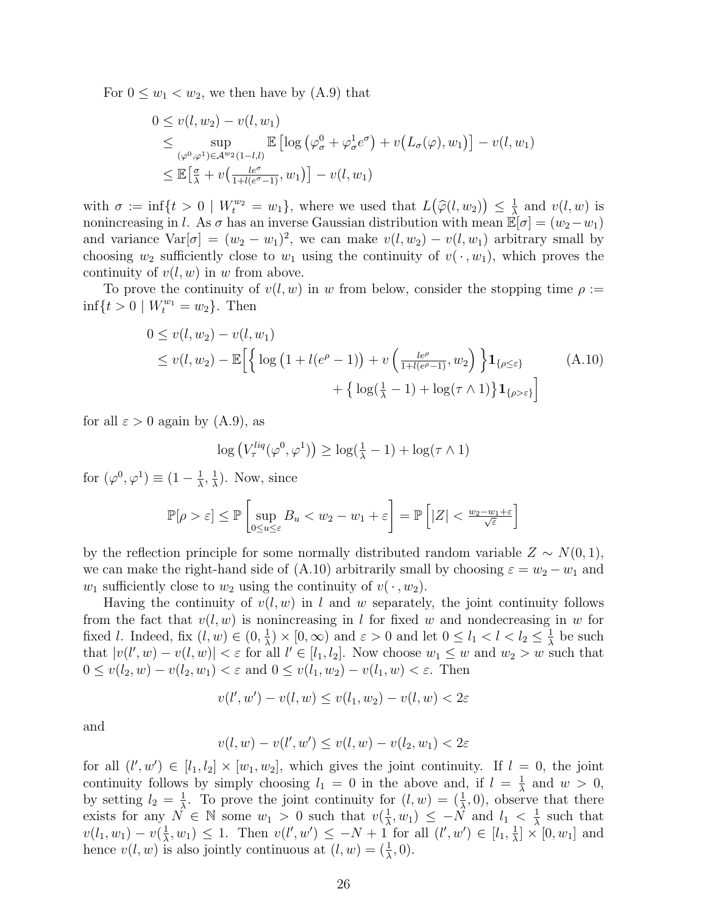For  $0 \leq w_1 < w_2$ , we then have by  $(A.9)$  that

$$
0 \le v(l, w_2) - v(l, w_1)
$$
  
\n
$$
\le \sup_{(\varphi^0, \varphi^1) \in \mathcal{A}^{w_2}(1-l,l)} \mathbb{E} \left[ \log \left( \varphi^0_\sigma + \varphi^1_\sigma e^\sigma \right) + v \left( L_\sigma(\varphi), w_1 \right) \right] - v(l, w_1)
$$
  
\n
$$
\le \mathbb{E} \left[ \frac{\sigma}{\lambda} + v \left( \frac{le^{\sigma}}{1 + l(e^{\sigma} - 1)}, w_1 \right) \right] - v(l, w_1)
$$

with  $\sigma := \inf\{t > 0 \mid W_t^{w_2} = w_1\}$ , where we used that  $L(\widehat{\varphi}(l, w_2)) \leq \frac{1}{\lambda}$  $\frac{1}{\lambda}$  and  $v(l, w)$  is nonincreasing in *l*. As  $\sigma$  has an inverse Gaussian distribution with mean  $\mathbb{E}[\sigma] = (w_2 - w_1)$ and variance  $Var[\sigma] = (w_2 - w_1)^2$ , we can make  $v(l, w_2) - v(l, w_1)$  arbitrary small by choosing  $w_2$  sufficiently close to  $w_1$  using the continuity of  $v(\cdot, w_1)$ , which proves the continuity of  $v(l, w)$  in *w* from above.

To prove the continuity of  $v(l, w)$  in *w* from below, consider the stopping time  $\rho :=$  $\inf\{t>0 \mid W_t^{w_1} = w_2\}.$  Then

$$
0 \le v(l, w_2) - v(l, w_1)
$$
  
\n
$$
\le v(l, w_2) - \mathbb{E}\left[\left\{\log\left(1 + l(e^{\rho} - 1)\right) + v\left(\frac{l e^{\rho}}{1 + l(e^{\rho} - 1)}, w_2\right)\right\} \mathbf{1}_{\{\rho \le \varepsilon\}}\right]
$$
\n
$$
+ \left\{\log(\frac{1}{\lambda} - 1) + \log(\tau \wedge 1)\right\} \mathbf{1}_{\{\rho > \varepsilon\}}\right]
$$
\n(A.10)

for all  $\varepsilon > 0$  again by (A.9), as

$$
\log (V_{\tau}^{liq}(\varphi^0, \varphi^1)) \ge \log(\frac{1}{\lambda} - 1) + \log(\tau \wedge 1)
$$

for  $(\varphi^0, \varphi^1) \equiv (1 - \frac{1}{\lambda})$  $\frac{1}{\lambda}$ ,  $\frac{1}{\lambda}$  $\frac{1}{\lambda}$ ). Now, since

$$
\mathbb{P}[\rho > \varepsilon] \le \mathbb{P}\left[\sup_{0 \le u \le \varepsilon} B_u < w_2 - w_1 + \varepsilon\right] = \mathbb{P}\left[|Z| < \frac{w_2 - w_1 + \varepsilon}{\sqrt{\varepsilon}}\right]
$$

by the reflection principle for some normally distributed random variable  $Z \sim N(0, 1)$ , we can make the right-hand side of  $(A.10)$  arbitrarily small by choosing  $\varepsilon = w_2 - w_1$  and *w*<sub>1</sub> sufficiently close to  $w_2$  using the continuity of  $v(\cdot, w_2)$ .

Having the continuity of *v*(*l, w*) in *l* and *w* separately, the joint continuity follows from the fact that  $v(l, w)$  is nonincreasing in *l* for fixed *w* and nondecreasing in *w* for fixed *l*. Indeed, fix  $(l, w) \in (0, \frac{1}{\lambda})$  $\frac{1}{\lambda}$  *×* [0*,*  $\infty$ ) and  $\varepsilon > 0$  and let  $0 \le l_1 < l < l_2 \le \frac{1}{\lambda}$  $\frac{1}{\lambda}$  be such that  $|v(l', w) - v(l, w)| < \varepsilon$  for all  $l' \in [l_1, l_2]$ . Now choose  $w_1 \leq w$  and  $w_2 > w$  such that  $0 ≤ v(l_2, w) - v(l_2, w_1) < \varepsilon$  and  $0 ≤ v(l_1, w_2) - v(l_1, w) < \varepsilon$ . Then

$$
v(l',w') - v(l,w) \le v(l_1,w_2) - v(l,w) < 2\varepsilon
$$

and

$$
v(l,w) - v(l',w') \le v(l,w) - v(l_2,w_1) < 2\varepsilon
$$

for all  $(l', w') \in [l_1, l_2] \times [w_1, w_2]$ , which gives the joint continuity. If  $l = 0$ , the joint continuity follows by simply choosing  $l_1 = 0$  in the above and, if  $l = \frac{1}{\lambda}$  $\frac{1}{\lambda}$  and  $w > 0$ , by setting  $l_2 = \frac{1}{\lambda}$ <sup>1</sup>/<sub> $\lambda$ </sub>. To prove the joint continuity for  $(l, w) = (\frac{1}{\lambda}, 0)$ , observe that there exists for any  $N \in \mathbb{N}$  some  $w_1 > 0$  such that  $v(\frac{1}{\lambda})$  $\frac{1}{\lambda}$ ,  $w_1$ )  $\leq -\hat{N}$  and  $l_1 < \frac{1}{\lambda}$  $\frac{1}{\lambda}$  such that  $v(l_1, w_1) - v(\frac{1}{\lambda})$  $\frac{1}{\lambda}$ , *w*<sub>1</sub>)  $\leq$  1. Then  $v(l', w') \leq -N + 1$  for all  $(l', w') \in [l_1, \frac{1}{\lambda}]$  $\frac{1}{\lambda}$   $\times$  [0*, w*<sub>1</sub>] and hence  $v(l, w)$  is also jointly continuous at  $(l, w) = (\frac{1}{\lambda}, 0)$ .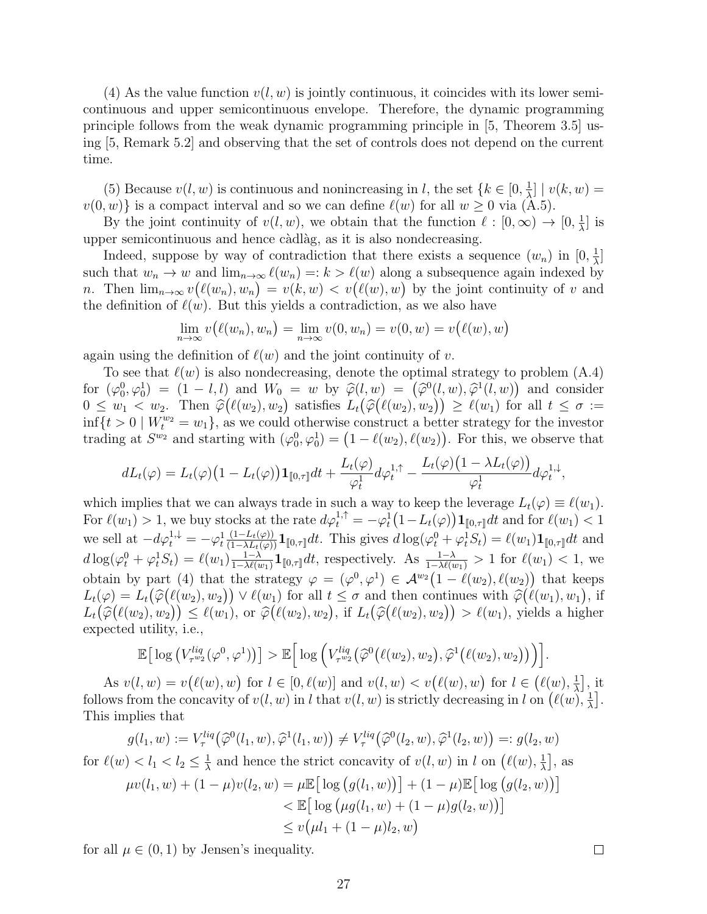(4) As the value function  $v(l, w)$  is jointly continuous, it coincides with its lower semicontinuous and upper semicontinuous envelope. Therefore, the dynamic programming principle follows from the weak dynamic programming principle in [5, Theorem 3.5] using [5, Remark 5.2] and observing that the set of controls does not depend on the current time.

(5) Because  $v(l, w)$  is continuous and nonincreasing in *l*, the set  ${k \in [0, \frac{1}{\lambda})}$  $\frac{1}{\lambda}$ ] |  $v(k, w) =$  $v(0, w)$ } is a compact interval and so we can define  $\ell(w)$  for all  $w \ge 0$  via  $(A.5)$ .

By the joint continuity of  $v(l, w)$ , we obtain that the function  $l : [0, \infty) \to [0, \frac{1}{\lambda}]$  $\frac{1}{\lambda}$  is upper semicontinuous and hence càdlàg, as it is also nondecreasing.

Indeed, suppose by way of contradiction that there exists a sequence  $(w_n)$  in  $[0, \frac{1}{\lambda}]$  $\frac{1}{\lambda}$ ] such that  $w_n \to w$  and  $\lim_{n\to\infty} \ell(w_n) =: k > \ell(w)$  along a subsequence again indexed by *n*. Then  $\lim_{n\to\infty} v(\ell(w_n), w_n) = v(k, w) < v(\ell(w), w)$  by the joint continuity of *v* and the definition of  $\ell(w)$ . But this yields a contradiction, as we also have

$$
\lim_{n \to \infty} v(\ell(w_n), w_n) = \lim_{n \to \infty} v(0, w_n) = v(0, w) = v(\ell(w), w)
$$

again using the definition of  $\ell(w)$  and the joint continuity of *v*.

To see that *ℓ*(*w*) is also nondecreasing, denote the optimal strategy to problem (A.4) for  $(\varphi_0^0, \varphi_0^1) = (1 - l, l)$  and  $W_0 = w$  by  $\hat{\varphi}(l, w) = (\hat{\varphi}^0(l, w), \hat{\varphi}^1(l, w))$  and consider  $0 \leq w_1 \leq w_2$ . Then  $\hat{\varphi}(\ell(w_2), w_2)$  satisfies  $L_t(\hat{\varphi}(\ell(w_2), w_2)) \geq \ell(w_1)$  for all  $t \leq \sigma :=$  $\inf\{t>0 \mid W_t^{w_2}=w_1\}$ , as we could otherwise construct a better strategy for the investor trading at  $S^{w_2}$  and starting with  $(\varphi_0^0, \varphi_0^1) = (1 - \ell(w_2), \ell(w_2))$ . For this, we observe that

$$
dL_t(\varphi) = L_t(\varphi) \left(1 - L_t(\varphi)\right) \mathbf{1}_{[\![ 0,\tau]\!]} dt + \frac{L_t(\varphi)}{\varphi_t^1} d\varphi_t^{1,\uparrow} - \frac{L_t(\varphi) \left(1 - \lambda L_t(\varphi)\right)}{\varphi_t^1} d\varphi_t^{1,\downarrow},
$$

which implies that we can always trade in such a way to keep the leverage  $L_t(\varphi) \equiv \ell(w_1)$ . For  $\ell(w_1) > 1$ , we buy stocks at the rate  $d\varphi_t^{1,\uparrow} = -\varphi_t^1(1-L_t(\varphi))\mathbf{1}_{\llbracket 0,\tau \rrbracket}dt$  and for  $\ell(w_1) < 1$ we sell at  $-d\varphi_t^{1,\downarrow} = -\varphi_t^1$  $\frac{(1-L_t(\varphi))}{(1-\lambda L_t(\varphi))}\mathbf{1}_{\llbracket 0,\tau\rrbracket}dt$ . This gives  $d\log(\varphi_t^0 + \varphi_t^1 S_t) = \ell(w_1)\mathbf{1}_{\llbracket 0,\tau\rrbracket}dt$  and  $d \log(\varphi_t^0 + \varphi_t^1 S_t) = \ell(w_1) \frac{1-\lambda}{1-\lambda \ell(s)}$  $\frac{1-\lambda}{1-\lambda\ell(w_1)}$ **1**<sub>[0,τ</sub>]dt, respectively. As  $\frac{1-\lambda}{1-\lambda\ell(w_1)} > 1$  for  $\ell(w_1) < 1$ , we obtain by part (4) that the strategy  $\varphi = (\varphi^0, \varphi^1) \in \mathcal{A}^{w_2}(1 - \ell(w_2), \ell(w_2))$  that keeps  $L_t(\varphi) = L_t(\widehat{\varphi}(\ell(w_2), w_2)) \vee \ell(w_1)$  for all  $t \leq \sigma$  and then continues with  $\widehat{\varphi}(\ell(w_1), w_1)$ , if  $L_t(\widehat{\varphi}(\ell(w_2), w_2)) \leq \ell(w_1), \text{ or } \widehat{\varphi}(\ell(w_2), w_2), \text{ if } L_t(\widehat{\varphi}(\ell(w_2), w_2)) > \ell(w_1), \text{ yields a higher }$ expected utility, i.e.,

$$
\mathbb{E}\big[\log\big(V_{\tau^{w_2}}^{liq}(\varphi^0,\varphi^1)\big)\big] > \mathbb{E}\Big[\log\Big(V_{\tau^{w_2}}^{liq}\big(\widehat{\varphi}^0\big(\ell(w_2),w_2\big),\widehat{\varphi}^1\big(\ell(w_2),w_2\big)\big)\Big)\Big].
$$

As  $v(l, w) = v(\ell(w), w)$  for  $l \in [0, \ell(w)]$  and  $v(l, w) < v(\ell(w), w)$  for  $l \in (\ell(w), \frac{1}{\lambda})$  $\frac{1}{\lambda}$ , it follows from the concavity of  $v(l, w)$  in *l* that  $v(l, w)$  is strictly decreasing in *l* on  $(\ell(w), \frac{1}{2})$  $\frac{1}{\lambda}$ ]. This implies that

$$
g(l_1, w) := V_{\tau}^{liq}(\widehat{\varphi}^0(l_1, w), \widehat{\varphi}^1(l_1, w)) \neq V_{\tau}^{liq}(\widehat{\varphi}^0(l_2, w), \widehat{\varphi}^1(l_2, w)) =: g(l_2, w)
$$
  
\n
$$
d \leq l \leq l \leq 1 \text{ and hence the strict capacity of } g(l_1, w) \text{ in } l \text{ on } (\ell(w))^{-1}
$$

for 
$$
\ell(w) < l_1 < l_2 \leq \frac{1}{\lambda}
$$
 and hence the strict concavity of  $v(l, w)$  in  $l$  on  $(\ell(w), \frac{1}{\lambda}]$ , as

$$
\mu v(l_1, w) + (1 - \mu)v(l_2, w) = \mu \mathbb{E} \Big[ \log (g(l_1, w)) \Big] + (1 - \mu) \mathbb{E} \Big[ \log (g(l_2, w)) \Big] \n
$$
< \mathbb{E} \Big[ \log (\mu g(l_1, w) + (1 - \mu)g(l_2, w)) \Big] \n\le v(\mu l_1 + (1 - \mu)l_2, w)
$$
$$

for all  $\mu \in (0,1)$  by Jensen's inequality.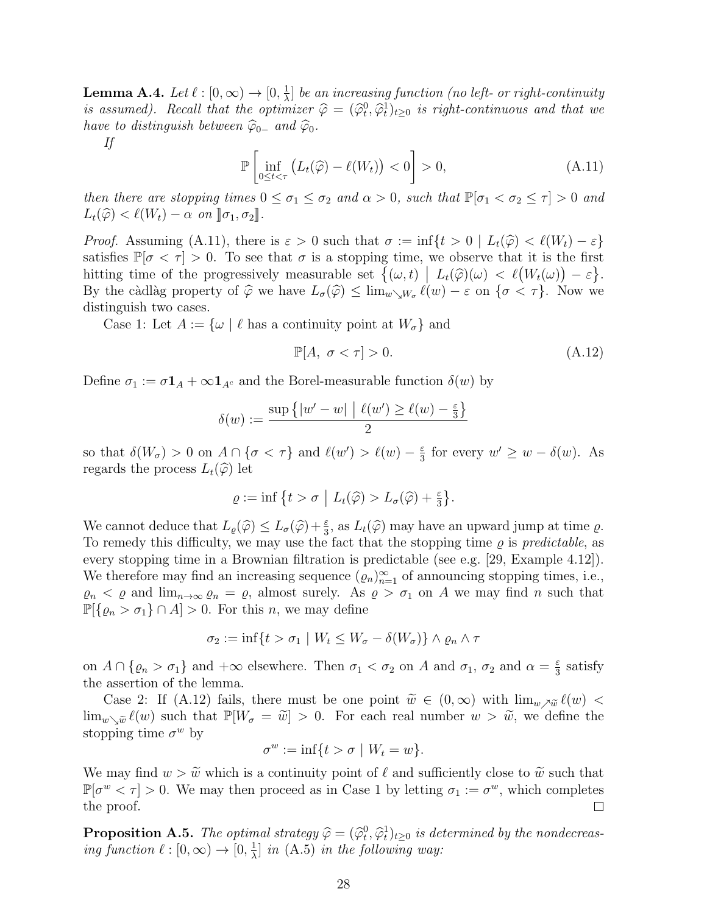$\textbf{Lemma A.4.} \: \: Let \: \ell : [0,\infty) \rightarrow [0,\frac{1}{\lambda}]$  $\frac{1}{\lambda}$ ] *be an increasing function (no left- or right-continuity is assumed). Recall that the optimizer*  $\hat{\varphi} = (\hat{\varphi}_t^0, \hat{\varphi}_t^1)_{t \geq 0}$  *is right-continuous and that we have to distinguish between*  $\widehat{\varphi}_{0-}$  *and*  $\widehat{\varphi}_0$ *.* 

*If*

$$
\mathbb{P}\left[\inf_{0\leq t<\tau}\left(L_t(\widehat{\varphi})-\ell(W_t)\right)<0\right] >0,\tag{A.11}
$$

*then there are stopping times*  $0 \le \sigma_1 \le \sigma_2$  *and*  $\alpha > 0$ *, such that*  $\mathbb{P}[\sigma_1 < \sigma_2 \le \tau] > 0$  *and*  $L_t(\widehat{\varphi}) < \ell(W_t) - \alpha$  *on*  $\llbracket \sigma_1, \sigma_2 \rrbracket$ *.* 

*Proof.* Assuming (A.11), there is  $\varepsilon > 0$  such that  $\sigma := \inf\{t > 0 \mid L_t(\hat{\varphi}) < \ell(W_t) - \varepsilon\}$ satisfies  $\mathbb{P}[\sigma < \tau] > 0$ . To see that  $\sigma$  is a stopping time, we observe that it is the first hitting time of the progressively measurable set  $\{(\omega, t) | L_t(\widehat{\varphi})(\omega) < \ell(W_t(\omega)) - \varepsilon\}$ . By the càdlàg property of  $\widehat{\varphi}$  we have  $L_{\sigma}(\widehat{\varphi}) \leq \lim_{w \searrow W_{\sigma}} \ell(w) - \varepsilon$  on  $\{\sigma < \tau\}$ . Now we distinguish two cases.

Case 1: Let  $A := \{ \omega \mid \ell \text{ has a continuity point at } W_{\sigma} \}$  and

$$
\mathbb{P}[A, \sigma < \tau] > 0. \tag{A.12}
$$

Define  $\sigma_1 := \sigma \mathbf{1}_A + \infty \mathbf{1}_{A^c}$  and the Borel-measurable function  $\delta(w)$  by

$$
\delta(w) := \frac{\sup\left\{|w' - w| \mid \ell(w') \ge \ell(w) - \frac{\varepsilon}{3}\right\}}{2}
$$

so that  $\delta(W_{\sigma}) > 0$  on  $A \cap {\sigma < \tau}$  and  $\ell(w') > \ell(w) - \frac{\varepsilon}{3}$  $\frac{\varepsilon}{3}$  for every  $w' \geq w - \delta(w)$ . As regards the process  $L_t(\hat{\varphi})$  let

$$
\varrho := \inf \left\{ t > \sigma \mid L_t(\widehat{\varphi}) > L_{\sigma}(\widehat{\varphi}) + \frac{\varepsilon}{3} \right\}.
$$

We cannot deduce that  $L_{\varrho}(\widehat{\varphi}) \leq L_{\sigma}(\widehat{\varphi}) + \frac{\varepsilon}{3}$ , as  $L_t(\widehat{\varphi})$  may have an upward jump at time  $\varrho$ . To remedy this difficulty, we may use the fact that the stopping time  $\rho$  is *predictable*, as every stopping time in a Brownian filtration is predictable (see e.g. [29, Example 4.12]). We therefore may find an increasing sequence  $(\varrho_n)_{n=1}^{\infty}$  of announcing stopping times, i.e.,  $\varrho_n < \varrho$  and  $\lim_{n\to\infty} \varrho_n = \varrho$ , almost surely. As  $\varrho > \sigma_1$  on A we may find *n* such that  $\mathbb{P}[\{\varrho_n > \sigma_1\} \cap A] > 0$ . For this *n*, we may define

$$
\sigma_2 := \inf\{t > \sigma_1 \mid W_t \le W_\sigma - \delta(W_\sigma)\} \wedge \varrho_n \wedge \tau
$$

on  $A \cap \{\varrho_n > \sigma_1\}$  and  $+\infty$  elsewhere. Then  $\sigma_1 < \sigma_2$  on A and  $\sigma_1$ ,  $\sigma_2$  and  $\alpha = \frac{\varepsilon}{3}$  $\frac{\varepsilon}{3}$  satisfy the assertion of the lemma.

Case 2: If (A.12) fails, there must be one point  $\widetilde{w} \in (0,\infty)$  with  $\lim_{w \nearrow \widetilde{w}} \ell(w)$  $\lim_{w\setminus \tilde{w}} \ell(w)$  such that  $\mathbb{P}[W_{\sigma} = \tilde{w}] > 0$ . For each real number  $w > \tilde{w}$ , we define the stopping time  $\sigma^w$  by

$$
\sigma^w := \inf\{t > \sigma \mid W_t = w\}.
$$

We may find  $w > \tilde{w}$  which is a continuity point of  $\ell$  and sufficiently close to  $\tilde{w}$  such that  $\mathbb{P}[\sigma^w < \tau] > 0$ . We may then proceed as in Case 1 by letting  $\sigma_1 := \sigma^w$ , which completes the proof.  $\Box$ 

**Proposition A.5.** *The optimal strategy*  $\hat{\varphi} = (\hat{\varphi}_t^0, \hat{\varphi}_t^1)_{t \geq 0}$  *is determined by the nondecreasing function*  $\ell : [0, \infty) \to [0, \frac{1}{\lambda}]$  $\frac{1}{\lambda}$  *in* (A.5) *in the following way:*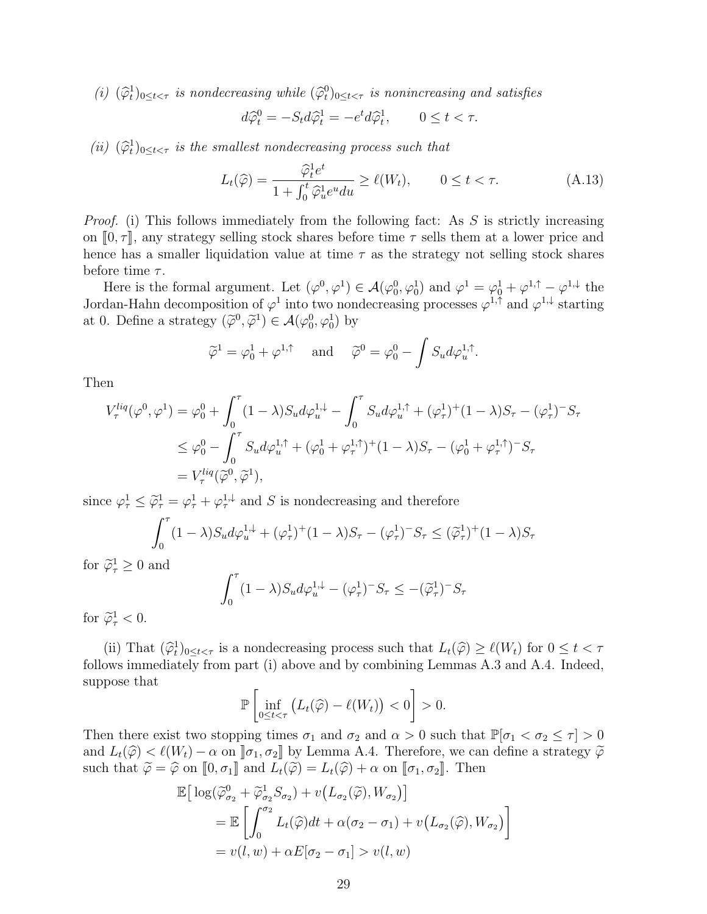(*i*)  $(\widehat{\varphi}_t^1)_{0 \le t < \tau}$  *is nondecreasing while*  $(\widehat{\varphi}_t^0)_{0 \le t < \tau}$  *is nonincreasing and satisfies* 

$$
d\widehat{\varphi}_t^0 = -S_t d\widehat{\varphi}_t^1 = -e^t d\widehat{\varphi}_t^1, \qquad 0 \le t < \tau.
$$

*(ii)*  $(\widehat{\varphi}_t^1)_{0 \le t < \tau}$  *is the smallest nondecreasing process such that* 

$$
L_t(\widehat{\varphi}) = \frac{\widehat{\varphi}_t^1 e^t}{1 + \int_0^t \widehat{\varphi}_u^1 e^u du} \ge \ell(W_t), \qquad 0 \le t < \tau.
$$
 (A.13)

*Proof.* (i) This follows immediately from the following fact: As *S* is strictly increasing on  $[0, \tau]$ , any strategy selling stock shares before time  $\tau$  sells them at a lower price and hence has a smaller liquidation value at time *τ* as the strategy not selling stock shares before time *τ* .

Here is the formal argument. Let  $(\varphi^0, \varphi^1) \in \mathcal{A}(\varphi_0^0, \varphi_0^1)$  and  $\varphi^1 = \varphi_0^1 + \varphi^{1, \uparrow} - \varphi^{1, \downarrow}$  the Jordan-Hahn decomposition of  $\varphi^1$  into two nondecreasing processes  $\varphi^{1,\uparrow}$  and  $\varphi^{1,\downarrow}$  starting at 0. Define a strategy  $(\tilde{\varphi}^0, \tilde{\varphi}^1) \in \mathcal{A}(\varphi_0^0, \varphi_0^1)$  by

$$
\widetilde{\varphi}^1 = \varphi_0^1 + \varphi^{1,\uparrow} \quad \text{ and } \quad \widetilde{\varphi}^0 = \varphi_0^0 - \int S_u d\varphi_u^{1,\uparrow}.
$$

Then

$$
V_{\tau}^{liq}(\varphi^{0},\varphi^{1}) = \varphi_{0}^{0} + \int_{0}^{\tau} (1-\lambda)S_{u}d\varphi_{u}^{1,\downarrow} - \int_{0}^{\tau} S_{u}d\varphi_{u}^{1,\uparrow} + (\varphi_{\tau}^{1})^{+}(1-\lambda)S_{\tau} - (\varphi_{\tau}^{1})^{-}S_{\tau}
$$
  

$$
\leq \varphi_{0}^{0} - \int_{0}^{\tau} S_{u}d\varphi_{u}^{1,\uparrow} + (\varphi_{0}^{1} + \varphi_{\tau}^{1,\uparrow})^{+}(1-\lambda)S_{\tau} - (\varphi_{0}^{1} + \varphi_{\tau}^{1,\uparrow})^{-}S_{\tau}
$$
  

$$
= V_{\tau}^{liq}(\widetilde{\varphi}^{0},\widetilde{\varphi}^{1}),
$$

since  $\varphi_{\tau}^1 \leq \tilde{\varphi}_{\tau}^1 = \varphi_{\tau}^1 + \varphi_{\tau}^{1,\downarrow}$  and *S* is nondecreasing and therefore

$$
\int_0^{\tau} (1 - \lambda) S_u d\varphi_u^{1, \downarrow} + (\varphi_\tau^1)^+ (1 - \lambda) S_\tau - (\varphi_\tau^1)^- S_\tau \le (\tilde{\varphi}_\tau^1)^+ (1 - \lambda) S_\tau
$$

for  $\widetilde{\varphi}^1_{\tau} \geq 0$  and

$$
\int_0^{\tau} (1 - \lambda) S_u d\varphi_u^{1,\downarrow} - (\varphi_\tau^1)^{-} S_\tau \le -(\tilde{\varphi}_\tau^1)^{-} S_\tau
$$

for  $\widetilde{\varphi}^1_\tau < 0$ .

(ii) That  $(\widehat{\varphi}_t^1)_{0 \le t < \tau}$  is a nondecreasing process such that  $L_t(\widehat{\varphi}) \ge \ell(W_t)$  for  $0 \le t < \tau$ follows immediately from part (i) above and by combining Lemmas A.3 and A.4. Indeed, suppose that

$$
\mathbb{P}\left[\inf_{0\leq t<\tau}\left(L_t(\widehat{\varphi})-\ell(W_t)\right)<0\right] > 0.
$$

Then there exist two stopping times  $\sigma_1$  and  $\sigma_2$  and  $\alpha > 0$  such that  $\mathbb{P}[\sigma_1 < \sigma_2 \leq \tau] > 0$ and  $L_t(\hat{\varphi}) < l(W_t) - \alpha$  on  $[\![ \sigma_1, \sigma_2 ]\!]$  by Lemma A.4. Therefore, we can define a strategy  $\tilde{\varphi}$ such that  $\widetilde{\varphi} = \widehat{\varphi}$  on  $[0, \sigma_1]$  and  $L_t(\widetilde{\varphi}) = L_t(\widehat{\varphi}) + \alpha$  on  $[\![\sigma_1, \sigma_2]\!]$ . Then

$$
\mathbb{E}\Big[\log(\widetilde{\varphi}_{\sigma_2}^0 + \widetilde{\varphi}_{\sigma_2}^1 S_{\sigma_2}) + v\big(L_{\sigma_2}(\widetilde{\varphi}), W_{\sigma_2}\big)\Big]
$$
\n
$$
= \mathbb{E}\Big[\int_0^{\sigma_2} L_t(\widehat{\varphi})dt + \alpha(\sigma_2 - \sigma_1) + v\big(L_{\sigma_2}(\widehat{\varphi}), W_{\sigma_2}\big)\Big]
$$
\n
$$
= v(l, w) + \alpha E[\sigma_2 - \sigma_1] > v(l, w)
$$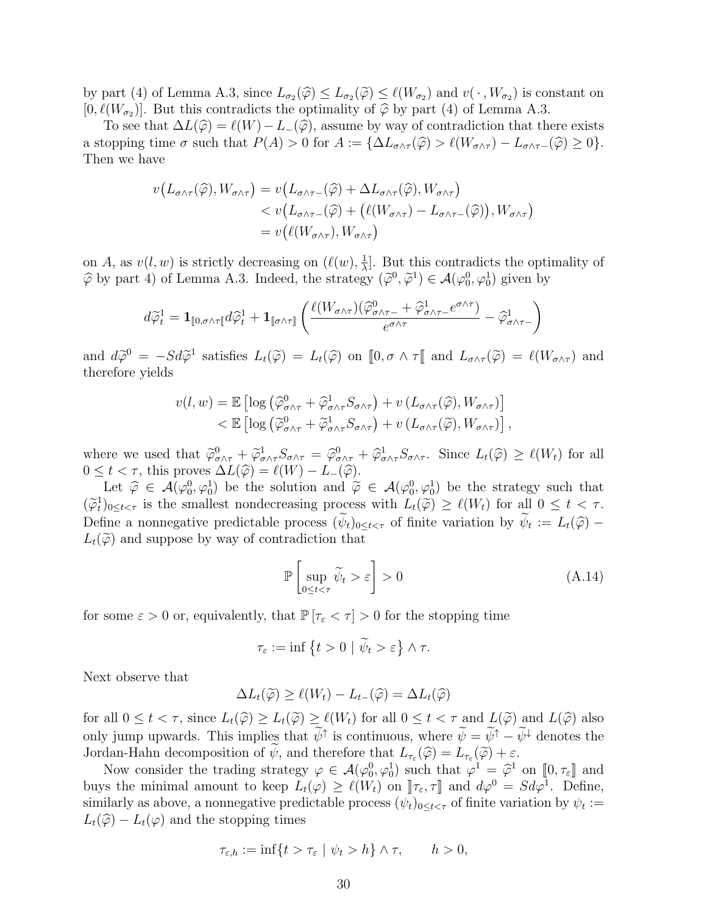by part (4) of Lemma A.3, since  $L_{\sigma_2}(\hat{\varphi}) \leq L_{\sigma_2}(\hat{\varphi}) \leq \ell(W_{\sigma_2})$  and  $v(\cdot, W_{\sigma_2})$  is constant on  $[0, \ell(W_{\sigma_2})]$ . But this contradicts the optimality of  $\widehat{\varphi}$  by part (4) of Lemma A.3.

To see that  $\Delta L(\hat{\varphi}) = \ell(W) - L(\hat{\varphi})$ , assume by way of contradiction that there exists a stopping time  $\sigma$  such that  $P(A) > 0$  for  $A := {\{\Delta L_{\sigma \wedge \tau}(\widehat{\varphi}) > \ell(W_{\sigma \wedge \tau}) - L_{\sigma \wedge \tau -}(\widehat{\varphi}) \geq 0\}}.$ Then we have

$$
v(L_{\sigma \wedge \tau}(\widehat{\varphi}), W_{\sigma \wedge \tau}) = v(L_{\sigma \wedge \tau -}(\widehat{\varphi}) + \Delta L_{\sigma \wedge \tau}(\widehat{\varphi}), W_{\sigma \wedge \tau})
$$
  

$$
< v(L_{\sigma \wedge \tau -}(\widehat{\varphi}) + (\ell(W_{\sigma \wedge \tau}) - L_{\sigma \wedge \tau -}(\widehat{\varphi})), W_{\sigma \wedge \tau})
$$
  

$$
= v(\ell(W_{\sigma \wedge \tau}), W_{\sigma \wedge \tau})
$$

on *A*, as  $v(l, w)$  is strictly decreasing on  $(\ell(w), \frac{1}{\lambda})$ *λ* ]. But this contradicts the optimality of  $\hat{\varphi}$  by part 4) of Lemma A.3. Indeed, the strategy  $(\tilde{\varphi}^0, \tilde{\varphi}^1) \in \mathcal{A}(\varphi_0^0, \varphi_0^1)$  given by

$$
d \widetilde{\varphi}^1_t = \mathbf{1}_{[\![ 0,\sigma\wedge \tau[\![} d\widehat{\varphi}^1_t + \mathbf{1}_{[\![ \sigma\wedge \tau[\!]} \!]\Big(\frac{\ell(W_{\sigma\wedge \tau})(\widehat{\varphi}^0_{\sigma\wedge \tau-} + \widehat{\varphi}^1_{\sigma\wedge \tau-} e^{\sigma\wedge \tau})}{e^{\sigma\wedge \tau}} - \widehat{\varphi}^1_{\sigma\wedge \tau-} \Big)
$$

and  $d\tilde{\varphi}^0 = -Sd\tilde{\varphi}^1$  satisfies  $L_t(\tilde{\varphi}) = L_t(\tilde{\varphi})$  on  $[0, \sigma \wedge \tau]$  and  $L_{\sigma \wedge \tau}(\tilde{\varphi}) = \ell(W_{\sigma \wedge \tau})$  and therefore yields

$$
v(l, w) = \mathbb{E} \left[ \log \left( \widehat{\varphi}_{\sigma \wedge \tau}^0 + \widehat{\varphi}_{\sigma \wedge \tau}^1 S_{\sigma \wedge \tau} \right) + v \left( L_{\sigma \wedge \tau}(\widehat{\varphi}), W_{\sigma \wedge \tau} \right) \right] < \mathbb{E} \left[ \log \left( \widehat{\varphi}_{\sigma \wedge \tau}^0 + \widehat{\varphi}_{\sigma \wedge \tau}^1 S_{\sigma \wedge \tau} \right) + v \left( L_{\sigma \wedge \tau}(\widehat{\varphi}), W_{\sigma \wedge \tau} \right) \right],
$$

where we used that  $\widetilde{\varphi}^0_{\sigma \wedge \tau} + \widetilde{\varphi}^1_{\sigma \wedge \tau} S_{\sigma \wedge \tau} = \widehat{\varphi}^0_{\sigma \wedge \tau} + \widehat{\varphi}^1_{\sigma \wedge \tau} S_{\sigma \wedge \tau}$ . Since  $L_t(\widehat{\varphi}) \geq \ell(W_t)$  for all  $0 \leq t < \tau$ , this proves  $\Delta L(\widehat{\varphi}) = \ell(W) - L_{-}(\widehat{\varphi})$ .

Let  $\hat{\varphi} \in \mathcal{A}(\varphi_0^0, \varphi_0^1)$  be the solution and  $\tilde{\varphi} \in \mathcal{A}(\varphi_0^0, \varphi_0^1)$  be the strategy such that  $(\widetilde{\varphi}_t^1)_{0 \le t < \tau}$  is the smallest nondecreasing process with  $L_t(\widetilde{\varphi}) \ge \ell(W_t)$  for all  $0 \le t < \tau$ . Define a nonnegative predictable process  $(\psi_t)_{0 \le t < \tau}$  of finite variation by  $\psi_t := L_t(\hat{\varphi}) - L(\hat{\varphi})$  and sumples between of contradiction that  $L_t(\widetilde{\varphi})$  and suppose by way of contradiction that

$$
\mathbb{P}\left[\sup_{0\leq t<\tau}\widetilde{\psi}_t>\varepsilon\right]>0\tag{A.14}
$$

for some  $\varepsilon > 0$  or, equivalently, that  $\mathbb{P}[\tau_{\varepsilon} < \tau] > 0$  for the stopping time

$$
\tau_{\varepsilon}:=\inf\left\{t>0\mid \widetilde{\psi}_t>\varepsilon\right\}\wedge\tau.
$$

Next observe that

$$
\Delta L_t(\widetilde{\varphi}) \ge \ell(W_t) - L_{t-}(\widehat{\varphi}) = \Delta L_t(\widehat{\varphi})
$$

for all  $0 \leq t < \tau$ , since  $L_t(\widehat{\varphi}) \geq L_t(\widetilde{\varphi}) \geq \ell(W_t)$  for all  $0 \leq t < \tau$  and  $L(\widetilde{\varphi})$  and  $L(\widehat{\varphi})$  also only jump upwards. This implies that  $\psi^{\uparrow}$  is continuous, where  $\psi = \psi^{\uparrow} - \psi^{\downarrow}$  denotes the Jordan-Hahn decomposition of  $\psi$ , and therefore that  $L_{\tau_{\varepsilon}}(\widehat{\varphi}) = L_{\tau_{\varepsilon}}(\widetilde{\varphi}) + \varepsilon$ .

Now consider the trading strategy  $\varphi \in \mathcal{A}(\varphi_0^0, \varphi_0^1)$  such that  $\varphi^1 = \widehat{\varphi}^1$  on  $[0, \tau_{\varepsilon}]$  and buys the minimal amount to keep  $L_t(\varphi) \geq \ell(W_t)$  on  $]\tau_{\varepsilon}, \tau]$  and  $d\varphi^0 = S d\varphi^1$ . Define, similarly as above, a nonnegative predictable process  $(\psi_t)_{0 \le t < \tau}$  of finite variation by  $\psi_t :=$  $L_t(\widehat{\varphi}) - L_t(\varphi)$  and the stopping times

$$
\tau_{\varepsilon,h} := \inf\{t > \tau_{\varepsilon} \mid \psi_t > h\} \wedge \tau, \qquad h > 0,
$$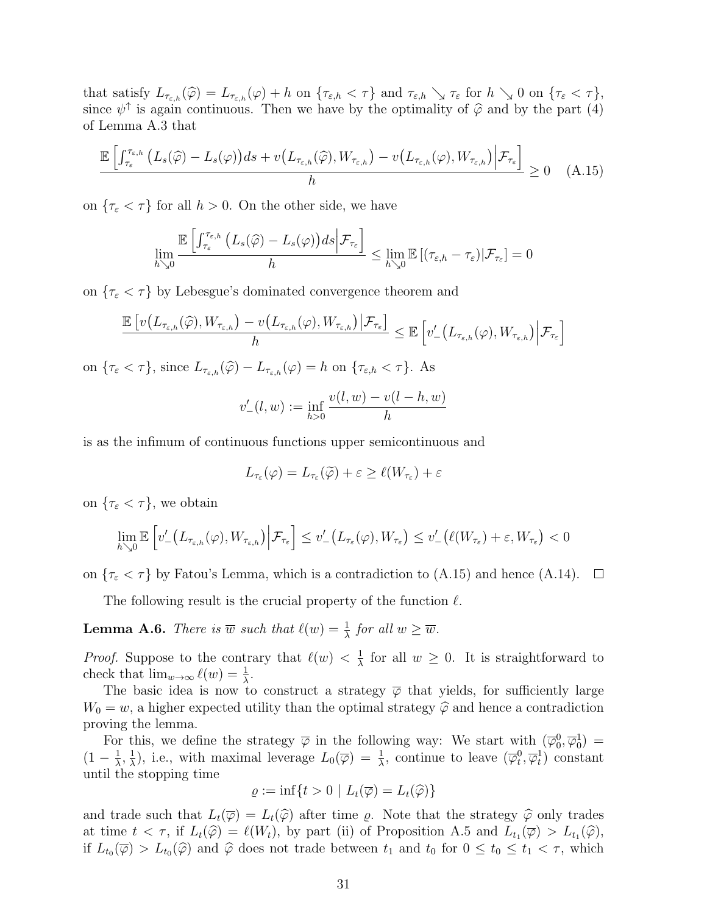that satisfy  $L_{\tau_{\varepsilon,h}}(\hat{\varphi}) = L_{\tau_{\varepsilon,h}}(\varphi) + h$  on  $\{\tau_{\varepsilon,h} < \tau\}$  and  $\tau_{\varepsilon,h} \searrow \tau_{\varepsilon}$  for  $h \searrow 0$  on  $\{\tau_{\varepsilon} < \tau\},$ since  $\psi^{\uparrow}$  is again continuous. Then we have by the optimality of  $\hat{\varphi}$  and by the part (4) of Lemma A.3 that

$$
\frac{\mathbb{E}\left[\int_{\tau_{\varepsilon}}^{\tau_{\varepsilon,h}}\left(L_s(\widehat{\varphi})-L_s(\varphi)\right)ds + v\left(L_{\tau_{\varepsilon,h}}(\widehat{\varphi}),W_{\tau_{\varepsilon,h}}\right) - v\left(L_{\tau_{\varepsilon,h}}(\varphi),W_{\tau_{\varepsilon,h}}\right)\bigg|\mathcal{F}_{\tau_{\varepsilon}}\right]}{h} \ge 0 \quad (A.15)
$$

on  ${\tau_{\epsilon}} < \tau$ } for all *h* > 0. On the other side, we have

$$
\lim_{h\searrow 0}\frac{\mathbb{E}\left[\int_{\tau_{\varepsilon}}^{\tau_{\varepsilon,h}}\left(L_s(\widehat{\varphi})-L_s(\varphi)\right)ds\Big|\mathcal{F}_{\tau_{\varepsilon}}\right]}{h}\leq \lim_{h\searrow 0}\mathbb{E}\left[(\tau_{\varepsilon,h}-\tau_{\varepsilon})\big|\mathcal{F}_{\tau_{\varepsilon}}\right]=0
$$

on  ${\tau_{\varepsilon}} < \tau$ } by Lebesgue's dominated convergence theorem and

$$
\frac{\mathbb{E}\left[v\left(L_{\tau_{\varepsilon,h}}(\widehat{\varphi}), W_{\tau_{\varepsilon,h}}\right) - v\left(L_{\tau_{\varepsilon,h}}(\varphi), W_{\tau_{\varepsilon,h}}\right) | \mathcal{F}_{\tau_{\varepsilon}}\right]}{h} \leq \mathbb{E}\left[v'\left(L_{\tau_{\varepsilon,h}}(\varphi), W_{\tau_{\varepsilon,h}}\right) | \mathcal{F}_{\tau_{\varepsilon}}\right]
$$
\non
$$
\left\{\tau_{\varepsilon} < \tau\right\}, \text{ since } L_{\tau_{\varepsilon,h}}(\widehat{\varphi}) - L_{\tau_{\varepsilon,h}}(\varphi) = h \text{ on } \{\tau_{\varepsilon,h} < \tau\}. \text{ As}
$$
\n
$$
v'_{-}(l, w) := \inf_{h > 0} \frac{v(l, w) - v(l - h, w)}{h}
$$

is as the infimum of continuous functions upper semicontinuous and

$$
L_{\tau_{\varepsilon}}(\varphi) = L_{\tau_{\varepsilon}}(\widetilde{\varphi}) + \varepsilon \ge \ell(W_{\tau_{\varepsilon}}) + \varepsilon
$$

on  $\{\tau_{\varepsilon} < \tau\}$ , we obtain

$$
\lim_{h\searrow 0}\mathbb{E}\left[v'_-\left(L_{\tau_{\varepsilon,h}}(\varphi),W_{\tau_{\varepsilon,h}}\right)\Big|\mathcal{F}_{\tau_{\varepsilon}}\right]\leq v'_-\left(L_{\tau_{\varepsilon}}(\varphi),W_{\tau_{\varepsilon}}\right)\leq v'_-\left(\ell(W_{\tau_{\varepsilon}})+\varepsilon,W_{\tau_{\varepsilon}}\right)<0
$$

on  $\{\tau_{\varepsilon} < \tau\}$  by Fatou's Lemma, which is a contradiction to (A.15) and hence (A.14).  $\mathcal{L}$ 

The following result is the crucial property of the function *ℓ*.

**Lemma A.6.** *There is*  $\overline{w}$  *such that*  $\ell(w) = \frac{1}{\lambda}$  *for all*  $w \geq \overline{w}$ *.* 

*Proof.* Suppose to the contrary that  $\ell(w) < \frac{1}{\lambda}$  $\frac{1}{\lambda}$  for all  $w \geq 0$ . It is straightforward to check that  $\lim_{w\to\infty} \ell(w) = \frac{1}{\lambda}$ .

The basic idea is now to construct a strategy  $\overline{\varphi}$  that yields, for sufficiently large  $W_0 = w$ , a higher expected utility than the optimal strategy  $\hat{\varphi}$  and hence a contradiction proving the lemma.

For this, we define the strategy  $\overline{\varphi}$  in the following way: We start with  $(\overline{\varphi}_0^0, \overline{\varphi}_0^1) =$  $(1 - \frac{1}{\lambda})$  $\frac{1}{\lambda}$ ,  $\frac{1}{\lambda}$ *λ*<sup>2</sup>), i.e., with maximal leverage  $L_0(\overline{\varphi}) = \frac{1}{\lambda}$ , continue to leave  $(\overline{\varphi}_t^0, \overline{\varphi}_t^1)$  constant until the stopping time

$$
\varrho := \inf\{t > 0 \mid L_t(\overline{\varphi}) = L_t(\widehat{\varphi})\}
$$

and trade such that  $L_t(\overline{\varphi}) = L_t(\widehat{\varphi})$  after time  $\varrho$ . Note that the strategy  $\widehat{\varphi}$  only trades at time  $t < \tau$ , if  $L_t(\hat{\varphi}) = \ell(W_t)$ , by part (ii) of Proposition A.5 and  $L_{t_1}(\overline{\varphi}) > L_{t_1}(\hat{\varphi})$ , if  $L_{t_0}(\overline{\varphi}) > L_{t_0}(\widehat{\varphi})$  and  $\widehat{\varphi}$  does not trade between  $t_1$  and  $t_0$  for  $0 \le t_0 \le t_1 < \tau$ , which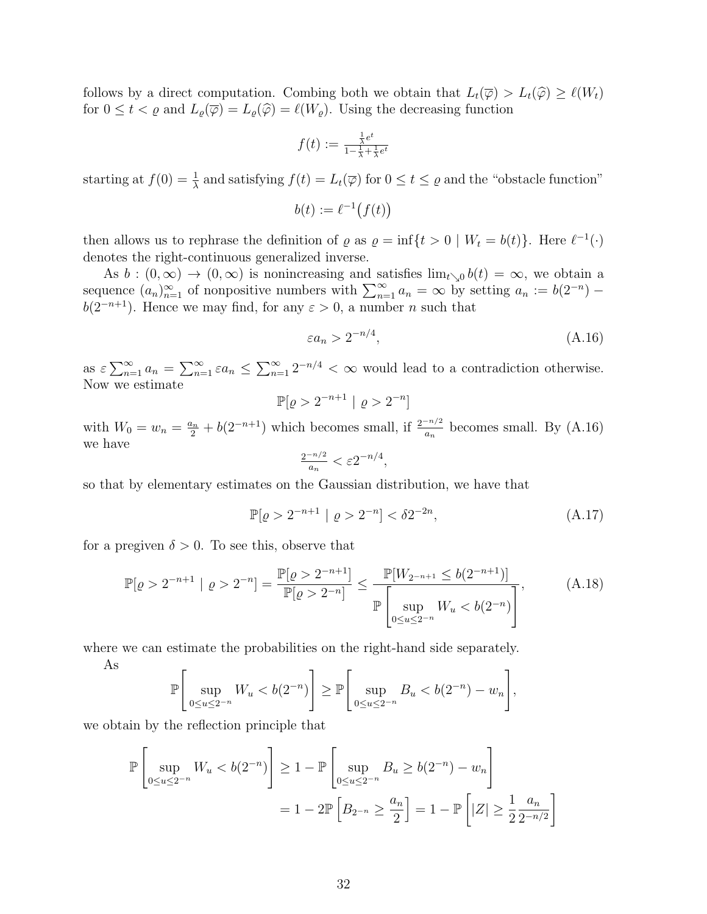follows by a direct computation. Combing both we obtain that  $L_t(\overline{\varphi}) > L_t(\widehat{\varphi}) \geq \ell(W_t)$ for  $0 \leq t < \varrho$  and  $L_{\varrho}(\overline{\varphi}) = L_{\varrho}(\widehat{\varphi}) = \ell(W_{\varrho})$ . Using the decreasing function

$$
f(t):=\tfrac{\frac{1}{\lambda}e^t}{1-\frac{1}{\lambda}+\frac{1}{\lambda}e^t}
$$

starting at  $f(0) = \frac{1}{\lambda}$  and satisfying  $f(t) = L_t(\overline{\varphi})$  for  $0 \le t \le \varrho$  and the "obstacle function"

$$
b(t) := \ell^{-1}(f(t))
$$

then allows us to rephrase the definition of  $\varrho$  as  $\varrho = \inf\{t > 0 \mid W_t = b(t)\}\.$  Here  $\ell^{-1}(\cdot)$ denotes the right-continuous generalized inverse.

As  $b:(0,\infty) \to (0,\infty)$  is nonincreasing and satisfies  $\lim_{t\searrow 0} b(t) = \infty$ , we obtain a sequence  $(a_n)_{n=1}^{\infty}$  of nonpositive numbers with  $\sum_{n=1}^{\infty} a_n = \infty$  by setting  $a_n := b(2^{-n})$ *b*( $2^{-n+1}$ ). Hence we may find, for any  $\varepsilon > 0$ , a number *n* such that

$$
\varepsilon a_n > 2^{-n/4},\tag{A.16}
$$

as  $\varepsilon \sum_{n=1}^{\infty} a_n = \sum_{n=1}^{\infty} \varepsilon a_n \le \sum_{n=1}^{\infty} 2^{-n/4} < \infty$  would lead to a contradiction otherwise. Now we estimate

$$
\mathbb{P}[\varrho > 2^{-n+1} \mid \varrho > 2^{-n}]
$$

with  $W_0 = w_n = \frac{a_n}{2} + b(2^{-n+1})$  which becomes small, if  $\frac{2^{-n/2}}{a_n}$  becomes small. By (A.16) we have

$$
\frac{2^{-n/2}}{a_n} < \varepsilon 2^{-n/4},
$$

so that by elementary estimates on the Gaussian distribution, we have that

$$
\mathbb{P}[\varrho > 2^{-n+1} \mid \varrho > 2^{-n}] < \delta 2^{-2n},\tag{A.17}
$$

for a pregiven  $\delta > 0$ . To see this, observe that

$$
\mathbb{P}[\varrho > 2^{-n+1} \mid \varrho > 2^{-n}] = \frac{\mathbb{P}[\varrho > 2^{-n+1}]}{\mathbb{P}[\varrho > 2^{-n}]} \le \frac{\mathbb{P}[W_{2^{-n+1}} \le b(2^{-n+1})]}{\mathbb{P}\left[\sup_{0 \le u \le 2^{-n}} W_u < b(2^{-n})\right]},\tag{A.18}
$$

where we can estimate the probabilities on the right-hand side separately.

$$
\mathbb{P}\left[\sup_{0\leq u\leq 2^{-n}}W_u
$$

we obtain by the reflection principle that

As

$$
\mathbb{P}\left[\sup_{0\leq u\leq 2^{-n}} W_u < b(2^{-n})\right] \geq 1 - \mathbb{P}\left[\sup_{0\leq u\leq 2^{-n}} B_u \geq b(2^{-n}) - w_n\right]
$$
\n
$$
= 1 - 2\mathbb{P}\left[B_{2^{-n}} \geq \frac{a_n}{2}\right] = 1 - \mathbb{P}\left[|Z| \geq \frac{1}{2}\frac{a_n}{2^{-n/2}}\right]
$$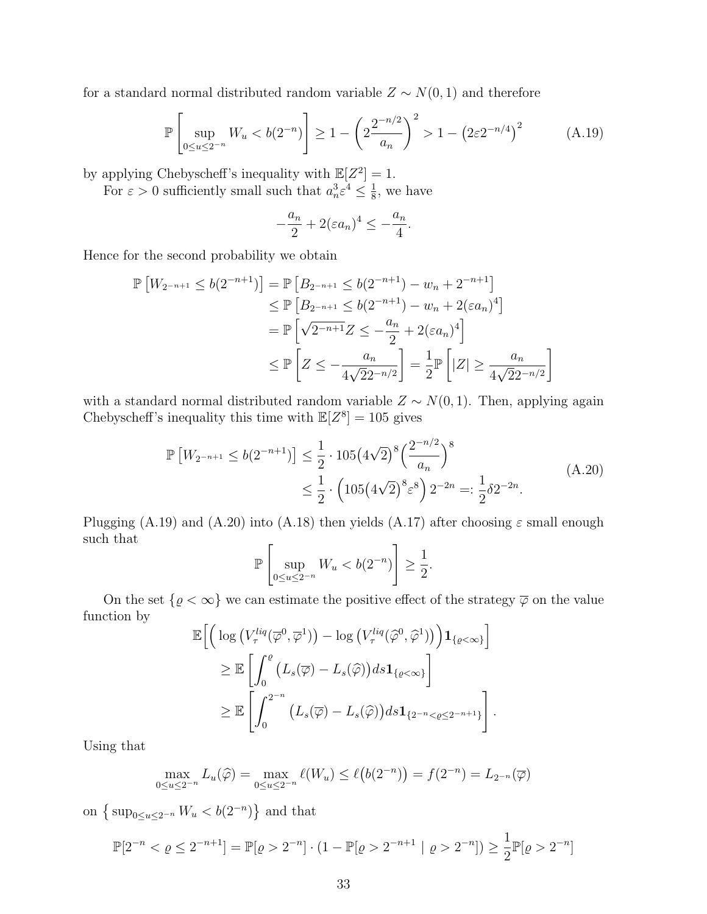for a standard normal distributed random variable  $Z \sim N(0, 1)$  and therefore

$$
\mathbb{P}\left[\sup_{0\leq u\leq 2^{-n}} W_u < b(2^{-n})\right] \geq 1 - \left(2\frac{2^{-n/2}}{a_n}\right)^2 > 1 - \left(2\varepsilon 2^{-n/4}\right)^2\tag{A.19}
$$

*.*

by applying Chebyscheff's inequality with  $\mathbb{E}[Z^2] = 1$ .

For  $\varepsilon > 0$  sufficiently small such that  $a_n^3 \varepsilon^4 \leq \frac{1}{8}$  $\frac{1}{8}$ , we have

$$
-\frac{a_n}{2} + 2(\varepsilon a_n)^4 \le -\frac{a_n}{4}
$$

Hence for the second probability we obtain

$$
\mathbb{P}\left[W_{2^{-n+1}} \le b(2^{-n+1})\right] = \mathbb{P}\left[B_{2^{-n+1}} \le b(2^{-n+1}) - w_n + 2^{-n+1}\right] \\
\le \mathbb{P}\left[B_{2^{-n+1}} \le b(2^{-n+1}) - w_n + 2(\varepsilon a_n)^4\right] \\
= \mathbb{P}\left[\sqrt{2^{-n+1}}Z \le -\frac{a_n}{2} + 2(\varepsilon a_n)^4\right] \\
\le \mathbb{P}\left[Z \le -\frac{a_n}{4\sqrt{2}2^{-n/2}}\right] = \frac{1}{2}\mathbb{P}\left[|Z| \ge \frac{a_n}{4\sqrt{2}2^{-n/2}}\right]
$$

with a standard normal distributed random variable  $Z \sim N(0, 1)$ . Then, applying again Chebyscheff's inequality this time with  $\mathbb{E}[Z^8] = 105$  gives

$$
\mathbb{P}\left[W_{2^{-n+1}} \le b(2^{-n+1})\right] \le \frac{1}{2} \cdot 105 \left(4\sqrt{2}\right)^8 \left(\frac{2^{-n/2}}{a_n}\right)^8
$$
\n
$$
\le \frac{1}{2} \cdot \left(105 \left(4\sqrt{2}\right)^8 \varepsilon^8\right) 2^{-2n} =: \frac{1}{2}\delta 2^{-2n}.
$$
\n(A.20)

Plugging (A.19) and (A.20) into (A.18) then yields (A.17) after choosing *ε* small enough such that

$$
\mathbb{P}\left[\sup_{0\leq u\leq 2^{-n}}W_u
$$

On the set  $\{\varrho < \infty\}$  we can estimate the positive effect of the strategy  $\overline{\varphi}$  on the value function by

$$
\mathbb{E}\Big[\Big(\log\big(V_{\tau}^{liq}(\overline{\varphi}^{0},\overline{\varphi}^{1})\big)-\log\big(V_{\tau}^{liq}(\widehat{\varphi}^{0},\widehat{\varphi}^{1})\big)\Big)\mathbf{1}_{\{\varrho<\infty\}}\Big]
$$
  
\n
$$
\geq \mathbb{E}\Big[\int_0^{\varrho}\big(L_s(\overline{\varphi})-L_s(\widehat{\varphi})\big)ds\mathbf{1}_{\{\varrho<\infty\}}\Big]
$$
  
\n
$$
\geq \mathbb{E}\Big[\int_0^{2^{-n}}\big(L_s(\overline{\varphi})-L_s(\widehat{\varphi})\big)ds\mathbf{1}_{\{2^{-n}<\varrho\leq 2^{-n+1}\}}\Big].
$$

Using that

$$
\max_{0 \le u \le 2^{-n}} L_u(\widehat{\varphi}) = \max_{0 \le u \le 2^{-n}} \ell(W_u) \le \ell(b(2^{-n})) = f(2^{-n}) = L_{2^{-n}}(\overline{\varphi})
$$

on  $\left\{ \sup_{0 \le u \le 2^{-n}} W_u < b(2^{-n}) \right\}$  and that

$$
\mathbb{P}[2^{-n} < \varrho \le 2^{-n+1}] = \mathbb{P}[\varrho > 2^{-n}] \cdot (1 - \mathbb{P}[\varrho > 2^{-n+1} \mid \varrho > 2^{-n}]) \ge \frac{1}{2} \mathbb{P}[\varrho > 2^{-n}]
$$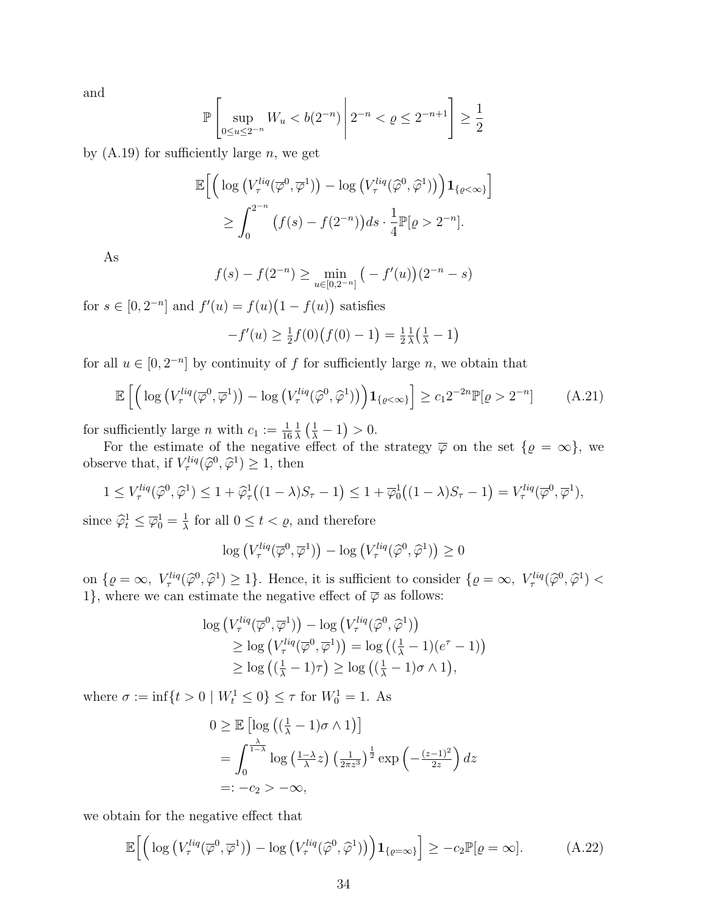and

$$
\mathbb{P}\left[\sup_{0\leq u\leq 2^{-n}} W_u < b(2^{-n})\, \middle| \, 2^{-n} < \varrho \leq 2^{-n+1}\right] \geq \frac{1}{2}
$$

by (A.19) for sufficiently large *n*, we get

$$
\mathbb{E}\Big[\Big(\log\big(V_{\tau}^{liq}(\overline{\varphi}^{0},\overline{\varphi}^{1})\big)-\log\big(V_{\tau}^{liq}(\widehat{\varphi}^{0},\widehat{\varphi}^{1})\big)\Big)\mathbf{1}_{\{\varrho<\infty\}}\Big]
$$
  

$$
\geq \int_{0}^{2^{-n}}\big(f(s)-f(2^{-n})\big)ds\cdot\frac{1}{4}\mathbb{P}[\varrho>2^{-n}].
$$

As

$$
f(s) - f(2^{-n}) \ge \min_{u \in [0, 2^{-n}]} \left( -f'(u) \right) (2^{-n} - s)
$$

for  $s \in [0, 2^{-n}]$  and  $f'(u) = f(u)(1 - f(u))$  satisfies

$$
-f'(u) \ge \frac{1}{2}f(0)\big(f(0) - 1\big) = \frac{1}{2}\frac{1}{\lambda}\big(\frac{1}{\lambda} - 1\big)
$$

for all  $u \in [0, 2^{-n}]$  by continuity of f for sufficiently large *n*, we obtain that

$$
\mathbb{E}\left[\left(\log\left(V_{\tau}^{liq}(\overline{\varphi}^{0},\overline{\varphi}^{1})\right)-\log\left(V_{\tau}^{liq}(\widehat{\varphi}^{0},\widehat{\varphi}^{1})\right)\right)\mathbf{1}_{\{\varrho<\infty\}}\right]\geq c_{1}2^{-2n}\mathbb{P}[\varrho>2^{-n}] \tag{A.21}
$$

for sufficiently large *n* with  $c_1 := \frac{1}{16}$ 1  $\frac{1}{\lambda} \left( \frac{1}{\lambda} - 1 \right) > 0.$ 

For the estimate of the negative effect of the strategy  $\overline{\varphi}$  on the set  $\{\varrho = \infty\}$ , we observe that, if  $V_{\tau}^{liq}(\hat{\varphi}^0, \hat{\varphi}^1) \geq 1$ , then

$$
1 \le V_{\tau}^{liq}(\widehat{\varphi}^0, \widehat{\varphi}^1) \le 1 + \widehat{\varphi}_{\tau}^1((1 - \lambda)S_{\tau} - 1) \le 1 + \overline{\varphi}_0^1((1 - \lambda)S_{\tau} - 1) = V_{\tau}^{liq}(\overline{\varphi}^0, \overline{\varphi}^1),
$$

since  $\widehat{\varphi}_t^1 \leq \overline{\varphi}_0^1 = \frac{1}{\lambda}$  $\frac{1}{\lambda}$  for all  $0 \le t < \varrho$ , and therefore

$$
\log \left( V_{\tau}^{liq}(\overline{\varphi}^{0}, \overline{\varphi}^{1}) \right) - \log \left( V_{\tau}^{liq}(\widehat{\varphi}^{0}, \widehat{\varphi}^{1}) \right) \geq 0
$$

on  $\{\varrho = \infty, V^{liq}_\tau(\widehat{\varphi}^0, \widehat{\varphi}^1) \geq 1\}$ . Hence, it is sufficient to consider  $\{\varrho = \infty, V^{liq}_\tau(\widehat{\varphi}^0, \widehat{\varphi}^1) < 1\}$ 1}, where we can estimate the negative effect of  $\overline{\varphi}$  as follows:

$$
\log \left( V_{\tau}^{liq}(\overline{\varphi}^{0}, \overline{\varphi}^{1}) \right) - \log \left( V_{\tau}^{liq}(\widehat{\varphi}^{0}, \widehat{\varphi}^{1}) \right) \geq \log \left( V_{\tau}^{liq}(\overline{\varphi}^{0}, \overline{\varphi}^{1}) \right) = \log \left( \left( \frac{1}{\lambda} - 1 \right) (e^{\tau} - 1) \right) \geq \log \left( \left( \frac{1}{\lambda} - 1 \right) \tau \right) \geq \log \left( \left( \frac{1}{\lambda} - 1 \right) \sigma \wedge 1 \right),
$$

where  $\sigma := \inf\{t > 0 \mid W_t^1 \le 0\} \le \tau$  for  $W_0^1 = 1$ . As

$$
0 \ge \mathbb{E} \left[ \log \left( \left( \frac{1}{\lambda} - 1 \right) \sigma \wedge 1 \right) \right]
$$
  
=  $\int_0^{\frac{\lambda}{1 - \lambda}} \log \left( \frac{1 - \lambda}{\lambda} z \right) \left( \frac{1}{2\pi z^3} \right)^{\frac{1}{2}} \exp \left( -\frac{(z - 1)^2}{2z} \right) dz$   
=:  $-c_2 > -\infty$ ,

we obtain for the negative effect that

$$
\mathbb{E}\Big[\Big(\log\big(V_{\tau}^{liq}(\overline{\varphi}^{0},\overline{\varphi}^{1})\big)-\log\big(V_{\tau}^{liq}(\widehat{\varphi}^{0},\widehat{\varphi}^{1})\big)\Big)\mathbf{1}_{\{\varrho=\infty\}}\Big]\ge-c_{2}\mathbb{P}[\varrho=\infty].\tag{A.22}
$$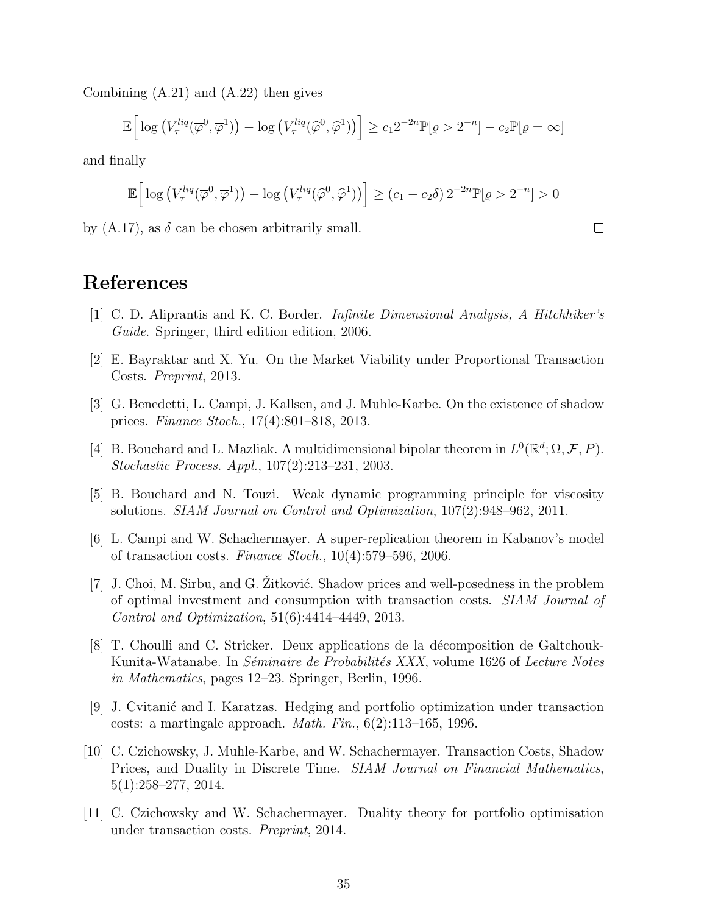Combining (A.21) and (A.22) then gives

$$
\mathbb{E}\Big[\log\left(V_{\tau}^{liq}(\overline{\varphi}^0,\overline{\varphi}^1)\right)-\log\left(V_{\tau}^{liq}(\widehat{\varphi}^0,\widehat{\varphi}^1)\right)\Big]\geq c_12^{-2n}\mathbb{P}[\varrho>2^{-n}]-c_2\mathbb{P}[\varrho=\infty]
$$

and finally

$$
\mathbb{E}\Big[\log\left(V_{\tau}^{liq}(\overline{\varphi}^0,\overline{\varphi}^1)\right)-\log\left(V_{\tau}^{liq}(\widehat{\varphi}^0,\widehat{\varphi}^1)\right)\Big]\geq (c_1-c_2\delta)\,2^{-2n}\mathbb{P}[\varrho>2^{-n}]>0
$$

 $\Box$ 

by  $(A.17)$ , as  $\delta$  can be chosen arbitrarily small.

## **References**

- [1] C. D. Aliprantis and K. C. Border. *Infinite Dimensional Analysis, A Hitchhiker's Guide*. Springer, third edition edition, 2006.
- [2] E. Bayraktar and X. Yu. On the Market Viability under Proportional Transaction Costs. *Preprint*, 2013.
- [3] G. Benedetti, L. Campi, J. Kallsen, and J. Muhle-Karbe. On the existence of shadow prices. *Finance Stoch.*, 17(4):801–818, 2013.
- [4] B. Bouchard and L. Mazliak. A multidimensional bipolar theorem in  $L^0(\mathbb{R}^d; \Omega, \mathcal{F}, P)$ . *Stochastic Process. Appl.*, 107(2):213–231, 2003.
- [5] B. Bouchard and N. Touzi. Weak dynamic programming principle for viscosity solutions. *SIAM Journal on Control and Optimization*, 107(2):948–962, 2011.
- [6] L. Campi and W. Schachermayer. A super-replication theorem in Kabanov's model of transaction costs. *Finance Stoch.*, 10(4):579–596, 2006.
- $[7]$  J. Choi, M. Sirbu, and G. Zitković. Shadow prices and well-posedness in the problem of optimal investment and consumption with transaction costs. *SIAM Journal of Control and Optimization*, 51(6):4414–4449, 2013.
- [8] T. Choulli and C. Stricker. Deux applications de la décomposition de Galtchouk-Kunita-Watanabe. In *S´eminaire de Probabilit´es XXX*, volume 1626 of *Lecture Notes in Mathematics*, pages 12–23. Springer, Berlin, 1996.
- [9] J. Cvitani´c and I. Karatzas. Hedging and portfolio optimization under transaction costs: a martingale approach. *Math. Fin.*, 6(2):113–165, 1996.
- [10] C. Czichowsky, J. Muhle-Karbe, and W. Schachermayer. Transaction Costs, Shadow Prices, and Duality in Discrete Time. *SIAM Journal on Financial Mathematics*, 5(1):258–277, 2014.
- [11] C. Czichowsky and W. Schachermayer. Duality theory for portfolio optimisation under transaction costs. *Preprint*, 2014.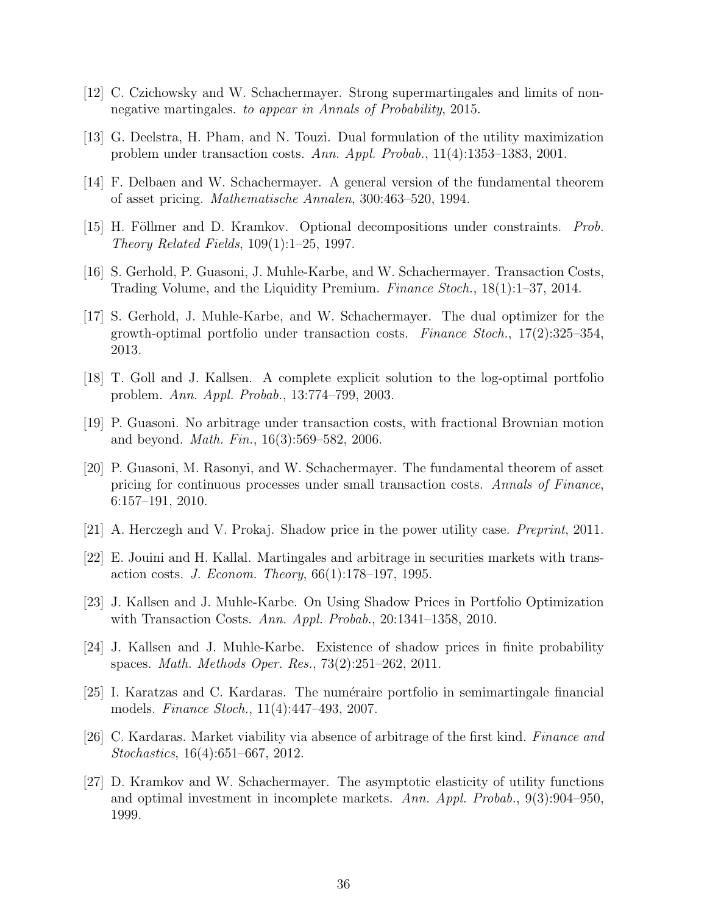- [12] C. Czichowsky and W. Schachermayer. Strong supermartingales and limits of nonnegative martingales. *to appear in Annals of Probability*, 2015.
- [13] G. Deelstra, H. Pham, and N. Touzi. Dual formulation of the utility maximization problem under transaction costs. *Ann. Appl. Probab.*, 11(4):1353–1383, 2001.
- [14] F. Delbaen and W. Schachermayer. A general version of the fundamental theorem of asset pricing. *Mathematische Annalen*, 300:463–520, 1994.
- [15] H. Föllmer and D. Kramkov. Optional decompositions under constraints. *Prob. Theory Related Fields*, 109(1):1–25, 1997.
- [16] S. Gerhold, P. Guasoni, J. Muhle-Karbe, and W. Schachermayer. Transaction Costs, Trading Volume, and the Liquidity Premium. *Finance Stoch.*, 18(1):1–37, 2014.
- [17] S. Gerhold, J. Muhle-Karbe, and W. Schachermayer. The dual optimizer for the growth-optimal portfolio under transaction costs. *Finance Stoch.*, 17(2):325–354, 2013.
- [18] T. Goll and J. Kallsen. A complete explicit solution to the log-optimal portfolio problem. *Ann. Appl. Probab.*, 13:774–799, 2003.
- [19] P. Guasoni. No arbitrage under transaction costs, with fractional Brownian motion and beyond. *Math. Fin.*, 16(3):569–582, 2006.
- [20] P. Guasoni, M. Rasonyi, and W. Schachermayer. The fundamental theorem of asset pricing for continuous processes under small transaction costs. *Annals of Finance*, 6:157–191, 2010.
- [21] A. Herczegh and V. Prokaj. Shadow price in the power utility case. *Preprint*, 2011.
- [22] E. Jouini and H. Kallal. Martingales and arbitrage in securities markets with transaction costs. *J. Econom. Theory*, 66(1):178–197, 1995.
- [23] J. Kallsen and J. Muhle-Karbe. On Using Shadow Prices in Portfolio Optimization with Transaction Costs. *Ann. Appl. Probab.*, 20:1341–1358, 2010.
- [24] J. Kallsen and J. Muhle-Karbe. Existence of shadow prices in finite probability spaces. *Math. Methods Oper. Res.*, 73(2):251–262, 2011.
- [25] I. Karatzas and C. Kardaras. The numéraire portfolio in semimartingale financial models. *Finance Stoch.*, 11(4):447–493, 2007.
- [26] C. Kardaras. Market viability via absence of arbitrage of the first kind. *Finance and Stochastics*, 16(4):651–667, 2012.
- [27] D. Kramkov and W. Schachermayer. The asymptotic elasticity of utility functions and optimal investment in incomplete markets. *Ann. Appl. Probab.*, 9(3):904–950, 1999.